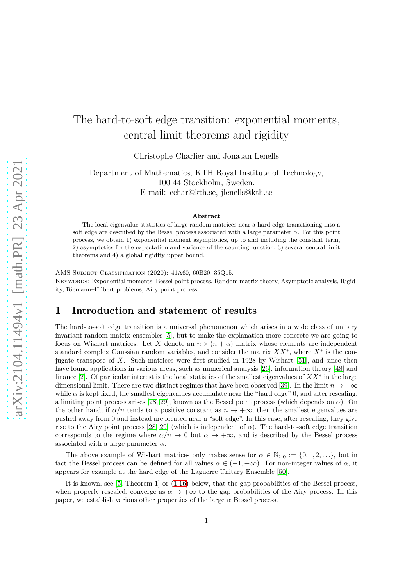# The hard-to-soft edge transition: exponential moments, central limit theorems and rigidity

Christophe Charlier and Jonatan Lenells

Department of Mathematics, KTH Royal Institute of Technology, 100 44 Stockholm, Sweden. E-mail: cchar@kth.se, jlenells@kth.se

#### **Abstract**

The local eigenvalue statistics of large random matrices near a hard edge transitioning into a soft edge are described by the Bessel process associated with a large parameter  $\alpha$ . For this point process, we obtain 1) exponential moment asymptotics, up to and including the constant term, 2) asymptotics for the expectation and variance of the counting function, 3) several central limit theorems and 4) a global rigidity upper bound.

AMS Subject Classification (2020): 41A60, 60B20, 35Q15. Keywords: Exponential moments, Bessel point process, Random matrix theory, Asymptotic analysis, Rigidity, Riemann–Hilbert problems, Airy point process.

# **1 Introduction and statement of results**

The hard-to-soft edge transition is a universal phenomenon which arises in a wide class of unitary invariant random matrix ensembles [\[5\]](#page-44-0), but to make the explanation more concrete we are going to focus on Wishart matrices. Let X denote an  $n \times (n + \alpha)$  matrix whose elements are independent standard complex Gaussian random variables, and consider the matrix *XX*<sup>∗</sup> , where *X*<sup>∗</sup> is the conjugate transpose of *X*. Such matrices were first studied in 1928 by Wishart [\[51\]](#page-45-0), and since then have found applications in various areas, such as numerical analysis [\[26\]](#page-45-1), information theory [\[48\]](#page-45-2) and finance [\[2\]](#page-44-1). Of particular interest is the local statistics of the smallest eigenvalues of *XX*<sup>∗</sup> in the large dimensional limit. There are two distinct regimes that have been observed [\[39\]](#page-45-3). In the limit  $n \to +\infty$ while  $\alpha$  is kept fixed, the smallest eigenvalues accumulate near the "hard edge" 0, and after rescaling, a limiting point process arises [\[28,](#page-45-4) [29\]](#page-45-5), known as the Bessel point process (which depends on  $\alpha$ ). On the other hand, if  $\alpha/n$  tends to a positive constant as  $n \to +\infty$ , then the smallest eigenvalues are pushed away from 0 and instead are located near a "soft edge". In this case, after rescaling, they give rise to the Airy point process [\[28,](#page-45-4) [29\]](#page-45-5) (which is independent of  $\alpha$ ). The hard-to-soft edge transition corresponds to the regime where  $\alpha/n \to 0$  but  $\alpha \to +\infty$ , and is described by the Bessel process associated with a large parameter *α*.

The above example of Wishart matrices only makes sense for  $\alpha \in \mathbb{N}_{\geq 0} := \{0, 1, 2, \ldots\}$ , but in fact the Bessel process can be defined for all values  $\alpha \in (-1, +\infty)$ . For non-integer values of  $\alpha$ , it appears for example at the hard edge of the Laguerre Unitary Ensemble [\[50\]](#page-45-6).

It is known, see [\[5,](#page-44-0) Theorem 1] or [\(1.16\)](#page-4-0) below, that the gap probabilities of the Bessel process, when properly rescaled, converge as  $\alpha \to +\infty$  to the gap probabilities of the Airy process. In this paper, we establish various other properties of the large  $\alpha$  Bessel process.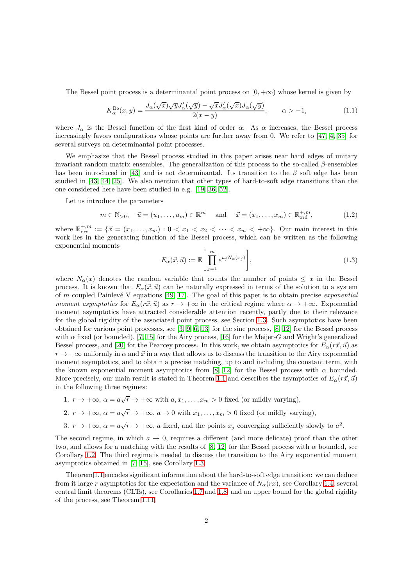The Bessel point process is a determinantal point process on  $[0, +\infty)$  whose kernel is given by

$$
K_{\alpha}^{\text{Be}}(x,y) = \frac{J_{\alpha}(\sqrt{x})\sqrt{y}J_{\alpha}'(\sqrt{y}) - \sqrt{x}J_{\alpha}'(\sqrt{x})J_{\alpha}(\sqrt{y})}{2(x-y)}, \qquad \alpha > -1,
$$
 (1.1)

where  $J_\alpha$  is the Bessel function of the first kind of order  $\alpha$ . As  $\alpha$  increases, the Bessel process increasingly favors configurations whose points are further away from 0. We refer to [\[47,](#page-45-7) [4,](#page-44-2) [35\]](#page-45-8) for several surveys on determinantal point processes.

We emphasize that the Bessel process studied in this paper arises near hard edges of unitary invariant random matrix ensembles. The generalization of this process to the so-called *β*-ensembles has been introduced in [\[43\]](#page-45-9) and is not determinantal. Its transition to the  $\beta$  soft edge has been studied in [\[43,](#page-45-9) [44,](#page-45-10) [25\]](#page-44-3). We also mention that other types of hard-to-soft edge transitions than the one considered here have been studied in e.g. [\[19,](#page-44-4) [36,](#page-45-11) [52\]](#page-45-12).

Let us introduce the parameters

$$
m \in \mathbb{N}_{>0}, \quad \vec{u} = (u_1, \dots, u_m) \in \mathbb{R}^m \quad \text{and} \quad \vec{x} = (x_1, \dots, x_m) \in \mathbb{R}_{\text{ord}}^{+,m},
$$
 (1.2)

where  $\mathbb{R}_{\text{ord}}^{+,m} := \{ \vec{x} = (x_1, \ldots, x_m) : 0 < x_1 < x_2 < \cdots < x_m < +\infty \}.$  Our main interest in this work lies in the generating function of the Bessel process, which can be written as the following exponential moments

$$
E_{\alpha}(\vec{x}, \vec{u}) := \mathbb{E}\left[\prod_{j=1}^{m} e^{u_j N_{\alpha}(x_j)}\right],
$$
\n(1.3)

where  $N_{\alpha}(x)$  denotes the random variable that counts the number of points  $\leq x$  in the Bessel process. It is known that  $E_{\alpha}(\vec{x}, \vec{u})$  can be naturally expressed in terms of the solution to a system of *m* coupled Painlev´e V equations [\[49,](#page-45-13) [17\]](#page-44-5). The goal of this paper is to obtain precise *exponential moment asymptotics* for  $E_\alpha(r\vec{x}, \vec{u})$  as  $r \to +\infty$  in the critical regime where  $\alpha \to +\infty$ . Exponential moment asymptotics have attracted considerable attention recently, partly due to their relevance for the global rigidity of the associated point process, see Section [1.3.](#page-8-0) Such asymptotics have been obtained for various point processes, see [\[3,](#page-44-6) [9,](#page-44-7) [6,](#page-44-8) [13\]](#page-44-9) for the sine process, [\[8,](#page-44-10) [12\]](#page-44-11) for the Bessel process with *α* fixed (or bounded), [\[7,](#page-44-12) [15\]](#page-44-13) for the Airy process, [\[16\]](#page-44-14) for the Meijer-*G* and Wright's generalized Bessel process, and [\[20\]](#page-44-15) for the Pearcey process. In this work, we obtain asymptotics for  $E_\alpha(r\vec{x}, \vec{u})$  as  $r \to +\infty$  uniformly in  $\alpha$  and  $\vec{x}$  in a way that allows us to discuss the transition to the Airy exponential moment asymptotics, and to obtain a precise matching, up to and including the constant term, with the known exponential moment asymptotics from [\[8,](#page-44-10) [12\]](#page-44-11) for the Bessel process with  $\alpha$  bounded. More precisely, our main result is stated in Theorem [1.1](#page-2-0) and describes the asymptotics of  $E_\alpha(r\vec{x}, \vec{u})$ in the following three regimes:

1.  $r \to +\infty$ ,  $\alpha = a\sqrt{r} \to +\infty$  with  $a, x_1, \ldots, x_m > 0$  fixed (or mildly varying),

2. 
$$
r \to +\infty
$$
,  $\alpha = a\sqrt{r} \to +\infty$ ,  $a \to 0$  with  $x_1, \ldots, x_m > 0$  fixed (or mildly varying),

3. 
$$
r \to +\infty
$$
,  $\alpha = a\sqrt{r} \to +\infty$ , a fixed, and the points  $x_j$  converging sufficiently slowly to  $a^2$ .

The second regime, in which  $a \to 0$ , requires a different (and more delicate) proof than the other two, and allows for a matching with the results of [\[8,](#page-44-10) [12\]](#page-44-11) for the Bessel process with *α* bounded, see Corollary [1.2.](#page-3-0) The third regime is needed to discuss the transition to the Airy exponential moment asymptotics obtained in [\[7,](#page-44-12) [15\]](#page-44-13), see Corollary [1.3.](#page-4-1)

Theorem [1.1](#page-2-0) encodes significant information about the hard-to-soft edge transition: we can deduce from it large *r* asymptotics for the expectation and the variance of  $N_\alpha(rx)$ , see Corollary [1.4,](#page-5-0) several central limit theorems (CLTs), see Corollaries [1.7](#page-6-0) and [1.8,](#page-7-0) and an upper bound for the global rigidity of the process, see Theorem [1.11.](#page-10-0)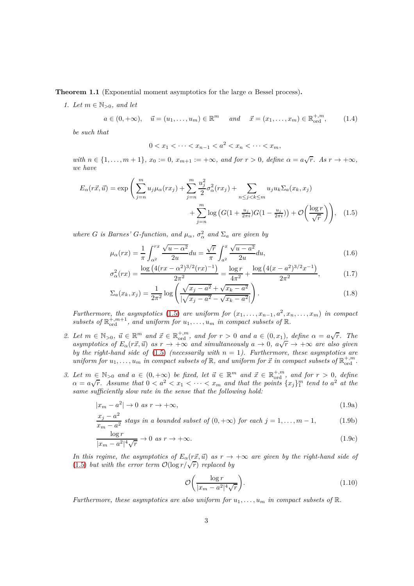<span id="page-2-2"></span><span id="page-2-0"></span>**Theorem 1.1** (Exponential moment asymptotics for the large  $\alpha$  Bessel process).

*1. Let*  $m \in \mathbb{N}_{>0}$ , and let

$$
a \in (0, +\infty), \quad \vec{u} = (u_1, \dots, u_m) \in \mathbb{R}^m \quad and \quad \vec{x} = (x_1, \dots, x_m) \in \mathbb{R}^{+,m}_{\text{ord}},
$$
 (1.4)

*be such that*

<span id="page-2-9"></span><span id="page-2-5"></span><span id="page-2-1"></span>
$$
0 < x_1 < \dots < x_{n-1} < a^2 < x_n < \dots < x_m
$$

 $with \ n \in \{1, \ldots, m+1\}, \ x_0 := 0, \ x_{m+1} := +\infty, \ and \ for \ r > 0, \ define \ \alpha = a\sqrt{r}. \ As \ r \to +\infty,$ *we have*

$$
E_{\alpha}(r\vec{x},\vec{u}) = \exp\left(\sum_{j=n}^{m} u_j \mu_{\alpha}(rx_j) + \sum_{j=n}^{m} \frac{u_j^2}{2} \sigma_{\alpha}^2(rx_j) + \sum_{n \le j < k \le m} u_j u_k \Sigma_a(x_k, x_j) + \sum_{j=n}^{m} \log\left(G(1 + \frac{u_j}{2\pi i})G(1 - \frac{u_j}{2\pi i})\right) + \mathcal{O}\left(\frac{\log r}{\sqrt{r}}\right)\right), \quad (1.5)
$$

*where G is Barnes' G*-function, and  $\mu_{\alpha}$ ,  $\sigma_{\alpha}^2$  and  $\Sigma_a$  are given by

$$
\mu_{\alpha}(rx) = \frac{1}{\pi} \int_{\alpha^2}^{rx} \frac{\sqrt{u - \alpha^2}}{2u} du = \frac{\sqrt{r}}{\pi} \int_{a^2}^{x} \frac{\sqrt{u - a^2}}{2u} du,
$$
\n(1.6)

$$
\sigma_{\alpha}^{2}(rx) = \frac{\log\left(4(rx - \alpha^{2})^{3/2}(rx)^{-1}\right)}{2\pi^{2}} = \frac{\log r}{4\pi^{2}} + \frac{\log\left(4(x - \alpha^{2})^{3/2}x^{-1}\right)}{2\pi^{2}},
$$
(1.7)

<span id="page-2-6"></span>
$$
\Sigma_a(x_k, x_j) = \frac{1}{2\pi^2} \log \left( \frac{\sqrt{x_j - a^2} + \sqrt{x_k - a^2}}{|\sqrt{x_j - a^2} - \sqrt{x_k - a^2}|} \right).
$$
\n(1.8)

*Furthermore, the asymptotics* [\(1.5\)](#page-2-1) *are uniform for*  $(x_1, \ldots, x_{n-1}, a^2, x_n, \ldots, x_m)$  *in compact* subsets of  $\mathbb{R}^{+,m+1}_{ord}$ , and uniform for  $u_1, \ldots, u_m$  in compact subsets of  $\mathbb{R}$ .

- <span id="page-2-3"></span>2. Let  $m \in \mathbb{N}_{>0}$ ,  $\vec{u} \in \mathbb{R}^m$  and  $\vec{x} \in \mathbb{R}_{\text{ord}}^{+,m}$ , and for  $r > 0$  and  $a \in (0, x_1)$ , define  $\alpha = a\sqrt{r}$ . The  $a$ symptotics of  $E_\alpha(r\vec{x}, \vec{u})$  as  $r \to +\infty$  and simultaneously  $a \to 0$ ,  $a\sqrt{r} \to +\infty$  are also given *by the right-hand side of* [\(1.5\)](#page-2-1) *(necessarily with*  $n = 1$ *). Furthermore, these asymptotics are uniform for*  $u_1, \ldots, u_m$  *in compact subsets of*  $\mathbb{R}$ *, and uniform for*  $\vec{x}$  *in compact subsets of*  $\mathbb{R}^{+,m}_{\text{ord}}$ *.*
- <span id="page-2-4"></span>*3. Let*  $m \in \mathbb{N}_{>0}$  and  $a \in (0, +\infty)$  be fixed, let  $\vec{u} \in \mathbb{R}^m$  and  $\vec{x} \in \mathbb{R}_{\text{ord}}^{+,m}$ , and for  $r > 0$ , define  $\alpha = a\sqrt{r}$ . Assume that  $0 < a^2 < x_1 < \cdots < x_m$  and that the points  $\{x_j\}_1^m$  tend to  $a^2$  at the *same sufficiently slow rate in the sense that the following hold:*

$$
|x_m - a^2| \to 0 \text{ as } r \to +\infty,
$$
\n(1.9a)

$$
\frac{x_j - a^2}{x_m - a^2}
$$
 stays in a bounded subset of  $(0, +\infty)$  for each  $j = 1, ..., m - 1$ , (1.9b)

$$
\frac{\log r}{|x_m - a^2|^4 \sqrt{r}} \to 0 \text{ as } r \to +\infty. \tag{1.9c}
$$

*In this regime, the asymptotics of*  $E_\alpha(r\vec{x}, \vec{u})$  *as*  $r \to +\infty$  *are given by the right-hand side of* [\(1.5\)](#page-2-1) *but with the error term*  $\mathcal{O}(\log r/\sqrt{r})$  *replaced by* 

<span id="page-2-10"></span><span id="page-2-8"></span><span id="page-2-7"></span>
$$
\mathcal{O}\bigg(\frac{\log r}{|x_m - a^2|^4 \sqrt{r}}\bigg). \tag{1.10}
$$

*Furthermore, these asymptotics are also uniform for*  $u_1, \ldots, u_m$  *in compact subsets of*  $\mathbb{R}$ *.*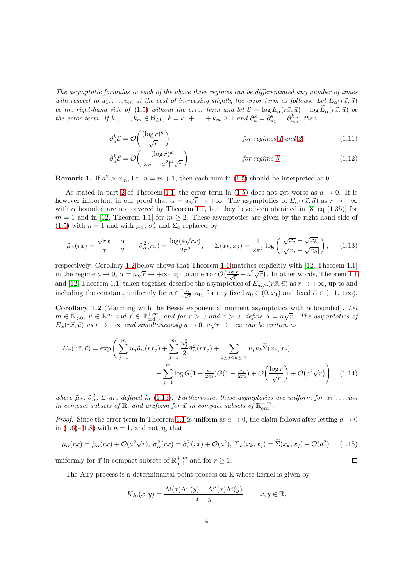*The asymptotic formulas in each of the above three regimes can be differentiated any number of times with respect to*  $u_1, \ldots, u_m$  *at the cost of increasing slightly the error term as follows. Let*  $\vec{E}_{\alpha}(r\vec{x}, \vec{u})$ *be the right-hand side of* [\(1.5\)](#page-2-1) *without the error term and let*  $\mathcal{E} = \log E_\alpha(r\vec{x}, \vec{u}) - \log \widetilde{E}_\alpha(r\vec{x}, \vec{u})$  *be* the error term. If  $k_1, ..., k_m \in \mathbb{N}_{\geq 0}$ ,  $k = k_1 + ... + k_m \geq 1$  and  $\partial_u^k = \partial_{u_1}^{k_1} ... \partial_{u_m}^{k_m}$ , then

<span id="page-3-3"></span><span id="page-3-2"></span>
$$
\partial_u^k \mathcal{E} = \mathcal{O}\left(\frac{(\log r)^k}{\sqrt{r}}\right) \qquad \text{for regimes 1 and 2,}
$$
\n
$$
\partial_u^k \mathcal{E} = \mathcal{O}\left(\frac{(\log r)^k}{|x_m - a^2|^4 \sqrt{r}}\right) \qquad \text{for regime 3.}
$$
\n(1.12)

**Remark 1.** If  $a^2 > x_m$ , i.e.  $n = m + 1$ , then each sum in [\(1.5\)](#page-2-1) should be interpreted as 0.

As stated in part [2](#page-2-3) of Theorem [1.1,](#page-2-0) the error term in [\(1.5\)](#page-2-1) does not get worse as  $a \to 0$ . It is however important in our proof that  $\alpha = a\sqrt{r} \to +\infty$ . The asymptotics of  $E_\alpha(r\vec{x}, \vec{u})$  as  $r \to +\infty$ with  $\alpha$  bounded are not covered by Theorem [1.1,](#page-2-0) but they have been obtained in [\[8,](#page-44-10) eq (1.35)] for  $m = 1$  and in [\[12,](#page-44-11) Theorem 1.1] for  $m \geq 2$ . These asymptotics are given by the right-hand side of [\(1.5\)](#page-2-1) with  $n = 1$  and with  $\mu_{\alpha}, \sigma_{\alpha}^2$  and  $\Sigma_a$  replaced by

$$
\tilde{\mu}_{\alpha}(rx) = \frac{\sqrt{rx}}{\pi} - \frac{\alpha}{2}, \quad \tilde{\sigma}_{\alpha}^2(rx) = \frac{\log(4\sqrt{rx})}{2\pi^2}, \quad \tilde{\Sigma}(x_k, x_j) = \frac{1}{2\pi^2} \log\left(\frac{\sqrt{x_j} + \sqrt{x_k}}{|\sqrt{x_j} - \sqrt{x_k}|}\right), \quad (1.13)
$$

respectively. Corollary [1.2](#page-3-0) below shows that Theorem [1.1](#page-2-0) matches explicitly with [\[12,](#page-44-11) Theorem 1.1] in the regime  $a \to 0$ ,  $\alpha = a\sqrt{r} \to +\infty$ , up to an error  $\mathcal{O}\left(\frac{\log r}{\sqrt{r}} + a^2\sqrt{r}\right)$ . In other words, Theorem [1.1](#page-2-0) and [\[12,](#page-44-11) Theorem 1.1] taken together describe the asymptotics of  $E_{a\sqrt{r}}(r\vec{x}, \vec{u})$  as  $r \to +\infty$ , up to and including the constant, uniformly for  $a \in \left[\frac{\tilde{\alpha}}{\sqrt{r}}, a_0\right]$  for any fixed  $a_0 \in (0, x_1)$  and fixed  $\tilde{\alpha} \in (-1, +\infty)$ .

<span id="page-3-0"></span>**Corollary 1.2** (Matching with the Bessel exponential moment asymptotics with *α* bounded)**.** *Let*  $m \in \mathbb{N}_{>0}$ ,  $\vec{u} \in \mathbb{R}^m$  and  $\vec{x} \in \mathbb{R}_{\text{ord}}^{+,m}$ , and for  $r > 0$  and  $a > 0$ , define  $\alpha = a\sqrt{r}$ . The asymptotics of  $E_{\alpha}(r\vec{x}, \vec{u})$  *as*  $r \to +\infty$  *and simultaneously*  $a \to 0$ ,  $a\sqrt{r} \to +\infty$  *can be written as* 

$$
E_{\alpha}(r\vec{x},\vec{u}) = \exp\left(\sum_{j=1}^{m} u_j \tilde{\mu}_{\alpha}(rx_j) + \sum_{j=1}^{m} \frac{u_j^2}{2} \tilde{\sigma}_{\alpha}^2(rx_j) + \sum_{1 \le j < k \le m} u_j u_k \tilde{\Sigma}(x_k, x_j) + \sum_{j=1}^{m} \log G(1 + \frac{u_j}{2\pi i}) G(1 - \frac{u_j}{2\pi i}) + \mathcal{O}\left(\frac{\log r}{\sqrt{r}}\right) + \mathcal{O}(a^2 \sqrt{r})\right), \quad (1.14)
$$

where  $\tilde{\mu}_{\alpha}$ ,  $\tilde{\sigma}_{\alpha}^2$ ,  $\Sigma$  are defined in [\(1.13\)](#page-3-1). Furthermore, these asymptotics are uniform for  $u_1, \ldots, u_m$ *in compact subsets of*  $\mathbb{R}$ *, and uniform for*  $\vec{x}$  *in compact subsets of*  $\mathbb{R}^{+,m}_{\text{ord}}$ *.* 

*Proof.* Since the error term in Theorem [1.1](#page-2-0) is uniform as  $a \to 0$ , the claim follows after letting  $a \to 0$ in  $(1.6)$ – $(1.8)$  with  $n = 1$ , and noting that

$$
\mu_{\alpha}(rx) = \tilde{\mu}_{\alpha}(rx) + \mathcal{O}(a^2\sqrt{r}), \ \sigma_{\alpha}^2(rx) = \tilde{\sigma}_{\alpha}^2(rx) + \mathcal{O}(a^2), \ \Sigma_a(x_k, x_j) = \tilde{\Sigma}(x_k, x_j) + \mathcal{O}(a^2) \tag{1.15}
$$

<span id="page-3-4"></span><span id="page-3-1"></span> $\Box$ 

uniformly for  $\vec{x}$  in compact subsets of  $\mathbb{R}^{+,m}_{\text{ord}}$  and for  $r \geq 1$ .

The Airy process is a determinantal point process on  $\mathbb R$  whose kernel is given by

$$
K_{\text{Ai}}(x,y) = \frac{\text{Ai}(x)\text{Ai}'(y) - \text{Ai}'(x)\text{Ai}(y)}{x - y}, \qquad x, y \in \mathbb{R},
$$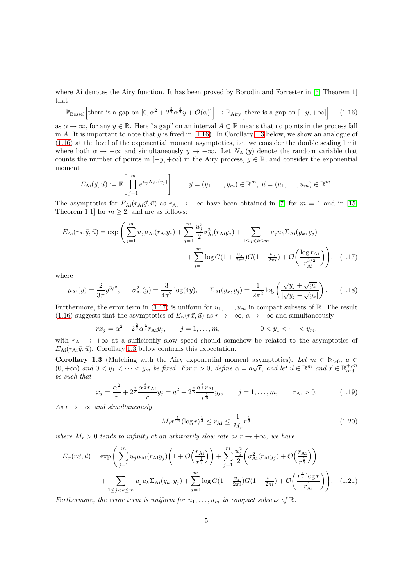where Ai denotes the Airy function. It has been proved by Borodin and Forrester in [\[5,](#page-44-0) Theorem 1] that

$$
\mathbb{P}_{\text{Bessel}}\Big[\text{there is a gap on }[0, \alpha^2 + 2^{\frac{2}{3}}\alpha^{\frac{4}{3}}y + \mathcal{O}(\alpha)]\Big] \to \mathbb{P}_{\text{Airy}}\Big[\text{there is a gap on }[-y, +\infty]\Big] \tag{1.16}
$$

as  $\alpha \to \infty$ , for any  $y \in \mathbb{R}$ . Here "a gap" on an interval  $A \subset \mathbb{R}$  means that no points in the process fall in *A*. It is important to note that *y* is fixed in [\(1.16\)](#page-4-0). In Corollary [1.3](#page-4-1) below, we show an analogue of [\(1.16\)](#page-4-0) at the level of the exponential moment asymptotics, i.e. we consider the double scaling limit where both  $\alpha \to +\infty$  and simultaneously  $y \to +\infty$ . Let  $N_{Ai}(y)$  denote the random variable that counts the number of points in  $[-y, +\infty)$  in the Airy process,  $y \in \mathbb{R}$ , and consider the exponential moment

<span id="page-4-0"></span>
$$
E_{\mathrm{Ai}}(\vec{y},\vec{u}) := \mathbb{E}\Bigg[\prod_{j=1}^m e^{u_j N_{\mathrm{Ai}}(y_j)}\Bigg], \qquad \vec{y} = (y_1,\ldots,y_m) \in \mathbb{R}^m, \ \vec{u} = (u_1,\ldots,u_m) \in \mathbb{R}^m.
$$

The asymptotics for  $E_{\text{Ai}}(r_{\text{Ai}}\vec{y}, \vec{u})$  as  $r_{\text{Ai}} \rightarrow +\infty$  have been obtained in [\[7\]](#page-44-12) for  $m = 1$  and in [\[15,](#page-44-13) Theorem 1.1] for  $m \geq 2$ , and are as follows:

$$
E_{\text{Ai}}(r_{\text{Ai}}\vec{y},\vec{u}) = \exp\left(\sum_{j=1}^{m} u_j \mu_{\text{Ai}}(r_{\text{Ai}}y_j) + \sum_{j=1}^{m} \frac{u_j^2}{2} \sigma_{\text{Ai}}^2(r_{\text{Ai}}y_j) + \sum_{1 \le j < k \le m} u_j u_k \Sigma_{\text{Ai}}(y_k, y_j) + \sum_{j=1}^{m} \log G(1 + \frac{u_j}{2\pi i}) G(1 - \frac{u_j}{2\pi i}) + \mathcal{O}\left(\frac{\log r_{\text{Ai}}}{r_{\text{Ai}}^{3/2}}\right)\right), \quad (1.17)
$$

where

$$
\mu_{\text{Ai}}(y) = \frac{2}{3\pi} y^{3/2}, \qquad \sigma_{\text{Ai}}^2(y) = \frac{3}{4\pi^2} \log(4y), \qquad \Sigma_{\text{Ai}}(y_k, y_j) = \frac{1}{2\pi^2} \log\left(\frac{\sqrt{y_j} + \sqrt{y_k}}{|\sqrt{y_j} - \sqrt{y_k}|}\right). \tag{1.18}
$$

Furthermore, the error term in [\(1.17\)](#page-4-2) is uniform for  $u_1, \ldots, u_m$  in compact subsets of R. The result [\(1.16\)](#page-4-0) suggests that the asymptotics of  $E_\alpha(r\vec{x}, \vec{u})$  as  $r \to +\infty$ ,  $\alpha \to +\infty$  and simultaneously

$$
rx_j = \alpha^2 + 2^{\frac{2}{3}} \alpha^{\frac{4}{3}} r_{\text{Ai}} y_j, \qquad j = 1, \dots, m, \qquad 0 < y_1 < \dots < y_m,
$$

with  $r_{\rm Ai} \rightarrow +\infty$  at a sufficiently slow speed should somehow be related to the asymptotics of  $E_{\text{Ai}}(r_{\text{Ai}}\vec{y}, \vec{u})$ . Corollary [1.3](#page-4-1) below confirms this expectation.

<span id="page-4-1"></span>**Corollary 1.3** (Matching with the Airy exponential moment asymptotics). Let  $m \in \mathbb{N}_{>0}$ ,  $a \in$  $(0, +\infty)$  and  $0 < y_1 < \cdots < y_m$  be fixed. For  $r > 0$ , define  $\alpha = a\sqrt{r}$ , and let  $\vec{u} \in \mathbb{R}^m$  and  $\vec{x} \in \mathbb{R}_{ord}^{+,m}$ *be such that*

$$
x_j = \frac{\alpha^2}{r} + 2^{\frac{2}{3}} \frac{\alpha^{\frac{4}{3}} r_{\text{Ai}}}{r} y_j = a^2 + 2^{\frac{2}{3}} \frac{\alpha^{\frac{4}{3}} r_{\text{Ai}}}{r^{\frac{1}{3}}} y_j, \qquad j = 1, \dots, m, \qquad r_{\text{Ai}} > 0. \tag{1.19}
$$

 $As r \rightarrow +\infty$  *and simultaneously* 

<span id="page-4-3"></span><span id="page-4-2"></span>
$$
M_r r^{\frac{5}{24}} (\log r)^{\frac{1}{4}} \le r_{\text{Ai}} \le \frac{1}{M_r} r^{\frac{1}{3}}
$$
\n(1.20)

*where*  $M_r > 0$  *tends to infinity at an arbitrarily slow rate as*  $r \rightarrow +\infty$ *, we have* 

$$
E_{\alpha}(r\vec{x},\vec{u}) = \exp\left(\sum_{j=1}^{m} u_j \mu_{Ai}(r_{Ai}y_j) \left(1 + \mathcal{O}\left(\frac{r_{Ai}}{r^{\frac{1}{3}}}\right)\right) + \sum_{j=1}^{m} \frac{u_j^2}{2} \left(\sigma_{Ai}^2(r_{Ai}y_j) + \mathcal{O}\left(\frac{r_{Ai}}{r^{\frac{1}{3}}}\right)\right) + \sum_{1 \le j < k \le m} u_j u_k \Sigma_{Ai}(y_k, y_j) + \sum_{j=1}^{m} \log G\left(1 + \frac{u_j}{2\pi i}\right) G\left(1 - \frac{u_j}{2\pi i}\right) + \mathcal{O}\left(\frac{r^{\frac{5}{6}} \log r}{r_{Ai}^4}\right)\right). \tag{1.21}
$$

*Furthermore, the error term is uniform for*  $u_1, \ldots, u_m$  *in compact subsets of*  $\mathbb{R}$ .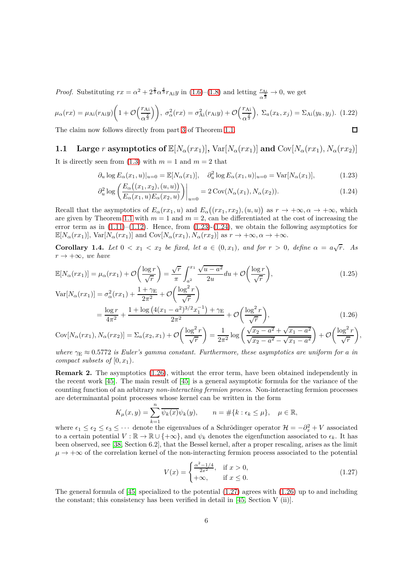*Proof.* Substituting  $rx = \alpha^2 + 2^{\frac{2}{3}} \alpha^{\frac{4}{3}} r_{\text{Ai}} y$  in [\(1.6\)](#page-2-5)–[\(1.8\)](#page-2-6) and letting  $\frac{r_{\text{Ai}}}{\alpha^{\frac{2}{3}}} \to 0$ , we get

$$
\mu_{\alpha}(rx) = \mu_{\text{Ai}}(r_{\text{Ai}}y) \left( 1 + \mathcal{O}\left(\frac{r_{\text{Ai}}}{\alpha^{\frac{2}{3}}}\right) \right), \ \sigma_{\alpha}^{2}(rx) = \sigma_{\text{Ai}}^{2}(r_{\text{Ai}}y) + \mathcal{O}\left(\frac{r_{\text{Ai}}}{\alpha^{\frac{2}{3}}}\right), \ \Sigma_{a}(x_{k}, x_{j}) = \Sigma_{\text{Ai}}(y_{k}, y_{j}). \tag{1.22}
$$
\nThe claim now follows directly from part 3 of Theorem 1.1.

The claim now follows directly from part [3](#page-2-4) of Theorem [1.1.](#page-2-0)

# **1.1** Large *r* asymptotics of  $\mathbb{E}[N_\alpha(rx_1)], \text{Var}[N_\alpha(rx_1)]$  and  $\text{Cov}[N_\alpha(rx_1), N_\alpha(rx_2)]$

It is directly seen from  $(1.3)$  with  $m = 1$  and  $m = 2$  that

$$
\partial_u \log E_{\alpha}(x_1, u)|_{u=0} = \mathbb{E}[N_{\alpha}(x_1)], \quad \partial_u^2 \log E_{\alpha}(x_1, u)|_{u=0} = \text{Var}[N_{\alpha}(x_1)], \tag{1.23}
$$

$$
\partial_u^2 \log \left( \frac{E_\alpha((x_1, x_2), (u, u))}{E_\alpha(x_1, u) E_\alpha(x_2, u)} \right) \Big|_{u=0} = 2 \operatorname{Cov}(N_\alpha(x_1), N_\alpha(x_2)). \tag{1.24}
$$

Recall that the asymptotics of  $E_\alpha(rx_1, u)$  and  $E_\alpha((rx_1, rx_2), (u, u))$  as  $r \to +\infty, \alpha \to +\infty$ , which are given by Theorem [1.1](#page-2-0) with  $m = 1$  and  $m = 2$ , can be differentiated at the cost of increasing the error term as in  $(1.11)$ – $(1.12)$ . Hence, from  $(1.23)$ - $(1.24)$ , we obtain the following asymptotics for  $\mathbb{E}[N_\alpha(rx_1)], \text{Var}[N_\alpha(rx_1)] \text{ and } \text{Cov}[N_\alpha(rx_1), N_\alpha(rx_2)] \text{ as } r \to +\infty, \alpha \to +\infty.$ 

<span id="page-5-0"></span>**Corollary 1.4.** *Let*  $0 < x_1 < x_2$  *be fixed, let*  $a \in (0, x_1)$ *, and for*  $r > 0$ *, define*  $\alpha = a\sqrt{r}$ *. As*  $r \rightarrow +\infty$ *, we have* 

$$
\mathbb{E}[N_{\alpha}(rx_1)] = \mu_{\alpha}(rx_1) + \mathcal{O}\left(\frac{\log r}{\sqrt{r}}\right) = \frac{\sqrt{r}}{\pi} \int_{a^2}^{x_1} \frac{\sqrt{u - a^2}}{2u} du + \mathcal{O}\left(\frac{\log r}{\sqrt{r}}\right),\tag{1.25}
$$

$$
\operatorname{Var}[N_{\alpha}(rx_{1})] = \sigma_{\alpha}^{2}(rx_{1}) + \frac{1 + \gamma_{\mathcal{E}}}{2\pi^{2}} + \mathcal{O}\left(\frac{\log^{2} r}{\sqrt{r}}\right)
$$
  
= 
$$
\frac{\log r}{4\pi^{2}} + \frac{1 + \log\left(4(x_{1} - a^{2})^{3/2}x_{1}^{-1}\right) + \gamma_{\mathcal{E}}}{2\pi^{2}} + \mathcal{O}\left(\frac{\log^{2} r}{\sqrt{r}}\right),
$$
(1.26)  
( $\log^{2} r$ ) 
$$
1 + \sqrt{\frac{\gamma_{\mathcal{E}} - a^{2}}{2}} + \sqrt{\frac{\gamma_{\mathcal{E}} - a^{2}}{2}} \sqrt{\log^{2} r}
$$

$$
Cov[N_{\alpha}(rx_{1}), N_{\alpha}(rx_{2})] = \Sigma_{a}(x_{2}, x_{1}) + \mathcal{O}\left(\frac{\log^{2} r}{\sqrt{r}}\right) = \frac{1}{2\pi^{2}} \log\left(\frac{\sqrt{x_{2} - a^{2}} + \sqrt{x_{1} - a^{2}}}{\sqrt{x_{2} - a^{2}} - \sqrt{x_{1} - a^{2}}}\right) + \mathcal{O}\left(\frac{\log^{2} r}{\sqrt{r}}\right)
$$

*where*  $\gamma_E \approx 0.5772$  *is Euler's gamma constant. Furthermore, these asymptotics are uniform for a in compact subsets of*  $[0, x_1)$ *.* 

**Remark 2.** The asymptotics  $(1.26)$ , without the error term, have been obtained independently in the recent work [\[45\]](#page-45-14). The main result of [\[45\]](#page-45-14) is a general asymptotic formula for the variance of the counting function of an arbitrary *non-interacting fermion process*. Non-interacting fermion processes are determinantal point processes whose kernel can be written in the form

$$
K_{\mu}(x,y) = \sum_{k=1}^{n} \overline{\psi_k(x)} \psi_k(y), \qquad n = \#\{k : \epsilon_k \le \mu\}, \quad \mu \in \mathbb{R},
$$

where  $\epsilon_1 \leq \epsilon_2 \leq \epsilon_3 \leq \cdots$  denote the eigenvalues of a Schrödinger operator  $\mathcal{H} = -\partial_x^2 + V$  associated to a certain potential  $V : \mathbb{R} \to \mathbb{R} \cup \{+\infty\}$ , and  $\psi_k$  denotes the eigenfunction associated to  $\epsilon_k$ . It has been observed, see [\[38,](#page-45-15) Section 6.2], that the Bessel kernel, after a proper rescaling, arises as the limit  $\mu \rightarrow +\infty$  of the correlation kernel of the non-interacting fermion process associated to the potential

$$
V(x) = \begin{cases} \frac{\alpha^2 - 1/4}{2x^2}, & \text{if } x > 0, \\ +\infty, & \text{if } x \le 0. \end{cases}
$$
 (1.27)

<span id="page-5-4"></span><span id="page-5-3"></span><span id="page-5-2"></span><span id="page-5-1"></span>*,*

The general formula of [\[45\]](#page-45-14) specialized to the potential  $(1.27)$  agrees with  $(1.26)$  up to and including the constant; this consistency has been verified in detail in [\[45,](#page-45-14) Section V (ii)].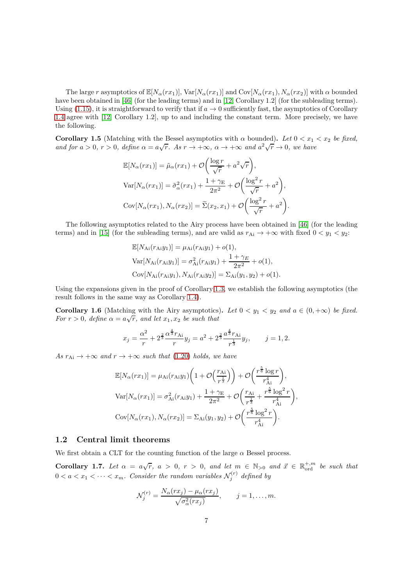The large *r* asymptotics of  $\mathbb{E}[N_{\alpha}(rx_1)], \text{Var}[N_{\alpha}(rx_1)]$  and  $\text{Cov}[N_{\alpha}(rx_1), N_{\alpha}(rx_2)]$  with  $\alpha$  bounded have been obtained in [\[46\]](#page-45-16) (for the leading terms) and in [\[12,](#page-44-11) Corollary 1.2] (for the subleading terms). Using [\(1.15\)](#page-3-4), it is straightforward to verify that if  $a \to 0$  sufficiently fast, the asymptotics of Corollary [1.4](#page-5-0) agree with [\[12,](#page-44-11) Corollary 1.2], up to and including the constant term. More precisely, we have the following.

**Corollary 1.5** (Matching with the Bessel asymptotics with  $\alpha$  bounded). Let  $0 < x_1 < x_2$  be fixed, *and for*  $a > 0$ ,  $r > 0$ , define  $\alpha = a\sqrt{r}$ . As  $r \to +\infty$ ,  $\alpha \to +\infty$  and  $a^2\sqrt{r} \to 0$ , we have

$$
\mathbb{E}[N_{\alpha}(rx_1)] = \tilde{\mu}_{\alpha}(rx_1) + \mathcal{O}\left(\frac{\log r}{\sqrt{r}} + a^2\sqrt{r}\right),
$$
  
\n
$$
\text{Var}[N_{\alpha}(rx_1)] = \tilde{\sigma}_{\alpha}^2(rx_1) + \frac{1+\gamma_{\text{E}}}{2\pi^2} + \mathcal{O}\left(\frac{\log^2 r}{\sqrt{r}} + a^2\right),
$$
  
\n
$$
\text{Cov}[N_{\alpha}(rx_1), N_{\alpha}(rx_2)] = \tilde{\Sigma}(x_2, x_1) + \mathcal{O}\left(\frac{\log^2 r}{\sqrt{r}} + a^2\right).
$$

The following asymptotics related to the Airy process have been obtained in [\[46\]](#page-45-16) (for the leading terms) and in [\[15\]](#page-44-13) (for the subleading terms), and are valid as  $r_{Ai} \rightarrow +\infty$  with fixed  $0 < y_1 < y_2$ :

$$
\mathbb{E}[N_{\text{Ai}}(r_{\text{Ai}}y_1)] = \mu_{\text{Ai}}(r_{\text{Ai}}y_1) + o(1),
$$
  
\n
$$
\text{Var}[N_{\text{Ai}}(r_{\text{Ai}}y_1)] = \sigma_{\text{Ai}}^2(r_{\text{Ai}}y_1) + \frac{1 + \gamma_E}{2\pi^2} + o(1),
$$
  
\n
$$
\text{Cov}[N_{\text{Ai}}(r_{\text{Ai}}y_1), N_{\text{Ai}}(r_{\text{Ai}}y_2)] = \Sigma_{\text{Ai}}(y_1, y_2) + o(1).
$$

Using the expansions given in the proof of Corollary [1.3,](#page-4-1) we establish the following asymptotics (the result follows in the same way as Corollary [1.4\)](#page-5-0).

**Corollary 1.6** (Matching with the Airy asymptotics). Let  $0 < y_1 < y_2$  and  $a \in (0, +\infty)$  be fixed. *For*  $r > 0$ *, define*  $\alpha = a\sqrt{r}$ *, and let*  $x_1, x_2$  *be such that* 

$$
x_j = \frac{\alpha^2}{r} + 2^{\frac{2}{3}} \frac{\alpha^{\frac{4}{3}} r_{\text{Ai}}}{r} y_j = a^2 + 2^{\frac{2}{3}} \frac{a^{\frac{4}{3}} r_{\text{Ai}}}{r^{\frac{1}{3}}} y_j, \qquad j = 1, 2.
$$

*As*  $r_{Ai} \rightarrow +\infty$  *and*  $r \rightarrow +\infty$  *such that* [\(1.20\)](#page-4-3) *holds, we have* 

$$
\mathbb{E}[N_{\alpha}(rx_1)] = \mu_{\text{Ai}}(r_{\text{Ai}}y_1)\left(1+\mathcal{O}\left(\frac{r_{\text{Ai}}}{r^{\frac{1}{3}}}\right)\right) + \mathcal{O}\left(\frac{r^{\frac{5}{6}}\log r}{r_{\text{Ai}}^4}\right),
$$
\n
$$
\text{Var}[N_{\alpha}(rx_1)] = \sigma_{\text{Ai}}^2(r_{\text{Ai}}y_1) + \frac{1+\gamma_{\text{E}}}{2\pi^2} + \mathcal{O}\left(\frac{r_{\text{Ai}}}{r^{\frac{1}{3}}} + \frac{r^{\frac{5}{6}}\log^2 r}{r_{\text{Ai}}^4}\right),
$$
\n
$$
\text{Cov}[N_{\alpha}(rx_1), N_{\alpha}(rx_2)] = \Sigma_{\text{Ai}}(y_1, y_2) + \mathcal{O}\left(\frac{r^{\frac{5}{6}}\log^2 r}{r_{\text{Ai}}^4}\right).
$$

### **1.2 Central limit theorems**

We first obtain a CLT for the counting function of the large  $\alpha$  Bessel process.

<span id="page-6-0"></span>**Corollary 1.7.** Let  $\alpha = a\sqrt{r}$ ,  $a > 0$ ,  $r > 0$ , and let  $m \in \mathbb{N}_{>0}$  and  $\vec{x} \in \mathbb{R}_{\text{ord}}^{+,m}$  be such that  $0 < a < x_1 < \cdots < x_m$ . Consider the random variables  $\mathcal{N}_j^{(r)}$  defined by

$$
\mathcal{N}_j^{(r)} = \frac{N_\alpha(rx_j) - \mu_\alpha(rx_j)}{\sqrt{\sigma_\alpha^2(rx_j)}}, \qquad j = 1, \dots, m.
$$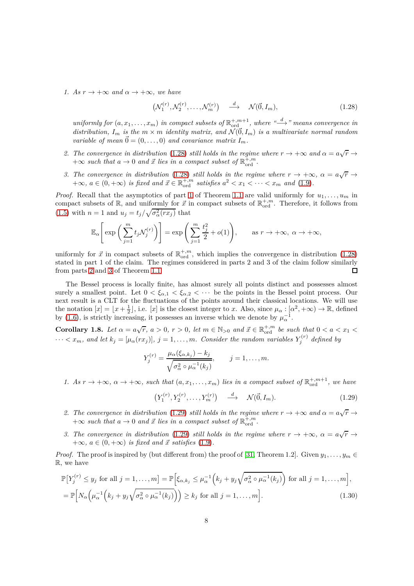*1.* As  $r \to +\infty$  and  $\alpha \to +\infty$ , we have

<span id="page-7-1"></span>
$$
\left(\mathcal{N}_1^{(r)}, \mathcal{N}_2^{(r)}, \dots, \mathcal{N}_m^{(r)}\right) \quad \stackrel{d}{\longrightarrow} \quad \mathcal{N}(\vec{0}, I_m),\tag{1.28}
$$

 $uniformly for (a, x_1, \ldots, x_m)$  in compact subsets of  $\mathbb{R}^{+,m+1}_{\text{ord}}$ , where  $\overset{d}{\longrightarrow}$  " means convergence in *distribution,*  $I_m$  *is the*  $m \times m$  *identity matrix, and*  $\mathcal{N}(\vec{0}, I_m)$  *is a multivariate normal random variable of mean*  $\vec{0} = (0, \ldots, 0)$  *and covariance matrix*  $I_m$ .

- 2. The convergence in distribution [\(1.28\)](#page-7-1) *still holds* in the regime where  $r \to +\infty$  and  $\alpha = a\sqrt{r} \to$  $+\infty$  *such that*  $a \to 0$  *and*  $\vec{x}$  *lies in a compact subset of*  $\mathbb{R}^{+,m}_{\text{ord}}$ .
- *3. The convergence in distribution* [\(1.28\)](#page-7-1) *still holds in the regime where*  $r \to +\infty$ *,*  $\alpha = a\sqrt{r} \to$  $+\infty$ *,*  $a \in (0, +\infty)$  *is fixed and*  $\vec{x} \in \mathbb{R}_{\text{ord}}^{+,m}$  *satisfies*  $a^2 < x_1 < \cdots < x_m$  *and* [\(1.9\)](#page-2-8)*.*

*Proof.* Recall that the asymptotics of part [1](#page-2-2) of Theorem [1.1](#page-2-0) are valid uniformly for  $u_1, \ldots, u_m$  in compact subsets of  $\mathbb{R}$ , and uniformly for  $\vec{x}$  in compact subsets of  $\mathbb{R}^{+,m}_{\text{ord}}$ . Therefore, it follows from  $(1.5)$  with  $n = 1$  and  $u_j = t_j / \sqrt{\sigma_\alpha^2 (r x_j)}$  that

$$
\mathbb{E}_{\alpha}\left[\exp\left(\sum_{j=1}^{m} t_j \mathcal{N}_j^{(r)}\right)\right] = \exp\left(\sum_{j=1}^{m} \frac{t_j^2}{2} + o(1)\right), \quad \text{as } r \to +\infty, \ \alpha \to +\infty,
$$

uniformly for  $\vec{x}$  in compact subsets of  $\mathbb{R}^{+,m}_{\text{ord}}$ , which implies the convergence in distribution [\(1.28\)](#page-7-1) stated in part 1 of the claim. The regimes considered in parts 2 and 3 of the claim follow similarly from parts [2](#page-2-3) and [3](#page-2-4) of Theorem [1.1.](#page-2-0) □

The Bessel process is locally finite, has almost surely all points distinct and possesses almost surely a smallest point. Let  $0 < \xi_{\alpha,1} < \xi_{\alpha,2} < \cdots$  be the points in the Bessel point process. Our next result is a CLT for the fluctuations of the points around their classical locations. We will use the notation  $[x] = \lfloor x + \frac{1}{2} \rfloor$ , i.e.  $[x]$  is the closest integer to *x*. Also, since  $\mu_\alpha : [\alpha^2, +\infty) \to \mathbb{R}$ , defined by [\(1.6\)](#page-2-5), is strictly increasing, it possesses an inverse which we denote by  $\mu_{\alpha}^{-1}$ .

<span id="page-7-0"></span>**Corollary 1.8.** Let  $\alpha = a\sqrt{r}$ ,  $a > 0$ ,  $r > 0$ , let  $m \in \mathbb{N}_{>0}$  and  $\vec{x} \in \mathbb{R}_{\text{ord}}^{+,m}$  be such that  $0 < a < x_1 <$  $\cdots < x_m$ *, and let*  $k_j = [\mu_\alpha(rx_j)], j = 1, \ldots, m$ *. Consider the random variables*  $Y_j^{(r)}$  *defined by* 

$$
Y_j^{(r)} = \frac{\mu_\alpha(\xi_{\alpha,k_j}) - k_j}{\sqrt{\sigma_\alpha^2 \circ \mu_\alpha^{-1}(k_j)}}, \qquad j = 1, \dots, m.
$$

*1.* As  $r \to +\infty$ ,  $\alpha \to +\infty$ , such that  $(a, x_1, \ldots, x_m)$  lies in a compact subset of  $\mathbb{R}^{+,m+1}_{\text{ord}}$ , we have

<span id="page-7-3"></span><span id="page-7-2"></span>
$$
(Y_1^{(r)}, Y_2^{(r)}, \dots, Y_m^{(r)}) \quad \xrightarrow{d} \quad \mathcal{N}(\vec{0}, I_m). \tag{1.29}
$$

- 2. The convergence in distribution [\(1.29\)](#page-7-2) *still holds* in the regime where  $r \to +\infty$  and  $\alpha = a\sqrt{r} \to$  $+\infty$  *such that*  $a \to 0$  *and*  $\vec{x}$  *lies in a compact subset of*  $\mathbb{R}^{+,m}_{\text{ord}}$ .
- *3. The convergence in distribution* [\(1.29\)](#page-7-2) *still holds in the regime where*  $r \to +\infty$ *,*  $\alpha = a\sqrt{r} \to$  $+\infty$ *,*  $a \in (0, +\infty)$  *is fixed and*  $\vec{x}$  *satisfies* [\(1.9\)](#page-2-8)*.*

*Proof.* The proof is inspired by (but different from) the proof of [\[31,](#page-45-17) Theorem 1.2]. Given  $y_1, \ldots, y_m \in$ R, we have

$$
\mathbb{P}\big[Y_j^{(r)} \le y_j \text{ for all } j = 1, \dots, m\big] = \mathbb{P}\Big[\xi_{\alpha,k_j} \le \mu_{\alpha}^{-1}\Big(k_j + y_j\sqrt{\sigma_{\alpha}^2 \circ \mu_{\alpha}^{-1}(k_j)}\Big) \text{ for all } j = 1, \dots, m\Big],
$$
  
\n
$$
= \mathbb{P}\Big[N_{\alpha}\Big(\mu_{\alpha}^{-1}\Big(k_j + y_j\sqrt{\sigma_{\alpha}^2 \circ \mu_{\alpha}^{-1}(k_j)}\Big)\Big) \ge k_j \text{ for all } j = 1, \dots, m\Big].
$$
 (1.30)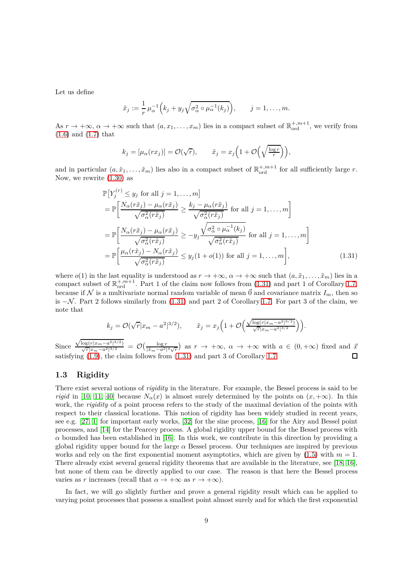Let us define

$$
\tilde{x}_j := \frac{1}{r} \mu_\alpha^{-1} \Big( k_j + y_j \sqrt{\sigma_\alpha^2 \circ \mu_\alpha^{-1}(k_j)} \Big), \qquad j = 1, \dots, m.
$$

As  $r \to +\infty$ ,  $\alpha \to +\infty$  such that  $(a, x_1, \ldots, x_m)$  lies in a compact subset of  $\mathbb{R}^{+,m+1}_{\text{ord}}$ , we verify from [\(1.6\)](#page-2-5) and [\(1.7\)](#page-2-9) that

<span id="page-8-1"></span>
$$
k_j = [\mu_\alpha(rx_j)] = \mathcal{O}(\sqrt{r}), \qquad \tilde{x}_j = x_j \left(1 + \mathcal{O}\left(\sqrt{\frac{\log r}{r}}\right)\right),
$$

and in particular  $(a, \tilde{x}_1, \ldots, \tilde{x}_m)$  lies also in a compact subset of  $\mathbb{R}^{+,m+1}_{\text{ord}}$  for all sufficiently large *r*. Now, we rewrite [\(1.30\)](#page-7-3) as

$$
\mathbb{P}\left[Y_j^{(r)} \leq y_j \text{ for all } j = 1, ..., m\right]
$$
\n
$$
= \mathbb{P}\left[\frac{N_{\alpha}(r\tilde{x}_j) - \mu_{\alpha}(r\tilde{x}_j)}{\sqrt{\sigma_{\alpha}^2(r\tilde{x}_j)}} \geq \frac{k_j - \mu_{\alpha}(r\tilde{x}_j)}{\sqrt{\sigma_{\alpha}^2(r\tilde{x}_j)}} \text{ for all } j = 1, ..., m\right]
$$
\n
$$
= \mathbb{P}\left[\frac{N_{\alpha}(r\tilde{x}_j) - \mu_{\alpha}(r\tilde{x}_j)}{\sqrt{\sigma_{\alpha}^2(r\tilde{x}_j)}} \geq -y_j \frac{\sqrt{\sigma_{\alpha}^2 \circ \mu_{\alpha}^{-1}(k_j)}}{\sqrt{\sigma_{\alpha}^2(r\tilde{x}_j)}} \text{ for all } j = 1, ..., m\right]
$$
\n
$$
= \mathbb{P}\left[\frac{\mu_{\alpha}(r\tilde{x}_j) - N_{\alpha}(r\tilde{x}_j)}{\sqrt{\sigma_{\alpha}^2(r\tilde{x}_j)}} \leq y_j(1 + o(1)) \text{ for all } j = 1, ..., m\right],
$$
\n(1.31)

where  $o(1)$  in the last equality is understood as  $r \to +\infty$ ,  $\alpha \to +\infty$  such that  $(a, \tilde{x}_1, \ldots, \tilde{x}_m)$  lies in a compact subset of  $\mathbb{R}^{+,m+1}_{\text{ord}}$ . Part 1 of the claim now follows from [\(1.31\)](#page-8-1) and part 1 of Corollary [1.7,](#page-6-0) because if N is a multivariate normal random variable of mean  $\vec{0}$  and covariance matrix  $I_m$ , then so is −N . Part 2 follows similarly from [\(1.31\)](#page-8-1) and part 2 of Corollary [1.7.](#page-6-0) For part 3 of the claim, we note that

$$
k_j = \mathcal{O}(\sqrt{r}|x_m - a^2|^{3/2}), \qquad \tilde{x}_j = x_j \left(1 + \mathcal{O}\left(\frac{\sqrt{\log(r|x_m - a^2|^{3/2})}}{\sqrt{r}|x_m - a^2|^{3/2}}\right)\right).
$$

Since  $\frac{\sqrt{\log(r|x_m-a^2|^{3/2})}}{\sqrt{r}|x_m-a^2|^{3/2}} = \mathcal{O}\left(\frac{\log r}{|\tilde{x}_m-a^2|^4\sqrt{r}}\right)$  as  $r \to +\infty$ ,  $\alpha \to +\infty$  with  $a \in (0, +\infty)$  fixed and  $\frac{\vec{x}}{2}$ satisfying  $(1.9)$ , the claim follows from  $(1.31)$  and part 3 of Corollary [1.7.](#page-6-0)

#### <span id="page-8-0"></span>**1.3 Rigidity**

There exist several notions of *rigidity* in the literature. For example, the Bessel process is said to be *rigid* in [\[10,](#page-44-16) [11,](#page-44-17) [40\]](#page-45-18) because  $N_\alpha(x)$  is almost surely determined by the points on  $(x, +\infty)$ . In this work, the *rigidity* of a point process refers to the study of the maximal deviation of the points with respect to their classical locations. This notion of rigidity has been widely studied in recent years, see e.g. [\[27,](#page-45-19) [1\]](#page-44-18) for important early works, [\[32\]](#page-45-20) for the sine process, [\[16\]](#page-44-14) for the Airy and Bessel point processes, and [\[14\]](#page-44-19) for the Pearcey process. A global rigidity upper bound for the Bessel process with  $\alpha$  bounded has been established in [\[16\]](#page-44-14). In this work, we contribute in this direction by providing a global rigidity upper bound for the large *α* Bessel process. Our techniques are inspired by previous works and rely on the first exponential moment asymptotics, which are given by  $(1.5)$  with  $m = 1$ . There already exist several general rigidity theorems that are available in the literature, see [\[18,](#page-44-20) [16\]](#page-44-14), but none of them can be directly applied to our case. The reason is that here the Bessel process varies as *r* increases (recall that  $\alpha \to +\infty$  as  $r \to +\infty$ ).

In fact, we will go slightly further and prove a general rigidity result which can be applied to varying point processes that possess a smallest point almost surely and for which the first exponential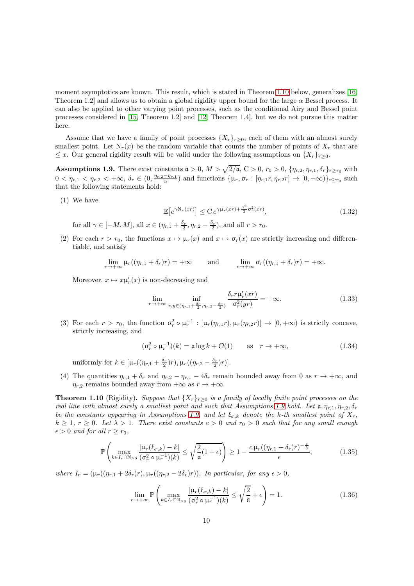moment asymptotics are known. This result, which is stated in Theorem [1.10](#page-9-0) below, generalizes [\[16,](#page-44-14) Theorem 1.2] and allows us to obtain a global rigidity upper bound for the large  $\alpha$  Bessel process. It can also be applied to other varying point processes, such as the conditional Airy and Bessel point processes considered in [\[15,](#page-44-13) Theorem 1.2] and [\[12,](#page-44-11) Theorem 1.4], but we do not pursue this matter here.

Assume that we have a family of point processes  $\{X_r\}_{r\geq 0}$ , each of them with an almost surely smallest point. Let  $N_r(x)$  be the random variable that counts the number of points of  $X_r$  that are ≤ *x*. Our general rigidity result will be valid under the following assumptions on  $\{X_r\}_{r>0}$ .

<span id="page-9-1"></span>**Assumptions 1.9.** There exist constants  $a > 0$ ,  $M > \sqrt{2/a}$ ,  $C > 0$ ,  $r_0 > 0$ ,  $\{\eta_{r,2}, \eta_{r,1}, \delta_r\}_{r \ge r_0}$  with  $0 < \eta_{r,1} < \eta_{r,2} < +\infty$ ,  $\delta_r \in (0, \frac{\eta_{r,2} - \eta_{r,1}}{5})$  and functions  $\{\mu_r, \sigma_r : [\eta_{r,1}r, \eta_{r,2}r] \to [0, +\infty)\}_{r \geq r_0}$  such that the following statements hold:

<span id="page-9-4"></span>(1) We have

$$
\mathbb{E}\left[e^{\gamma \mathcal{N}_r(xr)}\right] \leq C \, e^{\gamma \mu_r(xr) + \frac{\gamma^2}{2} \sigma_r^2(xr)},\tag{1.32}
$$

for all  $\gamma \in [-M, M]$ , all  $x \in (\eta_{r,1} + \frac{\delta_r}{2}, \eta_{r,2} - \frac{\delta_r}{2})$ , and all  $r > r_0$ .

(2) For each  $r > r_0$ , the functions  $x \mapsto \mu_r(x)$  and  $x \mapsto \sigma_r(x)$  are strictly increasing and differentiable, and satisfy

$$
\lim_{r \to +\infty} \mu_r((\eta_{r,1} + \delta_r)r) = +\infty \quad \text{and} \quad \lim_{r \to +\infty} \sigma_r((\eta_{r,1} + \delta_r)r) = +\infty.
$$

Moreover,  $x \mapsto x\mu'_r(x)$  is non-decreasing and

<span id="page-9-5"></span>
$$
\lim_{r \to +\infty} \inf_{x,y \in (\eta_{r,1} + \frac{\delta_r}{2}, \eta_{r,2} - \frac{\delta_r}{2})} \frac{\delta_r r \mu'_r(xr)}{\sigma_r^2(yr)} = +\infty.
$$
\n(1.33)

(3) For each  $r > r_0$ , the function  $\sigma_r^2 \circ \mu_r^{-1} : [\mu_r(\eta_{r,1}r), \mu_r(\eta_{r,2}r)] \to [0, +\infty)$  is strictly concave, strictly increasing, and

$$
(\sigma_r^2 \circ \mu_r^{-1})(k) = \mathfrak{a} \log k + \mathcal{O}(1) \quad \text{as} \quad r \to +\infty,
$$
 (1.34)

uniformly for  $k \in [\mu_r((\eta_{r,1} + \frac{\delta_r}{2})r), \mu_r((\eta_{r,2} - \frac{\delta_r}{2})r)].$ 

(4) The quantities  $\eta_{r,1} + \delta_r$  and  $\eta_{r,2} - \eta_{r,1} - 4\delta_r$  remain bounded away from 0 as  $r \to +\infty$ , and  $\eta_{r,2}$  remains bounded away from  $+\infty$  as  $r \to +\infty$ .

<span id="page-9-0"></span>**Theorem 1.10** (Rigidity). *Suppose that*  $\{X_r\}_{r\geq 0}$  *is a family of locally finite point processes on the real line with almost surely a smallest point and such that Assumptions [1.9](#page-9-1) hold. Let*  $\mathfrak{a}, \eta_{r,1}, \eta_{r,2}, \delta_r$ *be the constants appearing in Assumptions [1.9,](#page-9-1) and let*  $\xi_{r,k}$  *denote the k*-th smallest point of  $X_r$ ,  $k \geq 1, r \geq 0$ . Let  $\lambda > 1$ . There exist constants  $c > 0$  and  $r_0 > 0$  such that for any small enough  $\epsilon > 0$  *and for all*  $r \geq r_0$ *,* 

$$
\mathbb{P}\left(\max_{k\in I_r\cap\mathbb{N}_{\geq 0}}\frac{|\mu_r(\xi_{r,k})-k|}{(\sigma_r^2\circ\mu_r^{-1})(k)}\leq\sqrt{\frac{2}{\mathfrak{a}}(1+\epsilon)}\right)\geq 1-\frac{c\,\mu_r((\eta_{r,1}+\delta_r)r)^{-\frac{\epsilon}{\lambda}}}{\epsilon},\tag{1.35}
$$

*where*  $I_r = (\mu_r((\eta_{r,1} + 2\delta_r)r), \mu_r((\eta_{r,2} - 2\delta_r)r))$ *. In particular, for any*  $\epsilon > 0$ *,* 

<span id="page-9-3"></span><span id="page-9-2"></span>
$$
\lim_{r \to +\infty} \mathbb{P}\left(\max_{k \in I_r \cap \mathbb{N}_{\geq 0}} \frac{|\mu_r(\xi_{r,k}) - k|}{(\sigma_r^2 \circ \mu_r^{-1})(k)} \leq \sqrt{\frac{2}{\mathfrak{a}}} + \epsilon\right) = 1.
$$
\n(1.36)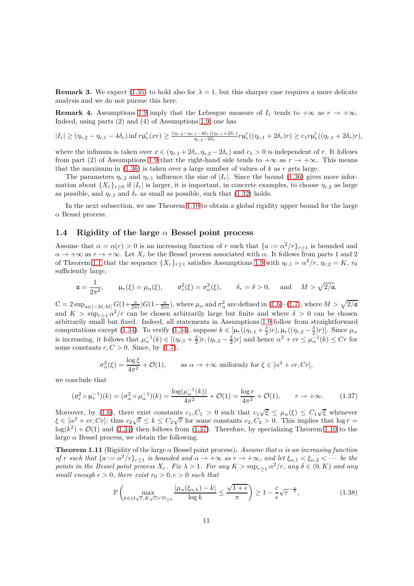**Remark 3.** We expect [\(1.35\)](#page-9-2) to hold also for  $\lambda = 1$ , but this sharper case requires a more delicate analysis and we do not pursue this here.

<span id="page-10-2"></span>**Remark 4.** Assumptions [1.9](#page-9-1) imply that the Lebesgue measure of  $I_r$  tends to  $+\infty$  as  $r \to +\infty$ . Indeed, using parts (2) and (4) of Assumptions [1.9,](#page-9-1) one has

$$
|I_r| \ge (\eta_{r,2} - \eta_{r,1} - 4\delta_r) \inf r\mu'_r(xr) \ge \frac{(\eta_{r,2} - \eta_{r,1} - 4\delta_r)(\eta_{r,1} + 2\delta_r)}{\eta_{r,2} - 2\delta_r} r\mu'_r((\eta_{r,1} + 2\delta_r)r) \ge c_1 r\mu'_r((\eta_{r,1} + 2\delta_r)r),
$$

where the infimum is taken over  $x \in (\eta_{r,1} + 2\delta_r, \eta_{r,2} - 2\delta_r)$  and  $c_1 > 0$  is independent of *r*. It follows from part (2) of Assumptions [1.9](#page-9-1) that the right-hand side tends to  $+\infty$  as  $r \to +\infty$ . This means that the maximum in  $(1.36)$  is taken over a large number of values of  $k$  as  $r$  gets large.

The parameters  $\eta_{r,2}$  and  $\eta_{r,1}$  influence the size of  $|I_r|$ . Since the bound [\(1.36\)](#page-9-3) gives more information about  $\{X_r\}_{r\geq0}$  if  $|I_r|$  is larger, it is important, in concrete examples, to choose  $\eta_{r,2}$  as large as possible, and  $\eta_{r,1}$  and  $\delta_r$  as small as possible, such that [\(1.32\)](#page-9-4) holds.

In the next subsection, we use Theorem [1.10](#page-9-0) to obtain a global rigidity upper bound for the large *α* Bessel process.

### **1.4 Rigidity of the large** *α* **Bessel point process**

Assume that  $\alpha = \alpha(r) > 0$  is an increasing function of *r* such that  $\{a := \alpha^2/r\}_{r \ge 1}$  is bounded and  $\alpha \to +\infty$  as  $r \to +\infty$ . Let  $X_r$  be the Bessel process associated with  $\alpha$ . It follows from parts 1 and 2 of Theorem [1.1](#page-2-0) that the sequence  $\{X_r\}_{r\geq 1}$  satisfies Assumptions [1.9](#page-9-1) with  $\eta_{r,1} = \alpha^2/r$ ,  $\eta_{r,2} = K$ ,  $r_0$ sufficiently large,

$$
\mathfrak{a} = \frac{1}{2\pi^2}
$$
,  $\mu_r(\xi) = \mu_\alpha(\xi)$ ,  $\sigma_r^2(\xi) = \sigma_\alpha^2(\xi)$ ,  $\delta_r = \delta > 0$ , and  $M > \sqrt{2/\mathfrak{a}}$ ,

 $C = 2 \sup_{u \in [-M,M]} G(1+\frac{u}{2\pi i}) G(1-\frac{u}{2\pi i})$ , where  $\mu_{\alpha}$  and  $\sigma_{\alpha}^2$  are defined in [\(1.6\)](#page-2-5)–[\(1.7\)](#page-2-9), where  $M > \sqrt{2/\mathfrak{a}}$ and  $K > \sup_{r \geq 1} a^2/r$  can be chosen arbitrarily large but finite and where  $\delta > 0$  can be chosen arbitrarily small but fixed. Indeed, all statements in Assumptions [1.9](#page-9-1) follow from straightforward computations except [\(1.34\)](#page-9-5). To verify (1.34), suppose  $k \in [\mu_r((\eta_{r,1} + \frac{\delta}{2})r), \mu_r((\eta_{r,2} - \frac{\delta}{2})r)]$ . Since  $\mu_\alpha$ is increasing, it follows that  $\mu_{\alpha}^{-1}(k) \in [(\eta_{r,1} + \frac{\delta}{2})r, (\eta_{r,2} - \frac{\delta}{2})r]$  and hence  $\alpha^2 + cr \leq \mu_{\alpha}^{-1}(k) \leq Cr$  for some constants  $c, C > 0$ . Since, by  $(1.7)$ ,

<span id="page-10-1"></span>
$$
\sigma_{\alpha}^{2}(\xi) = \frac{\log \xi}{4\pi^{2}} + \mathcal{O}(1), \quad \text{as } \alpha \to +\infty \text{ uniformly for } \xi \in [\alpha^{2} + cr, Cr],
$$

we conclude that

$$
(\sigma_r^2 \circ \mu_r^{-1})(k) = (\sigma_\alpha^2 \circ \mu_\alpha^{-1})(k) = \frac{\log(\mu_\alpha^{-1}(k))}{4\pi^2} + \mathcal{O}(1) = \frac{\log r}{4\pi^2} + \mathcal{O}(1), \qquad r \to +\infty.
$$
 (1.37)

Moreover, by [\(1.6\)](#page-2-5), there exist constants  $c_1, C_1 > 0$  such that  $c_1 \sqrt{\xi} \leq \mu_\alpha(\xi) \leq C_1 \sqrt{\xi}$  whenever  $\xi \in [\alpha^2 + cr, Cr]$ ; thus  $c_2\sqrt{r} \le k \le C_2\sqrt{r}$  for some constants  $c_2, C_2 > 0$ . This implies that  $\log r =$  $log(k^2) + \mathcal{O}(1)$  and [\(1.34\)](#page-9-5) then follows from [\(1.37\)](#page-10-1). Therefore, by specializing Theorem [1.10](#page-9-0) to the large  $\alpha$  Bessel process, we obtain the following.

<span id="page-10-0"></span>**Theorem 1.11** (Rigidity of the large  $\alpha$  Bessel point process). Assume that  $\alpha$  is an increasing function *of r such that*  $\{a := \alpha^2/r\}_{r \geq 1}$  *is bounded and*  $\alpha \to +\infty$  *as*  $r \to +\infty$ *, and let*  $\xi_{\alpha,1} < \xi_{\alpha,2} < \cdots$  *be the points in the Bessel point process*  $X_r$ . Fix  $\lambda > 1$ . For any  $K > \sup_{r \geq 1} \alpha^2/r$ , any  $\delta \in (0, K)$  and any *small enough*  $\epsilon > 0$ *, there exist*  $r_0 > 0$ *, c >* 0 *such that* 

$$
\mathbb{P}\left(\max_{k\in(\delta\sqrt{r},K\sqrt{r})\cap\mathbb{N}_{\geq 0}}\frac{|\mu_{\alpha}(\xi_{\alpha,k})-k|}{\log k}\leq\frac{\sqrt{1+\epsilon}}{\pi}\right)\geq 1-\frac{c}{\epsilon}\sqrt{r}^{-\frac{\epsilon}{\lambda}},\tag{1.38}
$$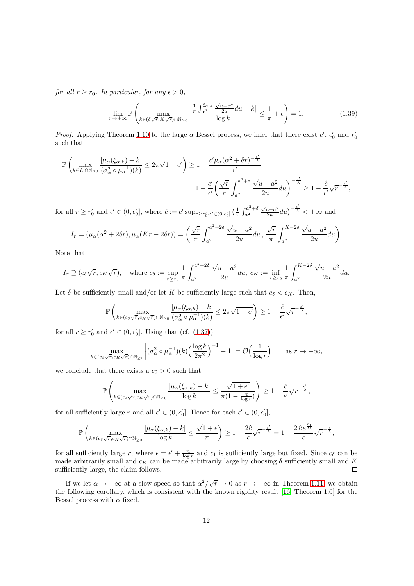*for all*  $r \ge r_0$ *. In particular, for any*  $\epsilon > 0$ *,* 

$$
\lim_{r \to +\infty} \mathbb{P}\left(\max_{k \in (\delta\sqrt{r}, K\sqrt{r}) \cap \mathbb{N}_{\geq 0}} \frac{|\frac{1}{\pi} \int_{\alpha^2}^{\xi_{\alpha,k}} \frac{\sqrt{u - \alpha^2}}{2u} du - k|}{\log k} \leq \frac{1}{\pi} + \epsilon\right) = 1.
$$
\n(1.39)

*Proof.* Applying Theorem [1.10](#page-9-0) to the large  $\alpha$  Bessel process, we infer that there exist  $c'$ ,  $\epsilon'_0$  and  $r'_0$ such that

$$
\mathbb{P}\left(\max_{k\in I_r\cap\mathbb{N}_{\geq 0}}\frac{|\mu_\alpha(\xi_{\alpha,k})-k|}{(\sigma_\alpha^2\circ\mu_\alpha^{-1})(k)}\leq 2\pi\sqrt{1+\epsilon'}\right)\geq 1-\frac{c'\mu_\alpha(\alpha^2+\delta r)^{-\frac{\epsilon'}{\lambda}}}{\epsilon'}
$$

$$
=1-\frac{c'}{\epsilon'}\left(\frac{\sqrt{r}}{\pi}\int_{a^2}^{a^2+\delta}\frac{\sqrt{u-a^2}}{2u}du\right)^{-\frac{\epsilon'}{\lambda}}\geq 1-\frac{\hat{c}}{\epsilon'}\sqrt{r^{-\frac{\epsilon'}{\lambda}}},
$$

for all  $r \ge r'_0$  and  $\epsilon' \in (0, \epsilon'_0]$ , where  $\hat{c} := c' \sup_{r \ge r'_0, \epsilon' \in (0, \epsilon'_0]} \left( \frac{1}{\pi} \int_{a^2}^{a^2 + \delta} \right)$ *a*<sup>2</sup>  $\frac{\sqrt{u-a^2}}{2u}du$ <sup> $-\frac{\epsilon'}{\lambda}$ </sup> <  $+\infty$  and

$$
I_r = (\mu_\alpha(\alpha^2 + 2\delta r), \mu_\alpha(Kr - 2\delta r)) = \left(\frac{\sqrt{r}}{\pi} \int_{a^2}^{a^2 + 2\delta} \frac{\sqrt{u - a^2}}{2u} du \, , \, \frac{\sqrt{r}}{\pi} \int_{a^2}^{K - 2\delta} \frac{\sqrt{u - a^2}}{2u} du\right).
$$

Note that

$$
I_r \supseteq (c_\delta \sqrt{r}, c_K \sqrt{r}),
$$
 where  $c_\delta := \sup_{r \ge r_0} \frac{1}{\pi} \int_{a^2}^{a^2 + 2\delta} \frac{\sqrt{u - a^2}}{2u} du$ ,  $c_K := \inf_{r \ge r_0} \frac{1}{\pi} \int_{a^2}^{K - 2\delta} \frac{\sqrt{u - a^2}}{2u} du$ .

Let  $\delta$  be sufficiently small and/or let *K* be sufficiently large such that  $c_{\delta} < c_K$ . Then,

$$
\mathbb{P}\left(\max_{k \in (c_{\delta}\sqrt{r}, c_K\sqrt{r}) \cap \mathbb{N}_{\geq 0}}\frac{|\mu_{\alpha}(\xi_{\alpha,k}) - k|}{(\sigma_{\alpha}^2 \circ \mu_{\alpha}^{-1})(k)} \leq 2\pi\sqrt{1+\epsilon'}\right) \geq 1 - \frac{\hat{c}}{\epsilon'}\sqrt{r}^{-\frac{\epsilon'}{\lambda}},
$$

for all  $r \ge r'_0$  and  $\epsilon' \in (0, \epsilon'_0]$ . Using that (cf.  $(1.37)$ )

$$
\max_{k \in (c_{\delta}\sqrt{r}, c_K\sqrt{r}) \cap \mathbb{N}_{\geq 0}} \left| (\sigma_{\alpha}^2 \circ \mu_{\alpha}^{-1})(k) \left( \frac{\log k}{2\pi^2} \right)^{-1} - 1 \right| = \mathcal{O}\left(\frac{1}{\log r}\right) \quad \text{as } r \to +\infty,
$$

we conclude that there exists a  $c_0 > 0$  such that

$$
\mathbb{P}\left(\max_{k\in (c_{\delta}\sqrt{r}, c_K\sqrt{r})\cap\mathbb{N}_{\geq 0}}\frac{|\mu_\alpha(\xi_{\alpha,k})-k|}{\log k}\leq \frac{\sqrt{1+\epsilon'}}{\pi(1-\frac{c_0}{\log r})}\right)\geq 1-\frac{\hat{c}}{\epsilon'}\sqrt{r}^{-\frac{\epsilon'}{\lambda}},
$$

for all sufficiently large *r* and all  $\epsilon' \in (0, \epsilon'_0]$ . Hence for each  $\epsilon' \in (0, \epsilon'_0]$ ,

$$
\mathbb{P}\left(\max_{k \in (c_{\delta}\sqrt{r}, c_K\sqrt{r}) \cap \mathbb{N}_{\geq 0}}\frac{|\mu_\alpha(\xi_{\alpha,k}) - k|}{\log k} \leq \frac{\sqrt{1+\epsilon}}{\pi}\right) \geq 1 - \frac{2\hat{c}}{\epsilon}\sqrt{r}^{-\frac{\epsilon'}{\lambda}} = 1 - \frac{2\hat{c}e^{\frac{c_1}{2\lambda}}}{\epsilon}\sqrt{r}^{-\frac{\epsilon}{\lambda}},
$$

for all sufficiently large *r*, where  $\epsilon = \epsilon' + \frac{c_1}{\log r}$  and  $c_1$  is sufficiently large but fixed. Since  $c_\delta$  can be made arbitrarily small and  $c_K$  can be made arbitrarily large by choosing  $\delta$  sufficiently small and  $K$ sufficiently large, the claim follows.

If we let  $\alpha \to +\infty$  at a slow speed so that  $\alpha^2/\sqrt{r} \to 0$  as  $r \to +\infty$  in Theorem [1.11,](#page-10-0) we obtain the following corollary, which is consistent with the known rigidity result [\[16,](#page-44-14) Theorem 1.6] for the Bessel process with  $\alpha$  fixed.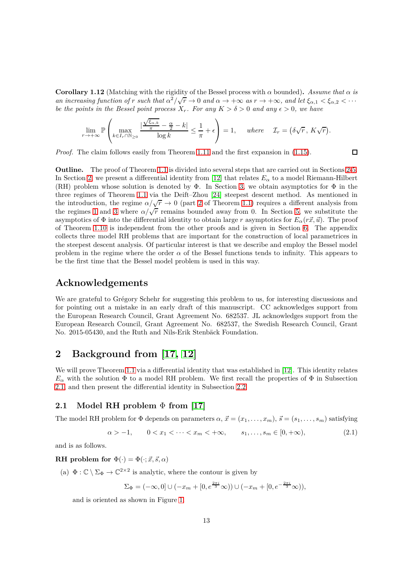**Corollary 1.12** (Matching with the rigidity of the Bessel process with  $\alpha$  bounded). *Assume that*  $\alpha$  *is an increasing function of*  $r$  *such that*  $\alpha^2/\sqrt{r} \to 0$  *and*  $\alpha \to +\infty$  *as*  $r \to +\infty$ *, and let*  $\xi_{\alpha,1} < \xi_{\alpha,2} < \cdots$ *be the points in the Bessel point process*  $X_r$ *. For any*  $K > \delta > 0$  *and any*  $\epsilon > 0$ *, we have* 

$$
\lim_{r \to +\infty} \mathbb{P}\left(\max_{k \in I_r \cap \mathbb{N}_{\geq 0}} \frac{|\frac{\sqrt{\xi_{\alpha,k}}}{\pi} - \frac{\alpha}{2} - k|}{\log k} \leq \frac{1}{\pi} + \epsilon\right) = 1, \quad \text{where} \quad \mathcal{I}_r = (\delta \sqrt{r}, K\sqrt{r}).
$$

*Proof.* The claim follows easily from Theorem [1.11](#page-10-0) and the first expansion in [\(1.15\)](#page-3-4).

 $\Box$ 

**Outline.** The proof of Theorem [1.1](#page-2-0) is divided into several steps that are carried out in Sections [2-](#page-12-0)[5.](#page-30-0) In Section [2,](#page-12-0) we present a differential identity from [\[12\]](#page-44-11) that relates  $E_\alpha$  to a model Riemann-Hilbert (RH) problem whose solution is denoted by  $\Phi$ . In Section [3,](#page-15-0) we obtain asymptotics for  $\Phi$  in the three regimes of Theorem [1.1](#page-2-0) via the Deift–Zhou [\[24\]](#page-44-21) steepest descent method. As mentioned in the introduction, the regime  $\alpha/\sqrt{r} \to 0$  (part [2](#page-2-3) of Theorem [1.1\)](#page-2-0) requires a different analysis from the regimes [1](#page-2-2) and [3](#page-2-4) where  $\alpha/\sqrt{r}$  remains bounded away from 0. In Section [5,](#page-30-0) we substitute the asymptotics of  $\Phi$  into the differential identity to obtain large *r* asymptotics for  $E_\alpha(r\vec{x}, \vec{u})$ . The proof of Theorem [1.10](#page-9-0) is independent from the other proofs and is given in Section [6.](#page-35-0) The appendix collects three model RH problems that are important for the construction of local parametrices in the steepest descent analysis. Of particular interest is that we describe and employ the Bessel model problem in the regime where the order  $\alpha$  of the Bessel functions tends to infinity. This appears to be the first time that the Bessel model problem is used in this way.

# **Acknowledgements**

We are grateful to Grégory Schehr for suggesting this problem to us, for interesting discussions and for pointing out a mistake in an early draft of this manuscript. CC acknowledges support from the European Research Council, Grant Agreement No. 682537. JL acknowledges support from the European Research Council, Grant Agreement No. 682537, the Swedish Research Council, Grant No. 2015-05430, and the Ruth and Nils-Erik Stenbäck Foundation.

# <span id="page-12-0"></span>**2 Background from [\[17,](#page-44-5) [12\]](#page-44-11)**

We will prove Theorem [1.1](#page-2-0) via a differential identity that was established in [\[12\]](#page-44-11). This identity relates  $E_\alpha$  with the solution  $\Phi$  to a model RH problem. We first recall the properties of  $\Phi$  in Subsection [2.1,](#page-12-1) and then present the differential identity in Subsection [2.2.](#page-14-0)

# <span id="page-12-1"></span>**2.1 Model RH problem** Φ **from [\[17\]](#page-44-5)**

The model RH problem for  $\Phi$  depends on parameters  $\alpha$ ,  $\vec{x} = (x_1, \ldots, x_m)$ ,  $\vec{s} = (s_1, \ldots, s_m)$  satisfying

$$
\alpha > -1, \qquad 0 < x_1 < \dots < x_m < +\infty, \qquad s_1, \dots, s_m \in [0, +\infty), \tag{2.1}
$$

and is as follows.

#### **RH** problem for  $\Phi(\cdot) = \Phi(\cdot; \vec{x}, \vec{s}, \alpha)$

(a)  $\Phi : \mathbb{C} \setminus \Sigma_{\Phi} \to \mathbb{C}^{2 \times 2}$  is analytic, where the contour is given by

<span id="page-12-2"></span>
$$
\Sigma_{\Phi} = (-\infty, 0] \cup (-x_m + [0, e^{\frac{2\pi i}{3}} \infty)) \cup (-x_m + [0, e^{-\frac{2\pi i}{3}} \infty)),
$$

and is oriented as shown in Figure [1.](#page-13-0)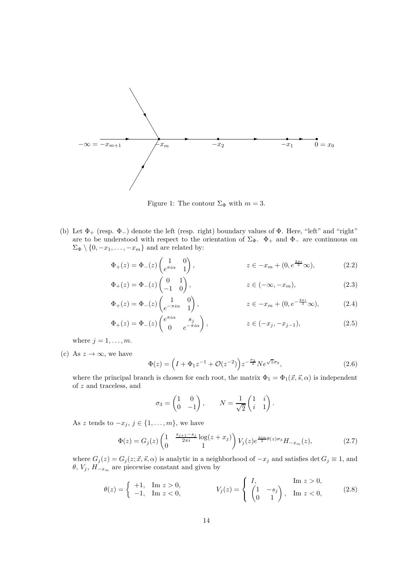

<span id="page-13-0"></span>Figure 1: The contour  $\Sigma_{\Phi}$  with  $m = 3$ .

(b) Let  $\Phi_+$  (resp.  $\Phi_-$ ) denote the left (resp. right) boundary values of  $\Phi$ . Here, "left" and "right" are to be understood with respect to the orientation of  $\Sigma_{\Phi}$ .  $\Phi_{+}$  and  $\Phi_{-}$  are continuous on  $\Sigma_{\Phi} \setminus \{0, -x_1, \ldots, -x_m\}$  and are related by:

$$
\Phi_+(z) = \Phi_-(z) \begin{pmatrix} 1 & 0 \\ e^{\pi i \alpha} & 1 \end{pmatrix}, \qquad z \in -x_m + (0, e^{\frac{2\pi i}{3}} \infty), \qquad (2.2)
$$

$$
\Phi_{+}(z) = \Phi_{-}(z) \begin{pmatrix} 0 & 1 \\ -1 & 0 \end{pmatrix}, \qquad z \in (-\infty, -x_m), \qquad (2.3)
$$

$$
\Phi_+(z) = \Phi_-(z) \begin{pmatrix} 1 & 0 \\ e^{-\pi i \alpha} & 1 \end{pmatrix}, \qquad z \in -x_m + (0, e^{-\frac{2\pi i}{3}} \infty), \qquad (2.4)
$$

$$
\Phi_{+}(z) = \Phi_{-}(z) \begin{pmatrix} e^{\pi i \alpha} & s_j \\ 0 & e^{-\pi i \alpha} \end{pmatrix}, \qquad z \in (-x_j, -x_{j-1}), \tag{2.5}
$$

where  $j = 1, \ldots, m$ .

(c) As  $z \to \infty$ , we have

$$
\Phi(z) = \left(I + \Phi_1 z^{-1} + \mathcal{O}(z^{-2})\right) z^{-\frac{\sigma_3}{4}} N e^{\sqrt{z}\sigma_3},\tag{2.6}
$$

where the principal branch is chosen for each root, the matrix  $\Phi_1 = \Phi_1(\vec{x}, \vec{s}, \alpha)$  is independent of *z* and traceless, and

<span id="page-13-2"></span><span id="page-13-1"></span>
$$
\sigma_3 = \begin{pmatrix} 1 & 0 \\ 0 & -1 \end{pmatrix}, \qquad N = \frac{1}{\sqrt{2}} \begin{pmatrix} 1 & i \\ i & 1 \end{pmatrix}.
$$

As *z* tends to  $-x_j$ ,  $j \in \{1, \ldots, m\}$ , we have

$$
\Phi(z) = G_j(z) \begin{pmatrix} 1 & \frac{s_{j+1} - s_j}{2\pi i} \log(z + x_j) \\ 0 & 1 \end{pmatrix} V_j(z) e^{\frac{\pi i \alpha}{2} \theta(z) \sigma_3} H_{-x_m}(z), \tag{2.7}
$$

where  $G_j(z) = G_j(z; \vec{x}, \vec{s}, \alpha)$  is analytic in a neighborhood of  $-x_j$  and satisfies det  $G_j \equiv 1$ , and  $\theta$ ,  $V_j$ ,  $H_{-x_m}$  are piecewise constant and given by

$$
\theta(z) = \begin{cases} +1, & \text{Im } z > 0, \\ -1, & \text{Im } z < 0, \end{cases} \qquad V_j(z) = \begin{cases} I, & \text{Im } z > 0, \\ \begin{pmatrix} 1 & -s_j \\ 0 & 1 \end{pmatrix}, & \text{Im } z < 0, \end{cases}
$$
 (2.8)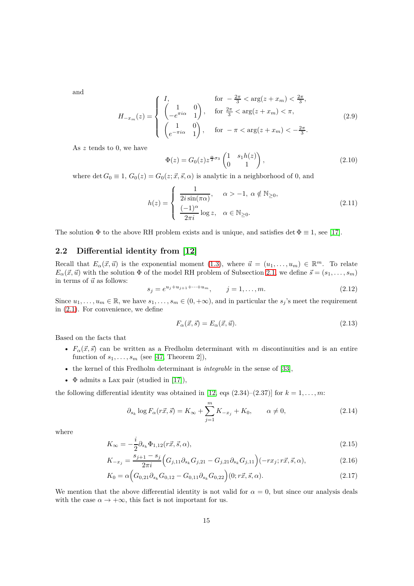<span id="page-14-7"></span>and

$$
H_{-x_m}(z) = \begin{cases} I, & \text{for } -\frac{2\pi}{3} < \arg(z + x_m) < \frac{2\pi}{3}, \\ \begin{pmatrix} 1 & 0 \\ -e^{\pi i \alpha} & 1 \end{pmatrix}, & \text{for } \frac{2\pi}{3} < \arg(z + x_m) < \pi, \\ \begin{pmatrix} 1 & 0 \\ e^{-\pi i \alpha} & 1 \end{pmatrix}, & \text{for } -\pi < \arg(z + x_m) < -\frac{2\pi}{3}. \end{cases} \tag{2.9}
$$

As *z* tends to 0, we have

<span id="page-14-8"></span><span id="page-14-5"></span>
$$
\Phi(z) = G_0(z) z^{\frac{\alpha}{2}\sigma_3} \begin{pmatrix} 1 & s_1 h(z) \\ 0 & 1 \end{pmatrix}, \tag{2.10}
$$

where det  $G_0 \equiv 1, G_0(z) = G_0(z; \vec{x}, \vec{s}, \alpha)$  is analytic in a neighborhood of 0, and

$$
h(z) = \begin{cases} \frac{1}{2i\sin(\pi\alpha)}, & \alpha > -1, \ \alpha \notin \mathbb{N}_{\geq 0}, \\ \frac{(-1)^{\alpha}}{2\pi i} \log z, & \alpha \in \mathbb{N}_{\geq 0}. \end{cases}
$$
(2.11)

The solution  $\Phi$  to the above RH problem exists and is unique, and satisfies det  $\Phi \equiv 1$ , see [\[17\]](#page-44-5).

## <span id="page-14-0"></span>**2.2 Differential identity from [\[12\]](#page-44-11)**

Recall that  $E_{\alpha}(\vec{x}, \vec{u})$  is the exponential moment [\(1.3\)](#page-2-7), where  $\vec{u} = (u_1, \ldots, u_m) \in \mathbb{R}^m$ . To relate  $E_{\alpha}(\vec{x}, \vec{u})$  with the solution  $\Phi$  of the model RH problem of Subsection [2.1,](#page-12-1) we define  $\vec{s} = (s_1, \ldots, s_m)$ in terms of  $\vec{u}$  as follows:

<span id="page-14-1"></span>
$$
s_j = e^{u_j + u_{j+1} + \dots + u_m}, \qquad j = 1, \dots, m.
$$
\n(2.12)

Since  $u_1, \ldots, u_m \in \mathbb{R}$ , we have  $s_1, \ldots, s_m \in (0, +\infty)$ , and in particular the  $s_j$ 's meet the requirement in [\(2.1\)](#page-12-2). For convenience, we define

<span id="page-14-6"></span><span id="page-14-4"></span><span id="page-14-3"></span><span id="page-14-2"></span>
$$
F_{\alpha}(\vec{x}, \vec{s}) = E_{\alpha}(\vec{x}, \vec{u}). \tag{2.13}
$$

Based on the facts that

- $F_{\alpha}(\vec{x},\vec{s})$  can be written as a Fredholm determinant with *m* discontinuities and is an entire function of  $s_1, \ldots, s_m$  (see [\[47,](#page-45-7) Theorem 2]),
- the kernel of this Fredholm determinant is *integrable* in the sense of [\[33\]](#page-45-21),
- $\Phi$  admits a Lax pair (studied in [\[17\]](#page-44-5)),

the following differential identity was obtained in [\[12,](#page-44-11) eqs  $(2.34)-(2.37)$ ] for  $k = 1, \ldots, m$ :

$$
\partial_{s_k} \log F_{\alpha}(r\vec{x}, \vec{s}) = K_{\infty} + \sum_{j=1}^{m} K_{-x_j} + K_0, \qquad \alpha \neq 0,
$$
\n(2.14)

where

$$
K_{\infty} = -\frac{i}{2}\partial_{s_k}\Phi_{1,12}(r\vec{x}, \vec{s}, \alpha),\tag{2.15}
$$

$$
K_{-x_j} = \frac{s_{j+1} - s_j}{2\pi i} \Big( G_{j,11} \partial_{s_k} G_{j,21} - G_{j,21} \partial_{s_k} G_{j,11} \Big) (-rx_j; r\vec{x}, \vec{s}, \alpha), \tag{2.16}
$$

$$
K_0 = \alpha \Big( G_{0,21} \partial_{s_k} G_{0,12} - G_{0,11} \partial_{s_k} G_{0,22} \Big) (0; r\vec{x}, \vec{s}, \alpha). \tag{2.17}
$$

We mention that the above differential identity is not valid for  $\alpha = 0$ , but since our analysis deals with the case  $\alpha \to +\infty$ , this fact is not important for us.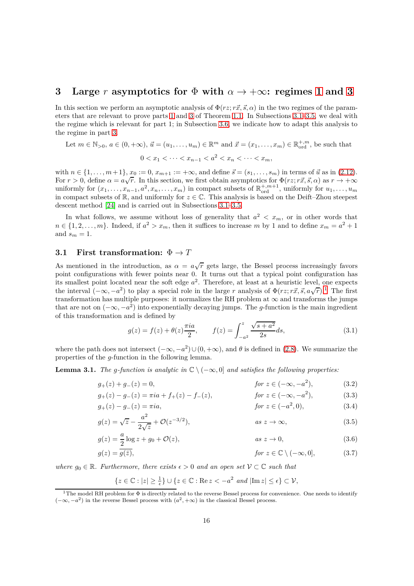# <span id="page-15-0"></span>**3** Large *r* asymptotics for  $\Phi$  with  $\alpha \to +\infty$ : regimes [1](#page-2-2) and [3](#page-2-4)

In this section we perform an asymptotic analysis of  $\Phi(rz;\vec{r},\vec{s},\alpha)$  in the two regimes of the parameters that are relevant to prove parts [1](#page-2-2) and [3](#page-2-4) of Theorem [1.1.](#page-2-0) In Subsections [3.1–](#page-15-1)[3.5,](#page-22-0) we deal with the regime which is relevant for part 1; in Subsection [3.6,](#page-25-0) we indicate how to adapt this analysis to the regime in part [3.](#page-2-4)

Let 
$$
m \in \mathbb{N}_{>0}
$$
,  $a \in (0, +\infty)$ ,  $\vec{u} = (u_1, ..., u_m) \in \mathbb{R}^m$  and  $\vec{x} = (x_1, ..., x_m) \in \mathbb{R}_{\text{ord}}^{+,m}$ , be such that  
\n $0 < x_1 < \cdots < x_{n-1} < a^2 < x_n < \cdots < x_m$ ,

with  $n \in \{1, \ldots, m+1\}$ ,  $x_0 := 0$ ,  $x_{m+1} := +\infty$ , and define  $\vec{s} = (s_1, \ldots, s_m)$  in terms of  $\vec{u}$  as in [\(2.12\)](#page-14-1). For  $r > 0$ , define  $\alpha = a\sqrt{r}$ . In this section, we first obtain asymptotics for  $\Phi(rz; r\vec{x}, \vec{s}, \alpha)$  as  $r \to +\infty$ uniformly for  $(x_1, \ldots, x_{n-1}, a^2, x_n, \ldots, x_m)$  in compact subsets of  $\mathbb{R}^{+,m+1}_{\text{ord}}$ , uniformly for  $u_1, \ldots, u_m$ in compact subsets of  $\mathbb{R}$ , and uniformly for  $z \in \mathbb{C}$ . This analysis is based on the Deift–Zhou steepest descent method [\[24\]](#page-44-21) and is carried out in Subsections [3.1](#page-15-1)[–3.5.](#page-22-0)

In what follows, we assume without loss of generality that  $a^2 < x_m$ , or in other words that  $n \in \{1, 2, \ldots, m\}$ . Indeed, if  $a^2 > x_m$ , then it suffices to increase *m* by 1 and to define  $x_m = a^2 + 1$ and  $s_m = 1$ .

### <span id="page-15-1"></span>**3.1 First transformation:**  $\Phi \to T$

As mentioned in the introduction, as  $\alpha = a\sqrt{r}$  gets large, the Bessel process increasingly favors point configurations with fewer points near 0. It turns out that a typical point configuration has its smallest point located near the soft edge *a* 2 . Therefore, at least at a heuristic level, one expects the interval  $(-\infty, -a^2)$  to play a special role in the large *r* analysis of  $\Phi(rz; r\vec{x}, \vec{s}, a\sqrt{r})$ .<sup>[1](#page-15-2)</sup> The first transformation has multiple purposes: it normalizes the RH problem at  $\infty$  and transforms the jumps that are not on  $(-\infty, -a^2)$  into exponentially decaying jumps. The *g*-function is the main ingredient of this transformation and is defined by

$$
g(z) = f(z) + \theta(z) \frac{\pi i a}{2}, \qquad f(z) = \int_{-a^2}^{z} \frac{\sqrt{s + a^2}}{2s} ds,
$$
 (3.1)

where the path does not intersect  $(-\infty, -a^2) \cup (0, +\infty)$ , and  $\theta$  is defined in [\(2.8\)](#page-13-1). We summarize the properties of the *g*-function in the following lemma.

<span id="page-15-4"></span>**Lemma 3.1.** *The q-function is analytic in*  $\mathbb{C} \setminus (-\infty, 0]$  *and satisfies the following properties:* 

$$
g_{+}(z) + g_{-}(z) = 0, \qquad \qquad \text{for } z \in (-\infty, -a^{2}), \tag{3.2}
$$

$$
g_{+}(z) - g_{-}(z) = \pi i a + f_{+}(z) - f_{-}(z), \qquad \text{for } z \in (-\infty, -a^{2}), \tag{3.3}
$$

$$
g_{+}(z) - g_{-}(z) = \pi i a, \qquad \qquad \text{for } z \in (-a^2, 0), \tag{3.4}
$$

$$
g(z) = \sqrt{z} - \frac{a^2}{2\sqrt{z}} + \mathcal{O}(z^{-3/2}), \qquad \text{as } z \to \infty,
$$
 (3.5)

$$
g(z) = \frac{a}{2}\log z + g_0 + \mathcal{O}(z), \qquad \qquad \text{as } z \to 0,
$$
\n
$$
(3.6)
$$

$$
g(z) = \overline{g(\bar{z})}, \qquad \qquad \text{for } z \in \mathbb{C} \setminus (-\infty, 0], \qquad (3.7)
$$

*where*  $g_0 \in \mathbb{R}$ *. Furthermore, there exists*  $\epsilon > 0$  *and an open set*  $V \subset \mathbb{C}$  *such that* 

<span id="page-15-3"></span>
$$
\{z \in \mathbb{C} : |z| \ge \frac{1}{\epsilon}\} \cup \{z \in \mathbb{C} : \text{Re}\, z < -a^2 \text{ and } |\text{Im}\, z| \le \epsilon\} \subset \mathcal{V},
$$

<span id="page-15-2"></span><sup>&</sup>lt;sup>1</sup>The model RH problem for  $\Phi$  is directly related to the reverse Bessel process for convenience. One needs to identify  $(-\infty, -a^2)$  in the reverse Bessel process with  $(a^2, +\infty)$  in the classical Bessel process.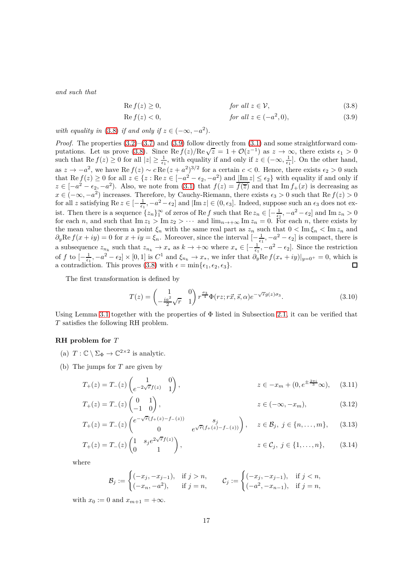*and such that*

<span id="page-16-1"></span><span id="page-16-0"></span>
$$
\text{Re } f(z) \ge 0, \qquad \qquad \text{for all } z \in \mathcal{V}, \tag{3.8}
$$

$$
\text{Re } f(z) < 0,\n\qquad \qquad \text{for all } z \in (-a^2, 0),\n\tag{3.9}
$$

*with equality in* [\(3.8\)](#page-16-0) *if and only if*  $z \in (-\infty, -a^2)$ *.* 

*Proof.* The properties  $(3.2)$ – $(3.7)$  and  $(3.9)$  follow directly from  $(3.1)$  and some straightforward com-putations. Let us prove [\(3.8\)](#page-16-0). Since  $\text{Re } f(z)/\text{Re } \sqrt{z} = 1 + \mathcal{O}(z^{-1})$  as  $z \to \infty$ , there exists  $\epsilon_1 > 0$ such that  $\text{Re } f(z) \ge 0$  for all  $|z| \ge \frac{1}{\epsilon_1}$ , with equality if and only if  $z \in (-\infty, \frac{1}{\epsilon_1}]$ . On the other hand, as  $z \to -a^2$ , we have Re  $f(z) \sim c \operatorname{Re}(z + a^2)^{3/2}$  for a certain  $c < 0$ . Hence, there exists  $\epsilon_2 > 0$  such that  $\text{Re } f(z) \ge 0$  for all  $z \in \{z : \text{Re } z \in [-a^2 - \epsilon_2, -a^2) \text{ and } \underline{\text{Im}} |z| \le \epsilon_2\}$  with equality if and only if  $z \in [-a^2 - \epsilon_2, -a^2)$ . Also, we note from [\(3.1\)](#page-26-1) that  $f(z) = \overline{f(\overline{z})}$  and that Im  $f_+(x)$  is decreasing as *x* ∈ (−∞*,* −*a*<sup>2</sup>) increases. Therefore, by Cauchy-Riemann, there exists  $\epsilon_3 > 0$  such that Re *f*(*z*) > 0 for all *z* satisfying  $\text{Re } z \in [-\frac{1}{\epsilon_1}, -a^2 - \epsilon_2]$  and  $|\text{Im } z| \in (0, \epsilon_3]$ . Indeed, suppose such an  $\epsilon_3$  does not exist. Then there is a sequence  $\{z_n\}_1^{\infty}$  of zeros of Re *f* such that Re  $z_n \in [-\frac{1}{\epsilon_1}, -a^2 - \epsilon_2]$  and Im  $z_n > 0$ for each *n*, and such that  $\text{Im } z_1 > \text{Im } z_2 > \cdots$  and  $\text{lim}_{n \to +\infty} \text{Im } z_n = 0$ . For each *n*, there exists by the mean value theorem a point  $\xi_n$  with the same real part as  $z_n$  such that  $0 < \text{Im } \xi_n < \text{Im } z_n$  and  $\partial_y \text{Re } f(x+iy) = 0$  for  $x+iy = \xi_n$ . Moreover, since the interval  $[-\frac{1}{\epsilon_1}, -a^2 - \epsilon_2]$  is compact, there is a subsequence  $z_{n_k}$  such that  $z_{n_k} \to x_*$  as  $k \to +\infty$  where  $x_* \in [-\frac{1}{\epsilon_1}, -a^2 - \epsilon_2]$ . Since the restriction of f to  $\left[-\frac{1}{\epsilon_1},-a^2-\epsilon_2\right] \times [0,1]$  is  $C^1$  and  $\xi_{n_k} \to x_*$ , we infer that  $\partial_y \text{Re } f(x_*+iy)|_{y=0^+} = 0$ , which is a contradiction. This proves [\(3.8\)](#page-16-0) with  $\epsilon = \min\{\epsilon_1, \epsilon_2, \epsilon_3\}.$ 

The first transformation is defined by

<span id="page-16-5"></span><span id="page-16-3"></span>
$$
T(z) = \begin{pmatrix} 1 & 0\\ -\frac{ia^2}{2}\sqrt{r} & 1 \end{pmatrix} r^{\frac{\sigma_3}{4}} \Phi(rz; r\vec{x}, \vec{s}, \alpha) e^{-\sqrt{r}g(z)\sigma_3}.
$$
 (3.10)

Using Lemma [3.1](#page-15-4) together with the properties of  $\Phi$  listed in Subsection [2.1,](#page-12-1) it can be verified that *T* satisfies the following RH problem.

#### **RH problem for** *T*

- (a)  $T: \mathbb{C} \setminus \Sigma_{\Phi} \to \mathbb{C}^{2 \times 2}$  is analytic.
- (b) The jumps for *T* are given by

$$
T_{+}(z) = T_{-}(z) \begin{pmatrix} 1 & 0 \\ e^{-2\sqrt{r}f(z)} & 1 \end{pmatrix}, \qquad z \in -x_{m} + (0, e^{\pm \frac{2\pi i}{3}} \infty), \quad (3.11)
$$

$$
T_{+}(z) = T_{-}(z) \begin{pmatrix} 0 & 1 \\ -1 & 0 \end{pmatrix}, \qquad z \in (-\infty, -x_m), \qquad (3.12)
$$

$$
T_{+}(z) = T_{-}(z) \begin{pmatrix} e^{-\sqrt{r}(f_{+}(z) - f_{-}(z))} & s_{j} \\ 0 & e^{\sqrt{r}(f_{+}(z) - f_{-}(z))} \end{pmatrix}, \quad z \in \mathcal{B}_{j}, j \in \{n, ..., m\}, \quad (3.13)
$$

$$
T_{+}(z) = T_{-}(z) \begin{pmatrix} 1 & s_{j} e^{2\sqrt{r} f(z)} \\ 0 & 1 \end{pmatrix}, \qquad z \in \mathcal{C}_{j}, \ j \in \{1, ..., n\}, \qquad (3.14)
$$

where

<span id="page-16-4"></span><span id="page-16-2"></span>
$$
\mathcal{B}_j := \begin{cases}\n(-x_j, -x_{j-1}), & \text{if } j > n, \\
(-x_n, -a^2), & \text{if } j = n,\n\end{cases} \qquad \mathcal{C}_j := \begin{cases}\n(-x_j, -x_{j-1}), & \text{if } j < n, \\
(-a^2, -x_{n-1}), & \text{if } j = n,\n\end{cases}
$$

with  $x_0 := 0$  and  $x_{m+1} = +\infty$ .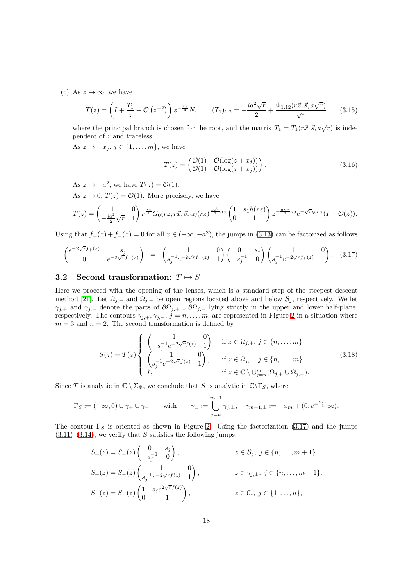(c) As  $z \to \infty$ , we have

<span id="page-17-4"></span>
$$
T(z) = \left(I + \frac{T_1}{z} + \mathcal{O}\left(z^{-2}\right)\right) z^{-\frac{\sigma_3}{4}} N, \qquad (T_1)_{1,2} = -\frac{i a^2 \sqrt{r}}{2} + \frac{\Phi_{1,12}(r\vec{x}, \vec{s}, a\sqrt{r})}{\sqrt{r}} \tag{3.15}
$$

where the principal branch is chosen for the root, and the matrix  $T_1 = T_1(r\vec{x}, \vec{s}, a\sqrt{r})$  is independent of *z* and traceless.

As  $z \to -x_j$ ,  $j \in \{1, \ldots, m\}$ , we have

<span id="page-17-2"></span><span id="page-17-0"></span>
$$
T(z) = \begin{pmatrix} \mathcal{O}(1) & \mathcal{O}(\log(z + x_j)) \\ \mathcal{O}(1) & \mathcal{O}(\log(z + x_j)) \end{pmatrix}.
$$
 (3.16)

As  $z \to -a^2$ , we have  $T(z) = \mathcal{O}(1)$ .

As  $z \to 0$ ,  $T(z) = \mathcal{O}(1)$ . More precisely, we have

$$
T(z) = \begin{pmatrix} 1 & 0 \ -\frac{ia^2}{2}\sqrt{r} & 1 \end{pmatrix} r^{\frac{\sigma_3}{4}} G_0(rz; r\vec{x}, \vec{s}, \alpha) (rz)^{\frac{a\sqrt{r}}{2}\sigma_3} \begin{pmatrix} 1 & s_1h(rz) \ 0 & 1 \end{pmatrix} z^{-\frac{a\sqrt{r}}{2}\sigma_3} e^{-\sqrt{r}g_0\sigma_3} (I + \mathcal{O}(z)).
$$

Using that  $f_+(x) + f_-(x) = 0$  for all  $x \in (-\infty, -a^2)$ , the jumps in [\(3.13\)](#page-16-2) can be factorized as follows

$$
\begin{pmatrix} e^{-2\sqrt{r}f_+(z)} & s_j \ 0 & e^{-2\sqrt{r}f_-(z)} \end{pmatrix} = \begin{pmatrix} 1 & 0 \ s_j^{-1}e^{-2\sqrt{r}f_-(z)} & 1 \end{pmatrix} \begin{pmatrix} 0 & s_j \ -s_j^{-1} & 0 \end{pmatrix} \begin{pmatrix} 1 & 0 \ s_j^{-1}e^{-2\sqrt{r}f_+(z)} & 1 \end{pmatrix}.
$$
 (3.17)

### <span id="page-17-1"></span>**3.2** Second transformation:  $T \mapsto S$

Here we proceed with the opening of the lenses, which is a standard step of the steepest descent method [\[21\]](#page-44-22). Let  $\Omega_{j,+}$  and  $\Omega_{j,-}$  be open regions located above and below  $\mathcal{B}_j$ , respectively. We let  $\gamma_{j,+}$  and  $\gamma_{j,-}$  denote the parts of  $\partial\Omega_{j,+} \cup \partial\Omega_{j,-}$  lying strictly in the upper and lower half-plane, respectively. The contours  $\gamma_{j,+}, \gamma_{j,-}, j = n, \ldots, m$ , are represented in Figure [2](#page-18-0) in a situation where  $m = 3$  and  $n = 2$ . The second transformation is defined by

<span id="page-17-3"></span>
$$
S(z) = T(z) \begin{cases} \begin{pmatrix} 1 & 0 \\ -s_j^{-1}e^{-2\sqrt{r}f(z)} & 1 \end{pmatrix}, & \text{if } z \in \Omega_{j,+}, j \in \{n, ..., m\} \\ \begin{pmatrix} 1 & 0 \\ s_j^{-1}e^{-2\sqrt{r}f(z)} & 1 \end{pmatrix}, & \text{if } z \in \Omega_{j,-}, j \in \{n, ..., m\} \\ \text{if } z \in \mathbb{C} \setminus \cup_{j=n}^m (\Omega_{j,+} \cup \Omega_{j,-}). \end{cases} \tag{3.18}
$$

Since *T* is analytic in  $\mathbb{C} \setminus \Sigma_{\Phi}$ , we conclude that *S* is analytic in  $\mathbb{C} \setminus \Gamma_S$ , where

$$
\Gamma_S := (-\infty, 0) \cup \gamma_+ \cup \gamma_-\qquad \text{with} \qquad \gamma_\pm := \bigcup_{j=n}^{m+1} \gamma_{j,\pm}, \quad \gamma_{m+1,\pm} := -x_m + (0, e^{\pm \frac{2\pi i}{3}} \infty).
$$

The contour  $\Gamma_S$  is oriented as shown in Figure [2.](#page-18-0) Using the factorization [\(3.17\)](#page-17-0) and the jumps  $(3.11)$ – $(3.14)$ , we verify that *S* satisfies the following jumps:

$$
S_{+}(z) = S_{-}(z) \begin{pmatrix} 0 & s_{j} \\ -s_{j}^{-1} & 0 \end{pmatrix}, \qquad z \in \mathcal{B}_{j}, j \in \{n, ..., m+1\}
$$
  
\n
$$
S_{+}(z) = S_{-}(z) \begin{pmatrix} 1 & 0 \\ s_{j}^{-1}e^{-2\sqrt{r}f(z)} & 1 \end{pmatrix}, \qquad z \in \gamma_{j,\pm}, j \in \{n, ..., m+1\},
$$
  
\n
$$
S_{+}(z) = S_{-}(z) \begin{pmatrix} 1 & s_{j}e^{2\sqrt{r}f(z)} \\ 0 & 1 \end{pmatrix}, \qquad z \in \mathcal{C}_{j}, j \in \{1, ..., n\},
$$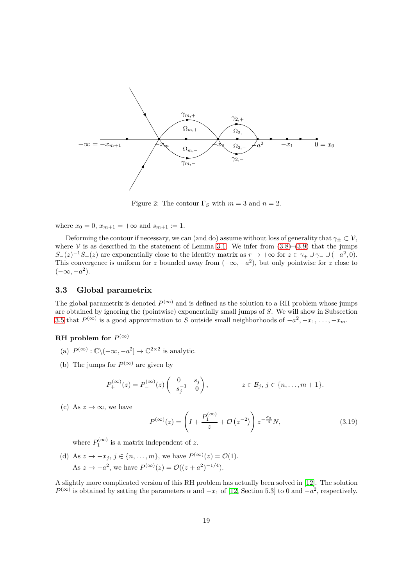

<span id="page-18-0"></span>Figure 2: The contour  $\Gamma_S$  with  $m=3$  and  $n=2$ .

where  $x_0 = 0$ ,  $x_{m+1} = +\infty$  and  $s_{m+1} := 1$ .

Deforming the contour if necessary, we can (and do) assume without loss of generality that  $\gamma_{\pm} \subset V$ , where V is as described in the statement of Lemma [3.1.](#page-15-4) We infer from  $(3.8)$ – $(3.9)$  that the jumps  $S_{-}(z)^{-1}S_{+}(z)$  are exponentially close to the identity matrix as  $r \to +\infty$  for  $z \in \gamma_{+} \cup \gamma_{-} \cup (-a^2, 0)$ . This convergence is uniform for *z* bounded away from  $(-\infty, -a^2)$ , but only pointwise for *z* close to  $(-\infty, -a^2)$ .

#### **3.3 Global parametrix**

The global parametrix is denoted  $P^{(\infty)}$  and is defined as the solution to a RH problem whose jumps are obtained by ignoring the (pointwise) exponentially small jumps of *S*. We will show in Subsection [3.5](#page-22-0) that  $P^{(\infty)}$  is a good approximation to *S* outside small neighborhoods of  $-a^2, -x_1, \ldots, -x_m$ .

### $\mathbf{R}$ **H** problem for  $P^{(\infty)}$

- (a)  $P^{(\infty)} : \mathbb{C} \setminus (-\infty, -a^2] \to \mathbb{C}^{2 \times 2}$  is analytic.
- (b) The jumps for  $P^{(\infty)}$  are given by

$$
P_+^{(\infty)}(z) = P_-^{(\infty)}(z) \begin{pmatrix} 0 & s_j \\ -s_j^{-1} & 0 \end{pmatrix}, \qquad z \in \mathcal{B}_j, j \in \{n, \ldots, m+1\}.
$$

(c) As  $z \to \infty$ , we have

<span id="page-18-1"></span>
$$
P^{(\infty)}(z) = \left(I + \frac{P_1^{(\infty)}}{z} + \mathcal{O}\left(z^{-2}\right)\right) z^{-\frac{\sigma_3}{4}} N,\tag{3.19}
$$

where  $P_1^{(\infty)}$  is a matrix independent of z.

(d) As  $z \to -x_j$ ,  $j \in \{n, ..., m\}$ , we have  $P^{(\infty)}(z) = \mathcal{O}(1)$ . As  $z \to -a^2$ , we have  $P^{(\infty)}(z) = \mathcal{O}((z + a^2)^{-1/4})$ .

A slightly more complicated version of this RH problem has actually been solved in [\[12\]](#page-44-11). The solution  $P^{(\infty)}$  is obtained by setting the parameters *α* and  $-x_1$  of [\[12,](#page-44-11) Section 5.3] to 0 and  $-a^2$ , respectively.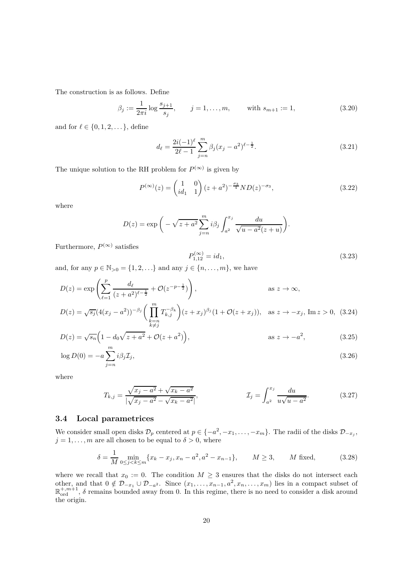The construction is as follows. Define

$$
\beta_j := \frac{1}{2\pi i} \log \frac{s_{j+1}}{s_j}, \qquad j = 1, \dots, m, \qquad \text{with } s_{m+1} := 1,
$$
\n(3.20)

and for  $\ell \in \{0, 1, 2, \ldots\}$ , define

<span id="page-19-7"></span><span id="page-19-4"></span><span id="page-19-1"></span>
$$
d_{\ell} = \frac{2i(-1)^{\ell}}{2\ell - 1} \sum_{j=n}^{m} \beta_j (x_j - a^2)^{\ell - \frac{1}{2}}.
$$
\n(3.21)

The unique solution to the RH problem for  $P^{(\infty)}$  is given by

$$
P^{(\infty)}(z) = \begin{pmatrix} 1 & 0 \\ id_1 & 1 \end{pmatrix} (z + a^2)^{-\frac{\sigma_3}{4}} N D(z)^{-\sigma_3}, \tag{3.22}
$$

where

<span id="page-19-5"></span>
$$
D(z) = \exp\bigg(-\sqrt{z+a^2} \sum_{j=n}^{m} i\beta_j \int_{a^2}^{x_j} \frac{du}{\sqrt{u-a^2}(z+u)}\bigg).
$$

Furthermore,  $P^{(\infty)}$  satisfies

<span id="page-19-8"></span><span id="page-19-6"></span><span id="page-19-3"></span><span id="page-19-2"></span>
$$
P_{1,12}^{(\infty)} = id_1,
$$
\n(3.23)

and, for any  $p \in \mathbb{N}_{>0} = \{1, 2, ...\}$  and any  $j \in \{n, ..., m\}$ , we have

$$
D(z) = \exp\left(\sum_{\ell=1}^{p} \frac{d_{\ell}}{(z+a^{2})^{\ell-\frac{1}{2}}} + \mathcal{O}(z^{-p-\frac{1}{2}})\right), \qquad \text{as } z \to \infty,
$$
  

$$
D(z) = \sqrt{s_{j}}(4(x_{j}-a^{2}))^{-\beta_{j}}\left(\prod_{\substack{k=n \ k \neq j}}^{m} T_{k,j}^{-\beta_{k}}\right)(z+x_{j})^{\beta_{j}}(1+\mathcal{O}(z+x_{j})), \quad \text{as } z \to -x_{j}, \text{ Im } z > 0, \tag{3.24}
$$

$$
D(z) = \sqrt{s_n} \left( 1 - d_0 \sqrt{z + a^2} + \mathcal{O}(z + a^2) \right),
$$
 as  $z \to -a^2$ , (3.25)

$$
\log D(0) = -a \sum_{j=n}^{m} i\beta_j \mathcal{I}_j,
$$
\n(3.26)

where

<span id="page-19-0"></span>
$$
T_{k,j} = \frac{\sqrt{x_j - a^2} + \sqrt{x_k - a^2}}{|\sqrt{x_j - a^2} - \sqrt{x_k - a^2}|}, \qquad \qquad \mathcal{I}_j = \int_{a^2}^{x_j} \frac{du}{u\sqrt{u - a^2}}. \tag{3.27}
$$

### **3.4 Local parametrices**

We consider small open disks  $\mathcal{D}_p$  centered at  $p \in \{-a^2, -x_1, \ldots, -x_m\}$ . The radii of the disks  $\mathcal{D}_{-x_j}$ ,  $j = 1, \ldots, m$  are all chosen to be equal to  $\delta > 0$ , where

$$
\delta = \frac{1}{M} \min_{0 \le j < k \le m} \{ x_k - x_j, x_n - a^2, a^2 - x_{n-1} \}, \qquad M \ge 3, \qquad M \text{ fixed}, \tag{3.28}
$$

where we recall that  $x_0 := 0$ . The condition  $M \geq 3$  ensures that the disks do not intersect each other, and that  $0 \notin \mathcal{D}_{-x_1} \cup \mathcal{D}_{-a^2}$ . Since  $(x_1, \ldots, x_{n-1}, a^2, x_n, \ldots, x_m)$  lies in a compact subset of  $\mathbb{R}^{+,m+1}_{\text{ord}}, \delta$  remains bounded away from 0. In this regime, there is no need to consider a disk around the origin.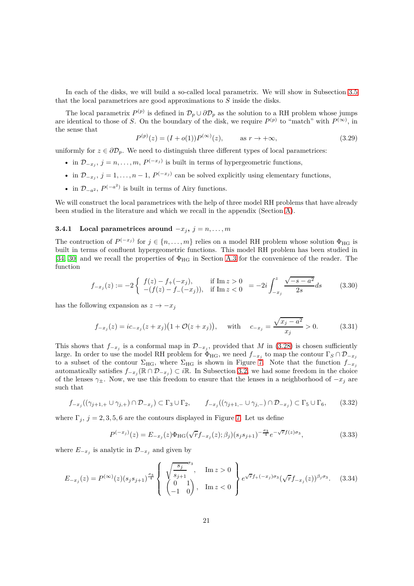In each of the disks, we will build a so-called local parametrix. We will show in Subsection [3.5](#page-22-0) that the local parametrices are good approximations to *S* inside the disks.

The local parametrix  $P^{(p)}$  is defined in  $\mathcal{D}_p \cup \partial \mathcal{D}_p$  as the solution to a RH problem whose jumps are identical to those of *S*. On the boundary of the disk, we require  $P^{(p)}$  to "match" with  $P^{(\infty)}$ , in the sense that

<span id="page-20-0"></span>
$$
P^{(p)}(z) = (I + o(1))P^{(\infty)}(z), \qquad \text{as } r \to +\infty,
$$
 (3.29)

uniformly for  $z \in \partial \mathcal{D}_p$ . We need to distinguish three different types of local parametrices:

- in  $\mathcal{D}_{-x_j}$ ,  $j = n, \ldots, m$ ,  $P^{(-x_j)}$  is built in terms of hypergeometric functions,
- in  $\mathcal{D}_{-x_j}$ ,  $j = 1, \ldots, n-1$ ,  $P^{(-x_j)}$  can be solved explicitly using elementary functions,
- in  $\mathcal{D}_{-a^2}$ ,  $P^{(-a^2)}$  is built in terms of Airy functions.

We will construct the local parametrices with the help of three model RH problems that have already been studied in the literature and which we recall in the appendix (Section [A\)](#page-39-0).

#### <span id="page-20-2"></span>**3.4.1** Local parametrices around  $-x_j$ ,  $j = n, \ldots, m$

The contruction of  $P^{(-x_j)}$  for  $j \in \{n, \ldots, m\}$  relies on a model RH problem whose solution  $\Phi_{HG}$  is built in terms of confluent hypergeometric functions. This model RH problem has been studied in [\[34,](#page-45-22) [30\]](#page-45-23) and we recall the properties of  $\Phi_{\text{HG}}$  in Section [A.3](#page-42-0) for the convenience of the reader. The function

<span id="page-20-4"></span>
$$
f_{-x_j}(z) := -2 \begin{cases} f(z) - f_{+}(-x_j), & \text{if } \text{Im } z > 0 \\ -(f(z) - f_{-}(-x_j)), & \text{if } \text{Im } z < 0 \end{cases} = -2i \int_{-x_j}^{z} \frac{\sqrt{-s - a^2}}{2s} ds \tag{3.30}
$$

has the following expansion as  $z \to -x_j$ 

<span id="page-20-1"></span>
$$
f_{-x_j}(z) = ic_{-x_j}(z + x_j)(1 + \mathcal{O}(z + x_j)), \quad \text{with} \quad c_{-x_j} = \frac{\sqrt{x_j - a^2}}{x_j} > 0. \tag{3.31}
$$

This shows that  $f_{-x_j}$  is a conformal map in  $\mathcal{D}_{-x_j}$ , provided that *M* in [\(3.28\)](#page-19-0) is chosen sufficiently large. In order to use the model RH problem for  $\Phi_{HG}$ , we need  $f_{-x_j}$  to map the contour  $\Gamma_S \cap \mathcal{D}_{-x_j}$ to a subset of the contour  $\Sigma_{HG}$ , where  $\Sigma_{HG}$  is shown in Figure [7.](#page-43-0) Note that the function  $f_{-x_i}$ automatically satisfies  $f_{-x_j}(\mathbb{R} \cap \mathcal{D}_{-x_j}) \subset i\mathbb{R}$ . In Subsection [3.2,](#page-17-1) we had some freedom in the choice of the lenses  $\gamma_{\pm}$ . Now, we use this freedom to ensure that the lenses in a neighborhood of  $-x_j$  are such that

$$
f_{-x_j}((\gamma_{j+1,+} \cup \gamma_{j,+}) \cap \mathcal{D}_{-x_j}) \subset \Gamma_3 \cup \Gamma_2, \qquad f_{-x_j}((\gamma_{j+1,-} \cup \gamma_{j,-}) \cap \mathcal{D}_{-x_j}) \subset \Gamma_5 \cup \Gamma_6, \qquad (3.32)
$$

where  $\Gamma_j$ ,  $j = 2, 3, 5, 6$  are the contours displayed in Figure [7.](#page-43-0) Let us define

<span id="page-20-3"></span>
$$
P^{(-x_j)}(z) = E_{-x_j}(z)\Phi_{\text{HG}}(\sqrt{r}f_{-x_j}(z);\beta_j)(s_js_{j+1})^{-\frac{\sigma_3}{4}}e^{-\sqrt{r}f(z)\sigma_3},\tag{3.33}
$$

where  $E_{-x_j}$  is analytic in  $\mathcal{D}_{-x_j}$  and given by

$$
E_{-x_j}(z) = P^{(\infty)}(z)(s_j s_{j+1})^{\frac{\sigma_3}{4}} \left\{ \begin{array}{l} \sqrt{\frac{s_j}{s_{j+1}}}^{\sigma_3}, \quad \text{Im } z > 0\\ \begin{pmatrix} 0 & 1\\ -1 & 0 \end{pmatrix}, \quad \text{Im } z < 0 \end{array} \right\} e^{\sqrt{r}f_+(-x_j)\sigma_3} (\sqrt{r}f_{-x_j}(z))^{\beta_j \sigma_3}.
$$
 (3.34)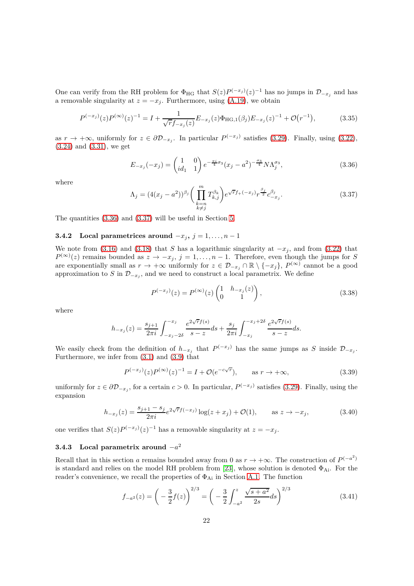One can verify from the RH problem for  $\Phi_{HG}$  that  $S(z)P^{(-x_j)}(z)^{-1}$  has no jumps in  $\mathcal{D}_{-x_j}$  and has a removable singularity at  $z = -x_j$ . Furthermore, using [\(A.19\)](#page-43-1), we obtain

$$
P^{(-x_j)}(z)P^{(\infty)}(z)^{-1} = I + \frac{1}{\sqrt{r}f_{-x_j}(z)}E_{-x_j}(z)\Phi_{\text{HG},1}(\beta_j)E_{-x_j}(z)^{-1} + \mathcal{O}(r^{-1}),\tag{3.35}
$$

as  $r \to +\infty$ , uniformly for  $z \in \partial \mathcal{D}_{-x_j}$ . In particular  $P^{(-x_j)}$  satisfies [\(3.29\)](#page-20-0). Finally, using [\(3.22\)](#page-19-1), [\(3.24\)](#page-19-2) and [\(3.31\)](#page-20-1), we get

<span id="page-21-3"></span><span id="page-21-0"></span>
$$
E_{-x_j}(-x_j) = \begin{pmatrix} 1 & 0 \ i d_1 & 1 \end{pmatrix} e^{-\frac{\pi i}{4}\sigma_3} (x_j - a^2)^{-\frac{\sigma_3}{4}} N \Lambda_j^{\sigma_3}, \tag{3.36}
$$

<span id="page-21-1"></span>where

$$
\Lambda_j = (4(x_j - a^2))^{\beta_j} \left( \prod_{\substack{k=n \\ k \neq j}}^m T_{k,j}^{\beta_k} \right) e^{\sqrt{r} f_+(-x_j)} r^{\frac{\beta_j}{2}} c_{-x_j}^{\beta_j}.
$$
\n(3.37)

The quantities [\(3.36\)](#page-21-0) and [\(3.37\)](#page-21-1) will be useful in Section [5.](#page-30-0)

#### **3.4.2** Local parametrices around  $-x_j$ ,  $j = 1, ..., n - 1$

We note from [\(3.16\)](#page-17-2) and [\(3.18\)](#page-17-3) that *S* has a logarithmic singularity at  $-x_j$ , and from [\(3.22\)](#page-19-1) that  $P^{(\infty)}(z)$  remains bounded as  $z \to -x_j$ ,  $j = 1, \ldots, n-1$ . Therefore, even though the jumps for *S* are exponentially small as  $r \to +\infty$  uniformly for  $z \in \mathcal{D}_{-x_j} \cap \mathbb{R} \setminus \{-x_j\}$ ,  $P^{(\infty)}$  cannot be a good approximation to  $S$  in  $\mathcal{D}_{-x_j}$ , and we need to construct a local parametrix. We define

<span id="page-21-5"></span><span id="page-21-4"></span>
$$
P^{(-x_j)}(z) = P^{(\infty)}(z) \begin{pmatrix} 1 & h_{-x_j}(z) \\ 0 & 1 \end{pmatrix},
$$
\n(3.38)

where

$$
h_{-x_j}(z) = \frac{s_{j+1}}{2\pi i} \int_{-x_j-2\delta}^{-x_j} \frac{e^{2\sqrt{r}f(s)}}{s-z} ds + \frac{s_j}{2\pi i} \int_{-x_j}^{-x_j+2\delta} \frac{e^{2\sqrt{r}f(s)}}{s-z} ds.
$$

We easily check from the definition of  $h_{-x_j}$  that  $P^{(-x_j)}$  has the same jumps as *S* inside  $\mathcal{D}_{-x_j}$ . Furthermore, we infer from [\(3.1\)](#page-26-1) and [\(3.9\)](#page-16-1) that

<span id="page-21-6"></span>
$$
P^{(-x_j)}(z)P^{(\infty)}(z)^{-1} = I + \mathcal{O}(e^{-c\sqrt{r}}), \quad \text{as } r \to +\infty,
$$
 (3.39)

uniformly for  $z \in \partial \mathcal{D}_{-x_j}$ , for a certain  $c > 0$ . In particular,  $P^{(-x_j)}$  satisfies [\(3.29\)](#page-20-0). Finally, using the expansion

$$
h_{-x_j}(z) = \frac{s_{j+1} - s_j}{2\pi i} e^{2\sqrt{r}f(-x_j)} \log(z + x_j) + \mathcal{O}(1), \qquad \text{as } z \to -x_j,
$$
 (3.40)

one verifies that  $S(z)P^{(-x_j)}(z)^{-1}$  has a removable singularity at  $z = -x_j$ .

# <span id="page-21-2"></span>**3.4.3 Local parametrix around** −*a* 2

Recall that in this section *a* remains bounded away from 0 as  $r \to +\infty$ . The construction of  $P^{(-a^2)}$ is standard and relies on the model RH problem from [\[23\]](#page-44-23), whose solution is denoted  $\Phi_{Ai}$ . For the reader's convenience, we recall the properties of  $\Phi_{Ai}$  in Section [A.1.](#page-39-1) The function

$$
f_{-a^2}(z) = \left(-\frac{3}{2}f(z)\right)^{2/3} = \left(-\frac{3}{2}\int_{-a^2}^{z} \frac{\sqrt{s+a^2}}{2s}ds\right)^{2/3}
$$
(3.41)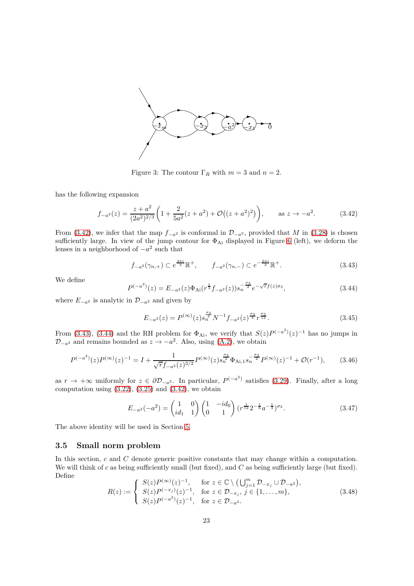

<span id="page-22-4"></span><span id="page-22-1"></span>Figure 3: The contour  $\Gamma_R$  with  $m=3$  and  $n=2$ .

has the following expansion

$$
f_{-a^2}(z) = \frac{z + a^2}{(2a^2)^{2/3}} \left( 1 + \frac{2}{5a^2} (z + a^2) + \mathcal{O}\left( (z + a^2)^2 \right) \right), \qquad \text{as } z \to -a^2. \tag{3.42}
$$

From [\(3.42\)](#page-22-1), we infer that the map  $f_{-a^2}$  is conformal in  $\mathcal{D}_{-a^2}$ , provided that *M* in [\(3.28\)](#page-19-0) is chosen sufficiently large. In view of the jump contour for  $\Phi_{Ai}$  displayed in Figure [6](#page-40-0) (left), we deform the lenses in a neighborhood of  $-a^2$  such that

<span id="page-22-2"></span>
$$
f_{-a^2}(\gamma_{n,+}) \subset e^{\frac{2\pi i}{3}} \mathbb{R}^+, \qquad f_{-a^2}(\gamma_{n,-}) \subset e^{-\frac{2\pi i}{3}} \mathbb{R}^+.
$$
 (3.43)

<span id="page-22-3"></span>We define

$$
P^{(-a^2)}(z) = E_{-a^2}(z)\Phi_{\text{Ai}}(r^{\frac{1}{3}}f_{-a^2}(z))s_n^{-\frac{\sigma_3}{2}}e^{-\sqrt{r}f(z)\sigma_3},\tag{3.44}
$$

where  $E_{-a^2}$  is analytic in  $\mathcal{D}_{-a^2}$  and given by

<span id="page-22-5"></span>
$$
E_{-a^2}(z) = P^{(\infty)}(z) s_n^{\frac{\sigma_3}{2}} N^{-1} f_{-a^2}(z)^{\frac{\sigma_3}{4}} r^{\frac{\sigma_3}{12}}.
$$
\n(3.45)

From [\(3.43\)](#page-22-2), [\(3.44\)](#page-22-3) and the RH problem for  $\Phi_{\rm Ai}$ , we verify that  $S(z)P^{(-a^2)}(z)^{-1}$  has no jumps in  $\mathcal{D}_{-a^2}$  and remains bounded as  $z \to -a^2$ . Also, using [\(A.2\)](#page-39-2), we obtain

$$
P^{(-a^2)}(z)P^{(\infty)}(z)^{-1} = I + \frac{1}{\sqrt{r}f_{-a^2}(z)^{3/2}}P^{(\infty)}(z)s_n^{\frac{\sigma_3}{2}}\Phi_{\text{Ai},1}s_n^{-\frac{\sigma_3}{2}}P^{(\infty)}(z)^{-1} + \mathcal{O}(r^{-1}),\tag{3.46}
$$

as  $r \to +\infty$  uniformly for  $z \in \partial \mathcal{D}_{-a^2}$ . In particular,  $P^{(-a^2)}$  satisfies [\(3.29\)](#page-20-0). Finally, after a long computation using  $(3.22)$ ,  $(3.25)$  and  $(3.42)$ , we obtain

$$
E_{-a^2}(-a^2) = \begin{pmatrix} 1 & 0 \\ id_1 & 1 \end{pmatrix} \begin{pmatrix} 1 & -id_0 \\ 0 & 1 \end{pmatrix} (r^{\frac{1}{12}} 2^{-\frac{1}{6}} a^{-\frac{1}{3}})^{\sigma_3}.
$$
 (3.47)

The above identity will be used in Section [5.](#page-30-0)

### <span id="page-22-0"></span>**3.5 Small norm problem**

<span id="page-22-6"></span>In this section, *c* and *C* denote generic positive constants that may change within a computation. We will think of *c* as being sufficiently small (but fixed), and *C* as being sufficiently large (but fixed). Define

$$
R(z) := \begin{cases} S(z)P^{(\infty)}(z)^{-1}, & \text{for } z \in \mathbb{C} \setminus \left(\bigcup_{j=1}^{m} \mathcal{D}_{-x_j} \cup \mathcal{D}_{-a^2}\right), \\ S(z)P^{(-x_j)}(z)^{-1}, & \text{for } z \in \mathcal{D}_{-x_j}, j \in \{1, \dots, m\}, \\ S(z)P^{(-a^2)}(z)^{-1}, & \text{for } z \in \mathcal{D}_{-a^2}. \end{cases}
$$
(3.48)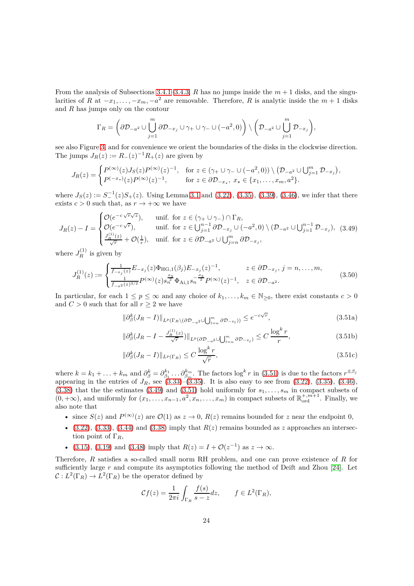From the analysis of Subsections [3.4.1–](#page-20-2)[3.4.3,](#page-21-2)  $R$  has no jumps inside the  $m + 1$  disks, and the singularities of *R* at  $-x_1, \ldots, -x_m, -a^2$  are removable. Therefore, *R* is analytic inside the  $m+1$  disks and *R* has jumps only on the contour

$$
\Gamma_R = \left(\partial \mathcal{D}_{-a^2} \cup \bigcup_{j=1}^m \partial \mathcal{D}_{-x_j} \cup \gamma_+ \cup \gamma_- \cup (-a^2, 0)\right) \setminus \left(\mathcal{D}_{-a^2} \cup \bigcup_{j=1}^m \mathcal{D}_{-x_j}\right),\,
$$

see also Figure [3,](#page-22-4) and for convenience we orient the boundaries of the disks in the clockwise direction. The jumps  $J_R(z) := R_-(z)^{-1}R_+(z)$  are given by

$$
J_R(z) = \begin{cases} P^{(\infty)}(z)J_S(z)P^{(\infty)}(z)^{-1}, & \text{for } z \in (\gamma_+ \cup \gamma_- \cup (-a^2,0)) \setminus (D_{-a^2} \cup \bigcup_{j=1}^m D_{-x_j}), \\ P^{(-x_\star)}(z)P^{(\infty)}(z)^{-1}, & \text{for } z \in \partial D_{-x_\star}, x_\star \in \{x_1, \ldots, x_m, a^2\}. \end{cases}
$$

where  $J_S(z) := S^{-1}(z)S_+(z)$ . Using Lemma [3.1](#page-15-4) and [\(3.22\)](#page-19-1), [\(3.35\)](#page-21-3), [\(3.39\)](#page-21-4), [\(3.46\)](#page-22-5), we infer that there exists  $c > 0$  such that, as  $r \to +\infty$  we have

$$
J_R(z) - I = \begin{cases} \mathcal{O}(e^{-c\sqrt{r}\sqrt{z}}), & \text{unif. for } z \in (\gamma_+ \cup \gamma_-) \cap \Gamma_R, \\ \mathcal{O}(e^{-c\sqrt{r}}), & \text{unif. for } z \in \bigcup_{j=1}^{n-1} \partial \mathcal{D}_{-x_j} \cup (-a^2, 0) \setminus (\mathcal{D}_{-a^2} \cup \bigcup_{j=1}^{n-1} \mathcal{D}_{-x_j}), \\ \frac{J_R^{(1)}(z)}{\sqrt{r}} + \mathcal{O}(\frac{1}{r}), & \text{unif. for } z \in \partial \mathcal{D}_{-a^2} \cup \bigcup_{j=n}^m \partial \mathcal{D}_{-x_j}, \end{cases}
$$

where  $J_R^{(1)}$  is given by

$$
J_R^{(1)}(z) := \begin{cases} \frac{1}{f_{-x_j}(z)} E_{-x_j}(z) \Phi_{\text{HG},1}(\beta_j) E_{-x_j}(z)^{-1}, & z \in \partial \mathcal{D}_{-x_j}, j = n, \dots, m, \\ \frac{1}{f_{-a^2}(z)^{3/2}} P^{(\infty)}(z) s_n^{\frac{\sigma_3}{2}} \Phi_{\text{Ai},1} s_n^{-\frac{\sigma_3}{2}} P^{(\infty)}(z)^{-1}, & z \in \partial \mathcal{D}_{-a^2}. \end{cases}
$$
(3.50)

In particular, for each  $1 \le p \le \infty$  and any choice of  $k_1, \ldots, k_m \in \mathbb{N}_{\ge 0}$ , there exist constants  $c > 0$ and  $C > 0$  such that for all  $r \geq 2$  we have

<span id="page-23-2"></span><span id="page-23-1"></span><span id="page-23-0"></span>
$$
\|\partial_{\beta}^{k}(J_{R}-I)\|_{L^{p}(\Gamma_{R}\setminus(\partial\mathcal{D}_{-a^{2}}\cup\bigcup_{l=n}^{m}\partial\mathcal{D}_{-x_{l}}))}\leq e^{-c\sqrt{r}},\tag{3.51a}
$$

$$
\|\partial_{\beta}^{k}(J_{R}-I-\frac{J_{R}^{(1)}(z)}{\sqrt{r}})\|_{L^{p}(\partial\mathcal{D}_{-a^{2}}\cup\bigcup_{l=n}^{m}\partial\mathcal{D}_{-x_{l}})}\leq C\,\frac{\log^{k}r}{r},\tag{3.51b}
$$

$$
\|\partial_{\beta}^{k}(J_{R}-I)\|_{L^{p}(\Gamma_{R})} \leq C \frac{\log^{k} r}{\sqrt{r}},\tag{3.51c}
$$

where  $k = k_1 + \ldots + k_m$  and  $\partial_{\beta}^k = \partial_{\beta_1}^{k_1} \ldots \partial_{\beta_m}^{k_m}$ . The factors  $\log^k r$  in [\(3.51\)](#page-23-0) is due to the factors  $r^{\pm \beta_j}$ appearing in the entries of  $J_R$ , see  $(3.33)$ – $(3.35)$ . It is also easy to see from  $(3.22)$ ,  $(3.35)$ ,  $(3.46)$ ,  $(3.38)$  that the the estimates  $(3.49)$  and  $(3.51)$  hold uniformly for  $s_1, \ldots, s_m$  in compact subsets of  $(0, +\infty)$ , and uniformly for  $(x_1, \ldots, x_{n-1}, a^2, x_n, \ldots, x_m)$  in compact subsets of  $\mathbb{R}^{+, m+1}_{\text{ord}}$ . Finally, we also note that

- since  $S(z)$  and  $P^{(\infty)}(z)$  are  $\mathcal{O}(1)$  as  $z \to 0$ ,  $R(z)$  remains bounded for *z* near the endpoint 0,
- $(3.22)$ ,  $(3.33)$ ,  $(3.44)$  and  $(3.38)$  imply that  $R(z)$  remains bounded as *z* approaches an intersection point of  $\Gamma_R$ ,
- • [\(3.15\)](#page-17-4), [\(3.19\)](#page-18-1) and [\(3.48\)](#page-22-6) imply that  $R(z) = I + \mathcal{O}(z^{-1})$  as  $z \to \infty$ .

Therefore, *R* satisfies a so-called small norm RH problem, and one can prove existence of *R* for sufficiently large *r* and compute its asymptotics following the method of Deift and Zhou [\[24\]](#page-44-21). Let  $C: L^2(\Gamma_R) \to L^2(\Gamma_R)$  be the operator defined by

$$
\mathcal{C}f(z) = \frac{1}{2\pi i} \int_{\Gamma_R} \frac{f(s)}{s - z} dz, \qquad f \in L^2(\Gamma_R),
$$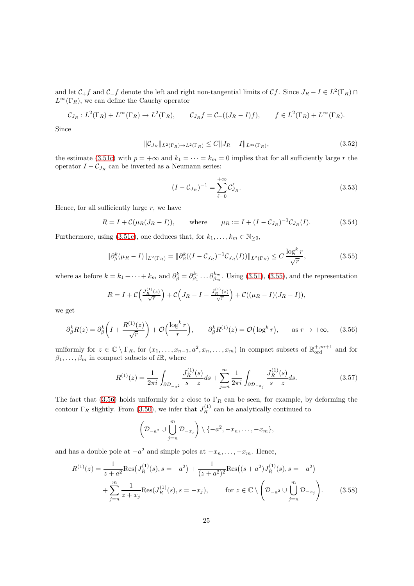and let  $C_+f$  and  $C-f$  denote the left and right non-tangential limits of Cf. Since  $J_R - I \in L^2(\Gamma_R) \cap$  $L^{\infty}(\Gamma_R)$ , we can define the Cauchy operator

$$
\mathcal{C}_{J_R}: L^2(\Gamma_R) + L^\infty(\Gamma_R) \to L^2(\Gamma_R), \qquad \mathcal{C}_{J_R}f = \mathcal{C}_-((J_R - I)f), \qquad f \in L^2(\Gamma_R) + L^\infty(\Gamma_R).
$$

Since

$$
\|\mathcal{C}_{J_R}\|_{L^2(\Gamma_R)\to L^2(\Gamma_R)} \le C\|J_R - I\|_{L^\infty(\Gamma_R)},\tag{3.52}
$$

the estimate [\(3.51c\)](#page-26-2) with  $p = +\infty$  and  $k_1 = \cdots = k_m = 0$  implies that for all sufficiently large *r* the operator  $I - C_{J_R}$  can be inverted as a Neumann series:

<span id="page-24-3"></span><span id="page-24-2"></span><span id="page-24-0"></span>
$$
(I - C_{J_R})^{-1} = \sum_{\ell=0}^{+\infty} C_{J_R}^{\ell}.
$$
\n(3.53)

Hence, for all sufficiently large *r*, we have

$$
R = I + C(\mu_R(J_R - I)),
$$
 where  $\mu_R := I + (I - C_{J_R})^{-1}C_{J_R}(I).$  (3.54)

Furthermore, using [\(3.51c\)](#page-26-2), one deduces that, for  $k_1, \ldots, k_m \in \mathbb{N}_{\geq 0}$ ,

$$
\|\partial_{\beta}^{k}(\mu_{R}-I)\|_{L^{2}(\Gamma_{R})} = \|\partial_{\beta}^{k}((I-\mathcal{C}_{J_{R}})^{-1}\mathcal{C}_{J_{R}}(I))\|_{L^{2}(\Gamma_{R})} \leq C \frac{\log^{k} r}{\sqrt{r}},
$$
\n(3.55)

where as before  $k = k_1 + \cdots + k_m$  and  $\partial_{\beta}^k = \partial_{\beta_1}^{k_1} \ldots \partial_{\beta_m}^{k_m}$ . Using [\(3.51\)](#page-23-0), [\(3.55\)](#page-24-0), and the representation

$$
R = I + C\left(\frac{J_R^{(1)}(z)}{\sqrt{r}}\right) + C\left(J_R - I - \frac{J_R^{(1)}(z)}{\sqrt{r}}\right) + C\left((\mu_R - I)(J_R - I)\right),
$$

we get

$$
\partial_{\beta}^{k} R(z) = \partial_{\beta}^{k} \left( I + \frac{R^{(1)}(z)}{\sqrt{r}} \right) + \mathcal{O}\left(\frac{\log^{k} r}{r}\right), \qquad \partial_{\beta}^{k} R^{(1)}(z) = \mathcal{O}\left(\log^{k} r\right), \qquad \text{as } r \to +\infty,\tag{3.56}
$$

uniformly for  $z \in \mathbb{C} \setminus \Gamma_R$ , for  $(x_1, \ldots, x_{n-1}, a^2, x_n, \ldots, x_m)$  in compact subsets of  $\mathbb{R}^{+, m+1}_{ord}$  and for  $\beta_1, \ldots, \beta_m$  in compact subsets of *i*R, where

<span id="page-24-4"></span>
$$
R^{(1)}(z) = \frac{1}{2\pi i} \int_{\partial \mathcal{D}_{-a^2}} \frac{J_R^{(1)}(s)}{s - z} ds + \sum_{j=n}^m \frac{1}{2\pi i} \int_{\partial \mathcal{D}_{-x_j}} \frac{J_R^{(1)}(s)}{s - z} ds.
$$
 (3.57)

The fact that [\(3.56\)](#page-24-1) holds uniformly for *z* close to  $\Gamma_R$  can be seen, for example, by deforming the contour  $\Gamma_R$  slightly. From [\(3.50\)](#page-23-2), we infer that  $J_R^{(1)}$  can be analytically continued to

<span id="page-24-5"></span><span id="page-24-1"></span>
$$
\left(\mathcal{D}_{-a^2}\cup\bigcup_{j=n}^m\mathcal{D}_{-x_j}\right)\setminus\{-a^2,-x_n,\ldots,-x_m\},\,
$$

and has a double pole at  $-a^2$  and simple poles at  $-x_n, \ldots, -x_m$ . Hence,

$$
R^{(1)}(z) = \frac{1}{z+a^2} \text{Res}(J_R^{(1)}(s), s = -a^2) + \frac{1}{(z+a^2)^2} \text{Res}((s+a^2)J_R^{(1)}(s), s = -a^2)
$$
  
+ 
$$
\sum_{j=n}^{m} \frac{1}{z+x_j} \text{Res}(J_R^{(1)}(s), s = -x_j), \qquad \text{for } z \in \mathbb{C} \setminus \left(\mathcal{D}_{-a^2} \cup \bigcup_{j=n}^{m} \mathcal{D}_{-x_j}\right). \tag{3.58}
$$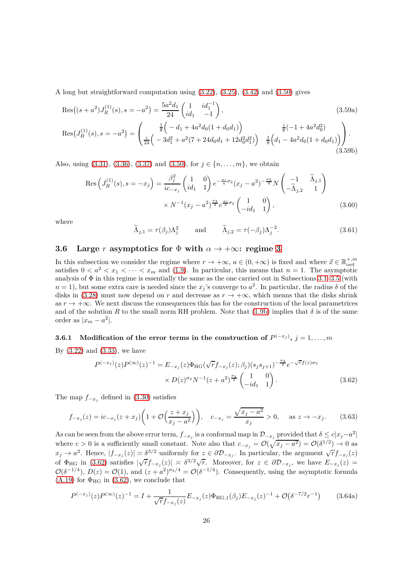A long but straightforward computation using [\(3.22\)](#page-19-1), [\(3.25\)](#page-19-3), [\(3.42\)](#page-22-1) and [\(3.50\)](#page-23-2) gives

$$
Res((s+a^2)J_R^{(1)}(s), s = -a^2) = \frac{5a^2d_1}{24} \begin{pmatrix} 1 & id_1^{-1} \\ id_1 & -1 \end{pmatrix},
$$
\n
$$
Res(J_R^{(1)}(s), s = -a^2) = \begin{pmatrix} \frac{1}{8} \left( -d_1 + 4a^2d_0(1+d_0d_1) \right) & \frac{i}{8} \left( -1 + 4a^2d_0^2 \right) \\ \frac{i}{24} \left( -3d_1^2 + a^2(7 + 24d_0d_1 + 12d_0^2d_1^2) \right) & \frac{1}{8} \left( d_1 - 4a^2d_0(1+d_0d_1) \right) \end{pmatrix}.
$$
\n(3.59a)

Also, using  $(3.31)$ ,  $(3.36)$ ,  $(3.37)$  and  $(3.50)$ , for  $j \in \{n, \ldots, m\}$ , we obtain

$$
\operatorname{Res}\left(J_R^{(1)}(s), s = -x_j\right) = \frac{\beta_j^2}{ic_{-x_j}} \begin{pmatrix} 1 & 0\\ id_1 & 1 \end{pmatrix} e^{-\frac{\pi i}{4}\sigma_3} (x_j - a^2)^{-\frac{\sigma_3}{4}} N \begin{pmatrix} -1 & \widetilde{\Lambda}_{j,1} \\ -\widetilde{\Lambda}_{j,2} & 1 \end{pmatrix}
$$

$$
\times N^{-1} (x_j - a^2)^{\frac{\sigma_3}{4}} e^{\frac{\pi i}{4}\sigma_3} \begin{pmatrix} 1 & 0 \\ -id_1 & 1 \end{pmatrix},
$$
(3.60)

where

<span id="page-25-4"></span><span id="page-25-3"></span>
$$
\widetilde{\Lambda}_{j,1} = \tau(\beta_j) \Lambda_j^2 \quad \text{and} \quad \widetilde{\Lambda}_{j,2} = \tau(-\beta_j) \Lambda_j^{-2}.
$$
\n(3.61)

# <span id="page-25-0"></span>**3.6** Large *r* asymptotics for  $\Phi$  with  $\alpha \to +\infty$ : regime [3](#page-2-4)

In this subsection we consider the regime where  $r \to +\infty$ ,  $a \in (0, +\infty)$  is fixed and where  $\vec{x} \in \mathbb{R}^{+,m}_{\text{ord}}$ satisfies  $0 < a^2 < x_1 < \cdots < x_m$  and [\(1.9\)](#page-2-8). In particular, this means that  $n = 1$ . The asymptotic analysis of  $\Phi$  in this regime is essentially the same as the one carried out in Subsections [3.1](#page-15-1)[–3.5](#page-22-0) (with  $n = 1$ , but some extra care is needed since the  $x_j$ 's converge to  $a^2$ . In particular, the radius  $\delta$  of the disks in [\(3.28\)](#page-19-0) must now depend on *r* and decrease as  $r \to +\infty$ , which means that the disks shrink as  $r \to +\infty$ . We next discuss the consequences this has for the construction of the local parametrices and of the solution *R* to the small norm RH problem. Note that [\(1.9b\)](#page-2-10) implies that  $\delta$  is of the same order as  $|x_m - a^2|$ .

### **3.6.1** Modification of the error terms in the construction of  $P^{(-x_j)}$ ,  $j = 1, ..., m$

By  $(3.22)$  and  $(3.33)$ , we have

<span id="page-25-1"></span>
$$
P^{(-x_j)}(z)P^{(\infty)}(z)^{-1} = E_{-x_j}(z)\Phi_{\text{HG}}(\sqrt{r}f_{-x_j}(z);\beta_j)(s_j s_{j+1})^{-\frac{\sigma_3}{4}}e^{-\sqrt{r}f(z)\sigma_3}
$$

$$
\times D(z)^{\sigma_3}N^{-1}(z+a^2)^{\frac{\sigma_3}{4}}\begin{pmatrix} 1 & 0\\ -id_1 & 1 \end{pmatrix}.
$$
(3.62)

The map  $f_{-x_j}$  defined in [\(3.30\)](#page-20-4) satisfies

$$
f_{-x_j}(z) = ic_{-x_j}(z + x_j) \left( 1 + \mathcal{O}\left(\frac{z + x_j}{x_j - a^2}\right) \right), \quad c_{-x_j} = \frac{\sqrt{x_j - a^2}}{x_j} > 0, \quad \text{as } z \to -x_j. \tag{3.63}
$$

As can be seen from the above error term,  $f_{-x_j}$  is a conformal map in  $\mathcal{D}_{-x_j}$  provided that  $\delta \leq c|x_j-a^2|$ where  $c > 0$  is a sufficiently small constant. Note also that  $c_{-x_j} = \mathcal{O}(\sqrt{x_j - a^2}) = \mathcal{O}(\delta^{1/2}) \to 0$  as  $x_j \to a^2$ . Hence,  $|f_{-x_j}(z)| \asymp \delta^{3/2}$  uniformly for  $z \in \partial \mathcal{D}_{-x_j}$ . In particular, the argument  $\sqrt{r} f_{-x_j}(z)$ of  $\Phi_{HG}$  in [\(3.62\)](#page-25-1) satisfies  $|\sqrt{r}f_{-x_j}(z)| \approx \delta^{3/2}\sqrt{r}$ . Moreover, for  $z \in \partial D_{-x_j}$ , we have  $E_{-x_j}(z)$  =  $\mathcal{O}(\delta^{-1/4})$ ,  $D(z) = \mathcal{O}(1)$ , and  $(z + a^2)^{\sigma_3/4} = \mathcal{O}(\delta^{-1/4})$ . Consequently, using the asymptotic formula  $(A.19)$  for  $\Phi_{HG}$  in  $(3.62)$ , we conclude that

<span id="page-25-2"></span>
$$
P^{(-x_j)}(z)P^{(\infty)}(z)^{-1} = I + \frac{1}{\sqrt{r}f_{-x_j}(z)}E_{-x_j}(z)\Phi_{\text{HG},1}(\beta_j)E_{-x_j}(z)^{-1} + \mathcal{O}(\delta^{-7/2}r^{-1})\tag{3.64a}
$$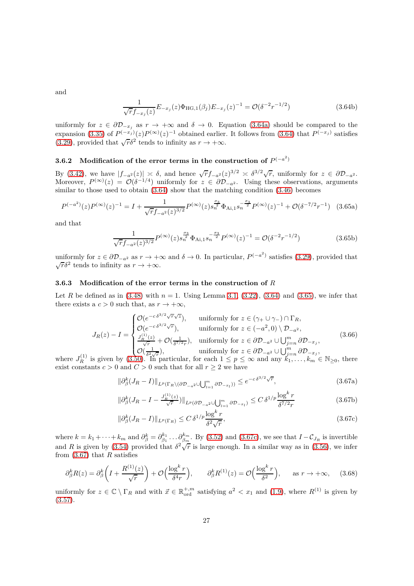and

$$
\frac{1}{\sqrt{r}f_{-x_j}(z)}E_{-x_j}(z)\Phi_{\text{HG},1}(\beta_j)E_{-x_j}(z)^{-1} = \mathcal{O}(\delta^{-2}r^{-1/2})
$$
\n(3.64b)

uniformly for  $z \in \partial \mathcal{D}_{-x_j}$  as  $r \to +\infty$  and  $\delta \to 0$ . Equation [\(3.64a\)](#page-26-1) should be compared to the expansion [\(3.35\)](#page-21-3) of  $P^{(-x_j)}(z)P^{(\infty)}(z)^{-1}$  obtained earlier. It follows from [\(3.64\)](#page-25-2) that  $P^{(-x_j)}$  satisfies [\(3.29\)](#page-20-0), provided that  $\sqrt{r}\delta^2$  tends to infinity as  $r \to +\infty$ .

# **3.6.2** Modification of the error terms in the construction of  $P^{(-a^2)}$

By [\(3.42\)](#page-22-1), we have  $|f_{-a^2}(z)| \ge \delta$ , and hence  $\sqrt{r} f_{-a^2}(z)^{3/2} \ge \delta^{3/2} \sqrt{r}$ , uniformly for  $z \in \partial \mathcal{D}_{-a^2}$ . Moreover,  $P^{(\infty)}(z) = \mathcal{O}(\delta^{-1/4})$  uniformly for  $z \in \partial \mathcal{D}_{-a^2}$ . Using these observations, arguments similar to those used to obtain  $(3.64)$  show that the matching condition  $(3.46)$  becomes

$$
P^{(-a^2)}(z)P^{(\infty)}(z)^{-1} = I + \frac{1}{\sqrt{r}f_{-a^2}(z)^{3/2}}P^{(\infty)}(z)s_n^{\frac{\sigma_3}{2}}\Phi_{\text{Ai},1}s_n^{-\frac{\sigma_3}{2}}P^{(\infty)}(z)^{-1} + \mathcal{O}(\delta^{-7/2}r^{-1}) \quad (3.65a)
$$

and that

<span id="page-26-3"></span>
$$
\frac{1}{\sqrt{r}f_{-a^2}(z)^{3/2}}P^{(\infty)}(z)s_n^{\frac{\sigma_3}{2}}\Phi_{\text{Ai},1}s_n^{-\frac{\sigma_3}{2}}P^{(\infty)}(z)^{-1} = \mathcal{O}(\delta^{-2}r^{-1/2})\tag{3.65b}
$$

uniformly for  $z \in \partial \mathcal{D}_{-a^2}$  as  $r \to +\infty$  and  $\delta \to 0$ . In particular,  $P^{(-a^2)}$  satisfies [\(3.29\)](#page-20-0), provided that  $\sqrt{r}\delta^2$  tends to infinity as  $r \to +\infty$ .

#### **3.6.3 Modification of the error terms in the construction of** *R*

Let *R* be defined as in  $(3.48)$  with  $n = 1$ . Using Lemma [3.1,](#page-15-4)  $(3.22)$ ,  $(3.64)$  and  $(3.65)$ , we infer that there exists a  $c > 0$  such that, as  $r \to +\infty$ ,

$$
J_R(z) - I = \begin{cases} \mathcal{O}(e^{-c\delta^{3/2}\sqrt{r}\sqrt{z}}), & \text{uniformly for } z \in (\gamma_+ \cup \gamma_-) \cap \Gamma_R, \\ \mathcal{O}(e^{-c\delta^{3/2}\sqrt{r}}), & \text{uniformly for } z \in (-a^2, 0) \setminus \mathcal{D}_{-a^2}, \\ \frac{J_R^{(1)}(z)}{\sqrt{r}} + \mathcal{O}(\frac{1}{\delta^{7/2}r}), & \text{uniformly for } z \in \partial \mathcal{D}_{-a^2} \cup \bigcup_{j=n}^m \partial \mathcal{D}_{-x_j}, \\ \mathcal{O}(\frac{1}{\delta^2\sqrt{r}}), & \text{uniformly for } z \in \partial \mathcal{D}_{-a^2} \cup \bigcup_{j=n}^m \partial \mathcal{D}_{-x_j}, \end{cases} \tag{3.66}
$$

where  $J_R^{(1)}$  is given by  $(3.50)$ . In particular, for each  $1 \leq p \leq \infty$  and any  $k_1, \ldots, k_m \in \mathbb{N}_{\geq 0}$ , there exist constants  $c > 0$  and  $C > 0$  such that for all  $r \geq 2$  we have

<span id="page-26-4"></span><span id="page-26-1"></span>
$$
\|\partial_{\beta}^{k}(J_{R}-I)\|_{L^{p}(\Gamma_{R}\backslash(\partial\mathcal{D}_{-a^{2}}\cup\bigcup_{l=1}^{m}\partial\mathcal{D}_{-x_{l}}))}\leq e^{-c\delta^{3/2}\sqrt{r}},\tag{3.67a}
$$

<span id="page-26-0"></span>
$$
\|\partial_{\beta}^{k}(J_{R}-I - \frac{J_{R}^{(1)}(z)}{\sqrt{r}})\|_{L^{p}(\partial \mathcal{D}_{-a^{2}} \cup \bigcup_{l=1}^{m} \partial \mathcal{D}_{-x_{l}})} \leq C \,\delta^{1/p} \frac{\log^{k} r}{\delta^{7/2} r}
$$
(3.67b)

<span id="page-26-5"></span><span id="page-26-2"></span>
$$
\|\partial_{\beta}^{k}(J_{R}-I)\|_{L^{p}(\Gamma_{R})} \le C \,\delta^{1/p} \frac{\log^{k} r}{\delta^{2}\sqrt{r}},\tag{3.67c}
$$

where  $k = k_1 + \cdots + k_m$  and  $\partial_{\beta}^k = \partial_{\beta_1}^{k_1} \ldots \partial_{\beta_m}^{k_m}$ . By [\(3.52\)](#page-24-2) and [\(3.67c\)](#page-26-2), we see that  $I - C_{J_R}$  is invertible and *R* is given by [\(3.54\)](#page-24-3) provided that  $\delta^2 \sqrt{\overline{r}}$  is large enough. In a similar way as in [\(3.56\)](#page-24-1), we infer from [\(3.67\)](#page-26-4) that *R* satisfies

$$
\partial_{\beta}^{k}R(z) = \partial_{\beta}^{k}\left(I + \frac{R^{(1)}(z)}{\sqrt{r}}\right) + \mathcal{O}\left(\frac{\log^{k} r}{\delta^{4} r}\right), \qquad \partial_{\beta}^{k}R^{(1)}(z) = \mathcal{O}\left(\frac{\log^{k} r}{\delta^{2}}\right), \qquad \text{as } r \to +\infty,
$$
 (3.68)

uniformly for  $z \in \mathbb{C} \setminus \Gamma_R$  and with  $\vec{x} \in \mathbb{R}_{\text{ord}}^{+,m}$  satisfying  $a^2 < x_1$  and [\(1.9\)](#page-2-8), where  $R^{(1)}$  is given by  $(3.57).$  $(3.57).$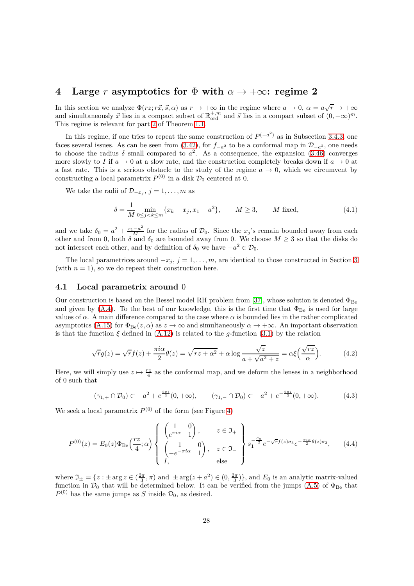# <span id="page-27-0"></span>**4** Large *r* asymptotics for  $\Phi$  with  $\alpha \to +\infty$ : regime 2

In this section we analyze  $\Phi(rz; r\vec{x}, \vec{s}, \alpha)$  as  $r \to +\infty$  in the regime where  $a \to 0$ ,  $\alpha = a\sqrt{r} \to +\infty$ and simultaneously  $\vec{x}$  lies in a compact subset of  $\mathbb{R}^{+,m}_{\text{ord}}$  and  $\vec{s}$  lies in a compact subset of  $(0, +\infty)^m$ . This regime is relevant for part [2](#page-2-3) of Theorem [1.1.](#page-2-0)

In this regime, if one tries to repeat the same construction of  $P^{(-a^2)}$  as in Subsection [3.4.3,](#page-21-2) one faces several issues. As can be seen from [\(3.42\)](#page-22-1), for  $f_{-a^2}$  to be a conformal map in  $\mathcal{D}_{-a^2}$ , one needs to choose the radius  $\delta$  small compared to  $a^2$ . As a consequence, the expansion [\(3.46\)](#page-22-5) converges more slowly to *I* if  $a \to 0$  at a slow rate, and the construction completely breaks down if  $a \to 0$  at a fast rate. This is a serious obstacle to the study of the regime  $a \to 0$ , which we circumvent by constructing a local parametrix  $P^{(0)}$  in a disk  $\mathcal{D}_0$  centered at 0.

We take the radii of  $\mathcal{D}_{-x_j}$ ,  $j = 1, \ldots, m$  as

$$
\delta = \frac{1}{M} \min_{0 \le j < k \le m} \{ x_k - x_j, x_1 - a^2 \}, \qquad M \ge 3, \qquad M \text{ fixed}, \tag{4.1}
$$

and we take  $\delta_0 = a^2 + \frac{x_1 - a^2}{M}$  for the radius of  $\mathcal{D}_0$ . Since the *x<sub>j</sub>*'s remain bounded away from each other and from 0, both  $\delta$  and  $\delta_0$  are bounded away from 0. We choose  $M \geq 3$  so that the disks do not intersect each other, and by definition of  $\delta_0$  we have  $-a^2 \in \mathcal{D}_0$ .

The local parametrices around  $-x_j$ ,  $j = 1, \ldots, m$ , are identical to those constructed in Section [3](#page-15-0) (with  $n = 1$ ), so we do repeat their construction here.

#### **4.1 Local parametrix around** 0

Our construction is based on the Bessel model RH problem from [\[37\]](#page-45-24), whose solution is denoted  $\Phi_{\text{Be}}$ and given by [\(A.4\)](#page-40-1). To the best of our knowledge, this is the first time that  $\Phi_{\text{Be}}$  is used for large values of  $\alpha$ . A main difference compared to the case where  $\alpha$  is bounded lies in the rather complicated asymptotics [\(A.15\)](#page-42-1) for  $\Phi_{\text{Be}}(z,\alpha)$  as  $z \to \infty$  and simultaneously  $\alpha \to +\infty$ . An important observation is that the function  $\xi$  defined in  $(A.12)$  is related to the *g*-function  $(3.1)$  by the relation

<span id="page-27-1"></span>
$$
\sqrt{r}g(z) = \sqrt{r}f(z) + \frac{\pi i \alpha}{2}\theta(z) = \sqrt{rz + \alpha^2} + \alpha \log \frac{\sqrt{z}}{a + \sqrt{a^2 + z}} = \alpha \xi \left(\frac{\sqrt{rz}}{\alpha}\right). \tag{4.2}
$$

Here, we will simply use  $z \mapsto \frac{rz}{4}$  as the conformal map, and we deform the lenses in a neighborhood of 0 such that

<span id="page-27-2"></span>
$$
(\gamma_{1,+} \cap \mathcal{D}_0) \subset -a^2 + e^{\frac{2\pi i}{3}} (0, +\infty), \qquad (\gamma_{1,-} \cap \mathcal{D}_0) \subset -a^2 + e^{-\frac{2\pi i}{3}} (0, +\infty). \tag{4.3}
$$

We seek a local parametrix  $P^{(0)}$  of the form (see Figure [4\)](#page-28-0)

$$
P^{(0)}(z) = E_0(z)\Phi_{\text{Be}}\left(\frac{rz}{4};\alpha\right) \begin{Bmatrix} \begin{pmatrix} 1 & 0 \\ e^{\pi i \alpha} & 1 \end{pmatrix}, & z \in \mathfrak{I}_+ \\ \begin{pmatrix} 1 & 0 \\ -e^{-\pi i \alpha} & 1 \end{pmatrix}, & z \in \mathfrak{I}_- \end{Bmatrix} s_1^{-\frac{\sigma_3}{2}} e^{-\sqrt{r}f(z)\sigma_3} e^{-\frac{\pi i \alpha}{2}\theta(z)\sigma_3}, \quad (4.4)
$$

where  $\mathfrak{I}_{\pm} = \{z : \pm \arg z \in (\frac{2\pi}{3}, \pi) \text{ and } \pm \arg(z + a^2) \in (0, \frac{2\pi}{3})\}\)$ , and  $E_0$  is an analytic matrix-valued function in  $\mathcal{D}_0$  that will be determined below. It can be verified from the jumps [\(A.5\)](#page-40-2) of  $\Phi_{\text{Be}}$  that  $P^{(0)}$  has the same jumps as *S* inside  $\mathcal{D}_0$ , as desired.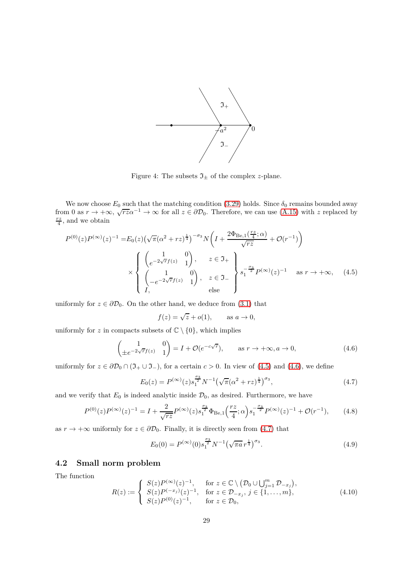

<span id="page-28-0"></span>Figure 4: The subsets  $\mathfrak{I}_\pm$  of the complex  $z\text{-plane}.$ 

We now choose  $E_0$  such that the matching condition [\(3.29\)](#page-20-0) holds. Since  $\delta_0$  remains bounded away from 0 as  $r \to +\infty$ ,  $\sqrt{r_2} \alpha^{-1} \to \infty$  for all  $z \in \partial \mathcal{D}_0$ . Therefore, we can use [\(A.15\)](#page-42-1) with z replaced by  $\frac{rz}{4}$ , and we obtain

$$
P^{(0)}(z)P^{(\infty)}(z)^{-1} = E_0(z)\left(\sqrt{\pi}(\alpha^2 + rz)^{\frac{1}{4}}\right)^{-\sigma_3} N\left(I + \frac{2\Phi_{\text{Be},1}\left(\frac{rz}{4};\alpha\right)}{\sqrt{rz}} + \mathcal{O}(r^{-1})\right)
$$
  
\$\times \left\{\begin{array}{c} \left(\begin{array}{cc} 1 & 0\\ e^{-2\sqrt{r}f(z)} & 1 \end{array}\right), & z \in \mathfrak{I}\_+\\ \left(\begin{array}{cc} 1 & 0\\ -e^{-2\sqrt{r}f(z)} & 1 \end{array}\right), & z \in \mathfrak{I}\_-\\ \text{else} \end{array}\right\} s\_1^{-\frac{\sigma\_3}{2}} P^{(\infty)}(z)^{-1} \quad \text{as } r \to +\infty, \quad (4.5)

uniformly for  $z \in \partial \mathcal{D}_0$ . On the other hand, we deduce from [\(3.1\)](#page-26-1) that

<span id="page-28-3"></span><span id="page-28-2"></span><span id="page-28-1"></span>
$$
f(z) = \sqrt{z} + o(1), \qquad \text{as } a \to 0,
$$

uniformly for *z* in compacts subsets of  $\mathbb{C} \setminus \{0\}$ , which implies

$$
\begin{pmatrix} 1 & 0 \ \pm e^{-2\sqrt{r}f(z)} & 1 \end{pmatrix} = I + \mathcal{O}(e^{-c\sqrt{r}}), \quad \text{as } r \to +\infty, a \to 0,
$$
 (4.6)

uniformly for  $z \in \partial \mathcal{D}_0 \cap (\mathfrak{I}_+ \cup \mathfrak{I}_-)$ , for a certain  $c > 0$ . In view of [\(4.5\)](#page-28-1) and [\(4.6\)](#page-28-2), we define

$$
E_0(z) = P^{(\infty)}(z) s_1^{\frac{\sigma_3}{2}} N^{-1} \left(\sqrt{\pi} (\alpha^2 + rz)^{\frac{1}{4}}\right)^{\sigma_3},\tag{4.7}
$$

and we verify that  $E_0$  is indeed analytic inside  $\mathcal{D}_0$ , as desired. Furthermore, we have

$$
P^{(0)}(z)P^{(\infty)}(z)^{-1} = I + \frac{2}{\sqrt{rz}}P^{(\infty)}(z)s_1^{\frac{\sigma_3}{2}}\Phi_{\text{Be},1}\left(\frac{rz}{4};\alpha\right)s_1^{-\frac{\sigma_3}{2}}P^{(\infty)}(z)^{-1} + \mathcal{O}(r^{-1}),\tag{4.8}
$$

as  $r \to +\infty$  uniformly for  $z \in \partial \mathcal{D}_0$ . Finally, it is directly seen from [\(4.7\)](#page-28-3) that

<span id="page-28-6"></span><span id="page-28-4"></span>
$$
E_0(0) = P^{(\infty)}(0) s_1^{\frac{\sigma_3}{2}} N^{-1} \left(\sqrt{\pi a} r^{\frac{1}{4}}\right)^{\sigma_3}.
$$
 (4.9)

# **4.2 Small norm problem**

The function

<span id="page-28-5"></span>
$$
R(z) := \begin{cases} S(z)P^{(\infty)}(z)^{-1}, & \text{for } z \in \mathbb{C} \setminus (\mathcal{D}_0 \cup \bigcup_{j=1}^m \mathcal{D}_{-x_j}), \\ S(z)P^{(-x_j)}(z)^{-1}, & \text{for } z \in \mathcal{D}_{-x_j}, j \in \{1, \dots, m\}, \\ S(z)P^{(0)}(z)^{-1}, & \text{for } z \in \mathcal{D}_0, \end{cases}
$$
(4.10)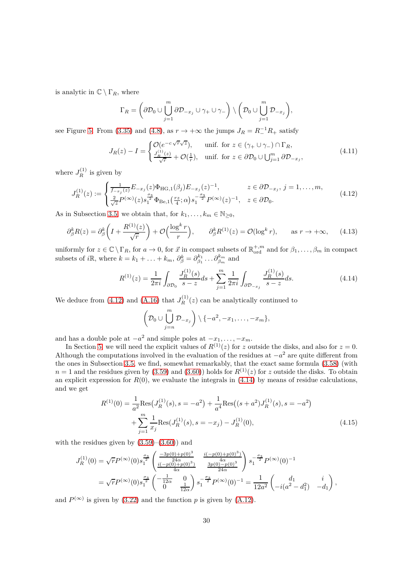is analytic in  $\mathbb{C} \setminus \Gamma_R$ , where

$$
\Gamma_R = \left(\partial \mathcal{D}_0 \cup \bigcup_{j=1}^m \partial \mathcal{D}_{-x_j} \cup \gamma_+ \cup \gamma_-\right) \setminus \left(\mathcal{D}_0 \cup \bigcup_{j=1}^m \mathcal{D}_{-x_j}\right),\,
$$

see Figure [5.](#page-30-1) From [\(3.35\)](#page-21-3) and [\(4.8\)](#page-28-4), as  $r \to +\infty$  the jumps  $J_R = R_-^{-1}R_+$  satisfy

$$
J_R(z) - I = \begin{cases} \mathcal{O}(e^{-c\sqrt{r}\sqrt{z}}), & \text{unif. for } z \in (\gamma_+ \cup \gamma_-) \cap \Gamma_R, \\ \frac{J_R^{(1)}(z)}{\sqrt{r}} + \mathcal{O}(\frac{1}{r}), & \text{unif. for } z \in \partial \mathcal{D}_0 \cup \bigcup_{j=1}^m \partial \mathcal{D}_{-x_j}, \end{cases}
$$
(4.11)

where  $J_R^{(1)}$  is given by

$$
J_R^{(1)}(z) := \begin{cases} \frac{1}{f_{-x_j}(z)} E_{-x_j}(z) \Phi_{\text{HG},1}(\beta_j) E_{-x_j}(z)^{-1}, & z \in \partial \mathcal{D}_{-x_j}, \ j = 1, \dots, m, \\ \frac{2}{\sqrt{z}} P^{(\infty)}(z) s_1^{\frac{\sigma_3}{2}} \Phi_{\text{Be},1}(\frac{rz}{4}; \alpha) s_1^{-\frac{\sigma_3}{2}} P^{(\infty)}(z)^{-1}, & z \in \partial \mathcal{D}_0. \end{cases}
$$
(4.12)

As in Subsection [3.5,](#page-22-0) we obtain that, for  $k_1, \ldots, k_m \in \mathbb{N}_{\geq 0}$ ,

$$
\partial_{\beta}^{k}R(z) = \partial_{\beta}^{k}\left(I + \frac{R^{(1)}(z)}{\sqrt{r}}\right) + \mathcal{O}\left(\frac{\log^{k} r}{r}\right), \qquad \partial_{\beta}^{k}R^{(1)}(z) = \mathcal{O}(\log^{k} r), \qquad \text{as } r \to +\infty,
$$
 (4.13)

uniformly for  $z \in \mathbb{C} \setminus \Gamma_R$ , for  $a \to 0$ , for  $\vec{x}$  in compact subsets of  $\mathbb{R}^{+,m}_{ord}$  and for  $\beta_1, \ldots, \beta_m$  in compact subsets of *i*R, where  $k = k_1 + \ldots + k_m$ ,  $\partial_{\beta}^k = \partial_{\beta_1}^{k_1} \ldots \partial_{\beta_m}^{k_m}$  and

$$
R^{(1)}(z) = \frac{1}{2\pi i} \int_{\partial \mathcal{D}_0} \frac{J_R^{(1)}(s)}{s - z} ds + \sum_{j=1}^m \frac{1}{2\pi i} \int_{\partial \mathcal{D}_{-x_j}} \frac{J_R^{(1)}(s)}{s - z} ds.
$$
 (4.14)

We deduce from [\(4.12\)](#page-29-0) and [\(A.16\)](#page-42-2) that  $J_R^{(1)}(z)$  can be analytically continued to

<span id="page-29-3"></span><span id="page-29-2"></span><span id="page-29-1"></span><span id="page-29-0"></span>
$$
\left(\mathcal{D}_0\cup\bigcup_{j=n}^m\mathcal{D}_{-x_j}\right)\setminus\{-a^2,-x_1,\ldots,-x_m\},\,
$$

and has a double pole at  $-a^2$  and simple poles at  $-x_1, \ldots, -x_m$ .

In Section [5,](#page-30-0) we will need the explicit values of  $R^{(1)}(z)$  for *z* outside the disks, and also for  $z = 0$ . Although the computations involved in the evaluation of the residues at  $-a^2$  are quite different from the ones in Subsection [3.5,](#page-22-0) we find, somewhat remarkably, that the exact same formula [\(3.58\)](#page-24-5) (with  $n = 1$  and the residues given by [\(3.59\)](#page-25-3) and [\(3.60\)](#page-25-4)) holds for  $R^{(1)}(z)$  for *z* outside the disks. To obtain an explicit expression for  $R(0)$ , we evaluate the integrals in  $(4.14)$  by means of residue calculations, and we get

$$
R^{(1)}(0) = \frac{1}{a^2} \text{Res}(J_R^{(1)}(s), s = -a^2) + \frac{1}{a^4} \text{Res}((s+a^2)J_R^{(1)}(s), s = -a^2) + \sum_{j=1}^m \frac{1}{x_j} \text{Res}(J_R^{(1)}(s), s = -x_j) - J_R^{(1)}(0),
$$
\n(4.15)

with the residues given by  $(3.59)$ – $(3.60)$  and

$$
J_R^{(1)}(0) = \sqrt{r} P^{(\infty)}(0) s_1^{\frac{\sigma_3}{2}} \begin{pmatrix} \frac{-3p(0) + p(0)^3}{24\alpha} & \frac{i(-p(0) + p(0)^3)}{4\alpha} \\ \frac{i(-p(0) + p(0)^3)}{4\alpha} & \frac{3p(0) - p(0)^3}{24\alpha} \end{pmatrix} s_1^{-\frac{\sigma_3}{2}} P^{(\infty)}(0)^{-1}
$$
  
=  $\sqrt{r} P^{(\infty)}(0) s_1^{\frac{\sigma_3}{2}} \begin{pmatrix} -\frac{1}{12\alpha} & 0 \\ 0 & \frac{1}{12\alpha} \end{pmatrix} s_1^{-\frac{\sigma_3}{2}} P^{(\infty)}(0)^{-1} = \frac{1}{12a^2} \begin{pmatrix} d_1 & i \\ -i(a^2 - d_1^2) & -d_1 \end{pmatrix},$ 

and  $P^{(\infty)}$  is given by [\(3.22\)](#page-19-1) and the function p is given by [\(A.12\)](#page-41-0).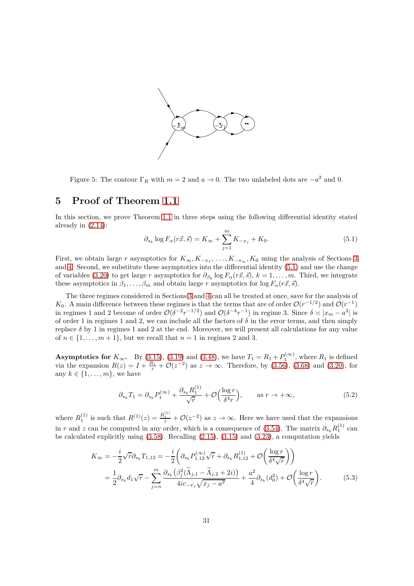

<span id="page-30-1"></span>Figure 5: The contour  $\Gamma_R$  with  $m = 2$  and  $a \to 0$ . The two unlabeled dots are  $-a^2$  and 0.

# <span id="page-30-0"></span>**5 Proof of Theorem [1.1](#page-2-0)**

In this section, we prove Theorem [1.1](#page-2-0) in three steps using the following differential identity stated already in [\(2.14\)](#page-14-2):

<span id="page-30-2"></span>
$$
\partial_{s_k} \log F_{\alpha}(r\vec{x}, \vec{s}) = K_{\infty} + \sum_{j=1}^{m} K_{-x_j} + K_0. \tag{5.1}
$$

First, we obtain large *r* asymptotics for  $K_{\infty}, K_{-x_1}, \ldots, K_{-x_m}, K_0$  using the analysis of Sections [3](#page-15-0) and [4.](#page-27-0) Second, we substitute these asymptotics into the differential identity [\(5.1\)](#page-30-2) and use the change of variables [\(3.20\)](#page-19-4) to get large *r* asymptotics for  $\partial_{\beta_k} \log F_\alpha(r\vec{x}, \vec{s}), k = 1, \ldots, m$ . Third, we integrate these asymptotics in  $\beta_1, \ldots, \beta_m$  and obtain large *r* asymptotics for log  $F_\alpha(r\vec{x}, \vec{s})$ .

The three regimes considered in Sections [3](#page-15-0) and [4](#page-27-0) can all be treated at once, save for the analysis of *K*<sub>0</sub>. A main difference between these regimes is that the terms that are of order  $\mathcal{O}(r^{-1/2})$  and  $\mathcal{O}(r^{-1})$ in regimes 1 and 2 become of order  $\mathcal{O}(\delta^{-2}r^{-1/2})$  and  $\mathcal{O}(\delta^{-4}r^{-1})$  in regime 3. Since  $\delta \asymp |x_m - a^2|$  is of order 1 in regimes 1 and 2, we can include all the factors of  $\delta$  in the error terms, and then simply replace  $\delta$  by 1 in regimes 1 and 2 at the end. Moreover, we will present all calculations for any value of  $n \in \{1, \ldots, m+1\}$ , but we recall that  $n = 1$  in regimes 2 and 3.

**Asymptotics for**  $K_{\infty}$ . By [\(3.15\)](#page-17-4), [\(3.19\)](#page-18-1) and [\(3.48\)](#page-22-6), we have  $T_1 = R_1 + P_1^{(\infty)}$ , where  $R_1$  is defined via the expansion  $R(z) = I + \frac{R_1}{z} + \mathcal{O}(z^{-2})$  as  $z \to \infty$ . Therefore, by [\(3.56\)](#page-24-1), [\(3.68\)](#page-26-5) and [\(3.20\)](#page-19-4), for any  $k \in \{1, \ldots, m\}$ , we have

<span id="page-30-3"></span>
$$
\partial_{s_k} T_1 = \partial_{s_k} P_1^{(\infty)} + \frac{\partial_{s_k} R_1^{(1)}}{\sqrt{r}} + \mathcal{O}\Big(\frac{\log r}{\delta^4 r}\Big), \qquad \text{as } r \to +\infty,
$$
\n
$$
(5.2)
$$

where  $R_1^{(1)}$  is such that  $R^{(1)}(z) = \frac{R_1^{(1)}}{z} + \mathcal{O}(z^{-2})$  as  $z \to \infty$ . Here we have used that the expansions in *r* and *z* can be computed in any order, which is a consequence of [\(3.54\)](#page-24-3). The matrix  $\partial_{s_k} R_1^{(1)}$  can be calculated explicitly using [\(3.58\)](#page-24-5). Recalling [\(2.15\)](#page-14-3), [\(3.15\)](#page-17-4) and [\(3.23\)](#page-19-5), a computation yields

$$
K_{\infty} = -\frac{i}{2}\sqrt{r}\partial_{s_k}T_{1,12} = -\frac{i}{2}\left(\partial_{s_k}P_{1,12}^{(\infty)}\sqrt{r} + \partial_{s_k}R_{1,12}^{(1)} + \mathcal{O}\left(\frac{\log r}{\delta^4\sqrt{r}}\right)\right)
$$
  
=  $\frac{1}{2}\partial_{s_k}d_1\sqrt{r} - \sum_{j=n}^{m} \frac{\partial_{s_k}\left(\beta_j^2(\tilde{\Lambda}_{j,1} - \tilde{\Lambda}_{j,2} + 2i)\right)}{4ic_{-x_j}\sqrt{x_j - a^2}} + \frac{a^2}{4}\partial_{s_k}(d_0^2) + \mathcal{O}\left(\frac{\log r}{\delta^4\sqrt{r}}\right).$  (5.3)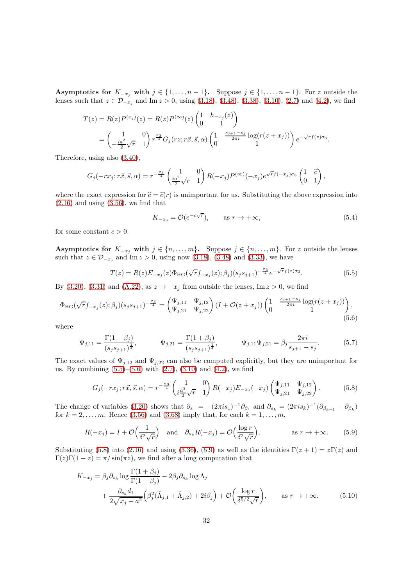**Asymptotics for**  $K_{-x_j}$  with  $j \in \{1, \ldots, n-1\}$ . Suppose  $j \in \{1, \ldots, n-1\}$ . For *z* outside the lenses such that  $z \in \mathcal{D}_{-x_j}$  and Im  $z > 0$ , using [\(3.18\)](#page-17-3), [\(3.48\)](#page-22-6), [\(3.38\)](#page-21-5), [\(3.10\)](#page-16-5), [\(2.7\)](#page-13-2) and [\(4.2\)](#page-27-1), we find

$$
T(z) = R(z)P^{(x_j)}(z) = R(z)P^{(\infty)}(z) \begin{pmatrix} 1 & h_{-x_j}(z) \\ 0 & 1 \end{pmatrix}
$$
  
=  $\begin{pmatrix} 1 & 0 \\ -\frac{ia^2}{2}\sqrt{r} & 1 \end{pmatrix} r^{\frac{\sigma_3}{4}} G_j(rz; r\vec{x}, \vec{s}, \alpha) \begin{pmatrix} 1 & \frac{s_{j+1}-s_j}{2\pi i} \log(r(z+x_j)) \\ 0 & 1 \end{pmatrix} e^{-\sqrt{r}f(z)\sigma_3}.$ 

Therefore, using also [\(3.40\)](#page-21-6),

$$
G_j(-rx_j; r\vec{x}, \vec{s}, \alpha) = r^{-\frac{\sigma_3}{4}} \begin{pmatrix} 1 & 0 \ \frac{ia^2}{2}\sqrt{r} & 1 \end{pmatrix} R(-x_j) P^{(\infty)}(-x_j) e^{\sqrt{r}f(-x_j)\sigma_3} \begin{pmatrix} 1 & \hat{c} \\ 0 & 1 \end{pmatrix},
$$

where the exact expression for  $\hat{c} = \hat{c}(r)$  is unimportant for us. Substituting the above expression into  $(2.16)$  and using  $(3.56)$ , we find that

<span id="page-31-4"></span><span id="page-31-1"></span><span id="page-31-0"></span>
$$
K_{-x_j} = \mathcal{O}(e^{-c\sqrt{r}}), \qquad \text{as } r \to +\infty,
$$
\n(5.4)

for some constant  $c > 0$ .

**Asymptotics for**  $K_{-x_j}$  **with**  $j \in \{n, \ldots, m\}$ . Suppose  $j \in \{n, \ldots, m\}$ . For *z* outside the lenses such that  $z \in \mathcal{D}_{-x_j}$  and Im  $z > 0$ , using now [\(3.18\)](#page-17-3), [\(3.48\)](#page-22-6) and [\(3.33\)](#page-20-3), we have

$$
T(z) = R(z)E_{-x_j}(z)\Phi_{\text{HG}}(\sqrt{r}f_{-x_j}(z);\beta_j)(s_j s_{j+1})^{-\frac{\sigma_3}{4}}e^{-\sqrt{r}f(z)\sigma_3}.
$$
\n(5.5)

By [\(3.20\)](#page-19-4), [\(3.31\)](#page-20-1) and [\(A.22\)](#page-43-2), as  $z \to -x_j$  from outside the lenses, Im  $z > 0$ , we find

$$
\Phi_{HG}(\sqrt{r}f_{-x_j}(z);\beta_j)(s_js_{j+1})^{-\frac{\sigma_3}{4}} = \begin{pmatrix} \Psi_{j,11} & \Psi_{j,12} \\ \Psi_{j,21} & \Psi_{j,22} \end{pmatrix} (I + \mathcal{O}(z+x_j)) \begin{pmatrix} 1 & \frac{s_{j+1}-s_j}{2\pi i} \log(r(z+x_j)) \\ 0 & 1 \end{pmatrix},
$$
\n(5.6)

where

$$
\Psi_{j,11} = \frac{\Gamma(1-\beta_j)}{(s_j s_{j+1})^{\frac{1}{4}}}, \qquad \Psi_{j,21} = \frac{\Gamma(1+\beta_j)}{(s_j s_{j+1})^{\frac{1}{4}}}, \qquad \Psi_{j,11} \Psi_{j,21} = \beta_j \frac{2\pi i}{s_{j+1} - s_j}.
$$
(5.7)

The exact values of  $\Psi_{j,12}$  and  $\Psi_{j,22}$  can also be computed explicitly, but they are unimportant for us. By combining  $(5.5)$ – $(5.6)$  with  $(2.7)$ ,  $(3.10)$  and  $(4.2)$ , we find

<span id="page-31-3"></span><span id="page-31-2"></span>
$$
G_j(-rx_j; r\vec{x}, \vec{s}, \alpha) = r^{-\frac{\sigma_3}{4}} \begin{pmatrix} 1 & 0 \ i\frac{a^2}{2}\sqrt{r} & 1 \end{pmatrix} R(-x_j) E_{-x_j}(-x_j) \begin{pmatrix} \Psi_{j,11} & \Psi_{j,12} \\ \Psi_{j,21} & \Psi_{j,22} \end{pmatrix}.
$$
 (5.8)

The change of variables [\(3.20\)](#page-19-4) shows that  $\partial_{s_1} = -(2\pi i s_1)^{-1} \partial_{\beta_1}$  and  $\partial_{s_k} = (2\pi i s_k)^{-1} (\partial_{\beta_{k-1}} - \partial_{\beta_k})$ for  $k = 2, ..., m$ . Hence [\(3.56\)](#page-24-1) and [\(3.68\)](#page-26-5) imply that, for each  $k = 1, ..., m$ ,

<span id="page-31-5"></span>
$$
R(-x_j) = I + \mathcal{O}\left(\frac{1}{\delta^2 \sqrt{r}}\right) \quad \text{and} \quad \partial_{s_k} R(-x_j) = \mathcal{O}\left(\frac{\log r}{\delta^2 \sqrt{r}}\right), \quad \text{as } r \to +\infty. \tag{5.9}
$$

Substituting [\(5.8\)](#page-31-2) into [\(2.16\)](#page-14-4) and using [\(3.36\)](#page-21-0), [\(5.9\)](#page-31-3) as well as the identities  $\Gamma(z+1) = z\Gamma(z)$  and  $\Gamma(z)\Gamma(1-z) = \pi/\sin(\pi z)$ , we find after a long computation that

$$
K_{-x_j} = \beta_j \partial_{s_k} \log \frac{\Gamma(1+\beta_j)}{\Gamma(1-\beta_j)} - 2\beta_j \partial_{s_k} \log \Lambda_j
$$
  
 
$$
+ \frac{\partial_{s_k} d_1}{2\sqrt{x_j - a^2}} \left(\beta_j^2 (\widetilde{\Lambda}_{j,1} + \widetilde{\Lambda}_{j,2}) + 2i\beta_j\right) + \mathcal{O}\left(\frac{\log r}{\delta^{5/2} \sqrt{r}}\right), \qquad \text{as } r \to +\infty. \tag{5.10}
$$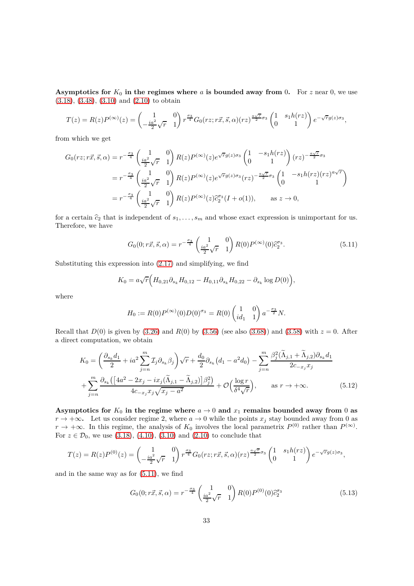**Asymptotics for**  $K_0$  **in the regimes where**  $a$  **is bounded away from** 0. For  $z$  near 0, we use [\(3.18\)](#page-17-3), [\(3.48\)](#page-22-6), [\(3.10\)](#page-16-5) and [\(2.10\)](#page-14-5) to obtain

$$
T(z) = R(z)P^{(\infty)}(z) = \begin{pmatrix} 1 & 0 \ -\frac{ia^2}{2}\sqrt{r} & 1 \end{pmatrix} r^{\frac{\sigma_3}{4}} G_0(rz; r\vec{x}, \vec{s}, \alpha) (rz)^{\frac{a\sqrt{r}}{2}\sigma_3} \begin{pmatrix} 1 & s_1h(rz) \ 0 & 1 \end{pmatrix} e^{-\sqrt{r}g(z)\sigma_3},
$$

from which we get

$$
G_0(rz; r\vec{x}, \vec{s}, \alpha) = r^{-\frac{\sigma_3}{4}} \left( \frac{1}{i a^2 \sqrt{r}} - \frac{0}{1} \right) R(z) P^{(\infty)}(z) e^{\sqrt{r}g(z)\sigma_3} \begin{pmatrix} 1 & -s_1 h(rz) \\ 0 & 1 \end{pmatrix} (rz)^{-\frac{a\sqrt{r}}{2}\sigma_3}
$$
  

$$
= r^{-\frac{\sigma_3}{4}} \left( \frac{1}{i a^2 \sqrt{r}} - \frac{0}{1} \right) R(z) P^{(\infty)}(z) e^{\sqrt{r}g(z)\sigma_3} (rz)^{-\frac{a\sqrt{r}}{2}\sigma_3} \begin{pmatrix} 1 & -s_1 h(rz) (rz)^{a\sqrt{r}} \\ 0 & 1 \end{pmatrix}
$$
  

$$
= r^{-\frac{\sigma_3}{4}} \left( \frac{1}{i a^2 \sqrt{r}} - \frac{0}{1} \right) R(z) P^{(\infty)}(z) \tilde{c}_2^{\sigma_3} (I + o(1)), \quad \text{as } z \to 0,
$$

for a certain  $\hat{c}_2$  that is independent of  $s_1, \ldots, s_m$  and whose exact expression is unimportant for us. Therefore, we have

<span id="page-32-0"></span>
$$
G_0(0; r\vec{x}, \vec{s}, \alpha) = r^{-\frac{\sigma_3}{4}} \begin{pmatrix} 1 & 0\\ \frac{ia^2}{2}\sqrt{r} & 1 \end{pmatrix} R(0) P^{(\infty)}(0) \hat{c}_2^{\sigma_3}.
$$
 (5.11)

Substituting this expression into [\(2.17\)](#page-14-6) and simplifying, we find

$$
K_0 = a\sqrt{r} \Big( H_{0,21} \partial_{s_k} H_{0,12} - H_{0,11} \partial_{s_k} H_{0,22} - \partial_{s_k} \log D(0) \Big),
$$

where

<span id="page-32-2"></span>
$$
H_0 := R(0)P^{(\infty)}(0)D(0)^{\sigma_3} = R(0)\begin{pmatrix} 1 & 0 \ id_1 & 1 \end{pmatrix} a^{-\frac{\sigma_3}{2}}N.
$$

Recall that  $D(0)$  is given by [\(3.26\)](#page-19-6) and  $R(0)$  by [\(3.56\)](#page-24-1) (see also [\(3.68\)](#page-26-5)) and [\(3.58\)](#page-24-5) with  $z = 0$ . After a direct computation, we obtain

$$
K_0 = \left(\frac{\partial_{s_k} d_1}{2} + ia^2 \sum_{j=n}^m \mathcal{I}_j \partial_{s_k} \beta_j\right) \sqrt{r} + \frac{d_0}{2} \partial_{s_k} \left(d_1 - a^2 d_0\right) - \sum_{j=n}^m \frac{\beta_j^2 (\widetilde{\Lambda}_{j,1} + \widetilde{\Lambda}_{j,2}) \partial_{s_k} d_1}{2c_{-x_j} x_j} + \sum_{j=n}^m \frac{\partial_{s_k} \left(\left[4a^2 - 2x_j - ix_j(\widetilde{\Lambda}_{j,1} - \widetilde{\Lambda}_{j,2})\right] \beta_j^2\right)}{4c_{-x_j} x_j \sqrt{x_j - a^2}} + \mathcal{O}\left(\frac{\log r}{\delta^4 \sqrt{r}}\right), \qquad \text{as } r \to +\infty.
$$
 (5.12)

**Asymptotics for**  $K_0$  in the regime where  $a \to 0$  and  $x_1$  remains bounded away from 0 as *r* → +∞**.** Let us consider regime 2, where  $a \to 0$  while the points  $x_j$  stay bounded away from 0 as  $r \to +\infty$ . In this regime, the analysis of  $K_0$  involves the local parametrix  $P^{(0)}$  rather than  $P^{(\infty)}$ . For  $z \in \mathcal{D}_0$ , we use [\(3.18\)](#page-17-3), [\(4.10\)](#page-28-5), [\(3.10\)](#page-16-5) and [\(2.10\)](#page-14-5) to conclude that

$$
T(z) = R(z)P^{(0)}(z) = \begin{pmatrix} 1 & 0 \ -\frac{ia^2}{2}\sqrt{r} & 1 \end{pmatrix} r^{\frac{\sigma_3}{4}} G_0(rz; r\vec{x}, \vec{s}, \alpha) (rz)^{\frac{a\sqrt{r}}{2}\sigma_3} \begin{pmatrix} 1 & s_1h(rz) \ 0 & 1 \end{pmatrix} e^{-\sqrt{r}g(z)\sigma_3},
$$

and in the same way as for [\(5.11\)](#page-32-0), we find

<span id="page-32-1"></span>
$$
G_0(0; r\vec{x}, \vec{s}, \alpha) = r^{-\frac{\sigma_3}{4}} \begin{pmatrix} 1 & 0\\ \frac{i a^2}{2} \sqrt{r} & 1 \end{pmatrix} R(0) P^{(0)}(0) \hat{c}_2^{\sigma_3}
$$
(5.13)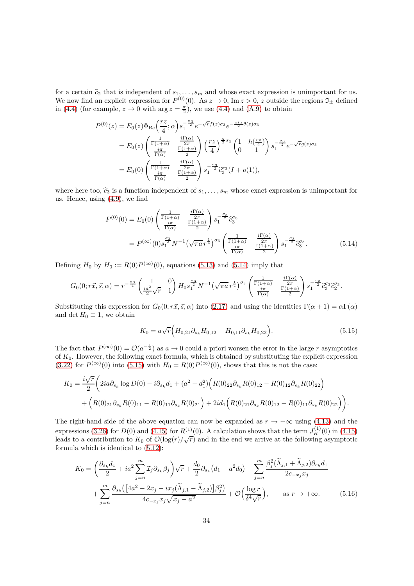for a certain  $\hat{c}_2$  that is independent of  $s_1, \ldots, s_m$  and whose exact expression is unimportant for us. We now find an explicit expression for  $P^{(0)}(0)$ . As  $z \to 0$ , Im  $z > 0$ , z outside the regions  $\mathfrak{I}_{\pm}$  defined in [\(4.4\)](#page-27-2) (for example,  $z \to 0$  with  $\arg z = \frac{\pi}{2}$ ), we use (4.4) and [\(A.9\)](#page-41-1) to obtain

$$
P^{(0)}(z) = E_0(z)\Phi_{\text{Be}}\left(\frac{rz}{4};\alpha\right)s_1^{-\frac{\sigma_3}{2}}e^{-\sqrt{r}f(z)\sigma_3}e^{-\frac{\pi i\alpha}{2}\theta(z)\sigma_3}
$$
  
\n
$$
= E_0(z)\left(\frac{\frac{1}{\Gamma(1+\alpha)}}{\frac{i\pi}{\Gamma(\alpha)}}\right)\frac{\frac{i\Gamma(\alpha)}{2\pi}}{\frac{\Gamma(1+\alpha)}{2}}\right)\left(\frac{rz}{4}\right)^{\frac{\alpha}{2}\sigma_3}\left(\frac{1}{0}\right)^{-\frac{\sigma_3}{2}}e^{-\sqrt{r}g(z)\sigma_3}
$$
  
\n
$$
= E_0(0)\left(\frac{\frac{1}{\Gamma(1+\alpha)}}{\frac{i\pi}{\Gamma(\alpha)}}\right)^{\frac{i\Gamma(\alpha)}{2\pi}}s_1^{-\frac{\sigma_3}{2}}\tilde{c}_3^{\sigma_3}(I+o(1)),
$$

where here too,  $\hat{c}_3$  is a function independent of  $s_1, \ldots, s_m$  whose exact expression is unimportant for us. Hence, using [\(4.9\)](#page-28-6), we find

$$
P^{(0)}(0) = E_0(0) \begin{pmatrix} \frac{1}{\Gamma(1+\alpha)} & \frac{i\Gamma(\alpha)}{2\pi} \\ \frac{i\pi}{\Gamma(\alpha)} & \frac{\Gamma(1+\alpha)}{2} \end{pmatrix} s_1^{-\frac{\sigma_3}{2}} \hat{c}_3^{\sigma_3}
$$
  
= 
$$
P^{(\infty)}(0) s_1^{\frac{\sigma_3}{2}} N^{-1} \left(\sqrt{\pi a} r^{\frac{1}{4}}\right)^{\sigma_3} \begin{pmatrix} \frac{1}{\Gamma(1+\alpha)} & \frac{i\Gamma(\alpha)}{2\pi} \\ \frac{i\pi}{\Gamma(\alpha)} & \frac{\Gamma(1+\alpha)}{2} \end{pmatrix} s_1^{-\frac{\sigma_3}{2}} \hat{c}_3^{\sigma_3}.
$$
(5.14)

Defining  $H_0$  by  $H_0 := R(0)P^{(\infty)}(0)$ , equations [\(5.13\)](#page-32-1) and [\(5.14\)](#page-33-0) imply that

$$
G_0(0;r\vec{x},\vec{s},\alpha) = r^{-\frac{\sigma_3}{4}} \begin{pmatrix} 1 & 0 \\ \frac{ia^2}{2}\sqrt{r} & 1 \end{pmatrix} H_0 s_1^{\frac{\sigma_3}{2}} N^{-1} \left(\sqrt{\pi a} r^{\frac{1}{4}}\right)^{\sigma_3} \begin{pmatrix} \frac{1}{\Gamma(1+\alpha)} & \frac{i\Gamma(\alpha)}{2\pi} \\ \frac{i\pi}{\Gamma(\alpha)} & \frac{i\Gamma(1+\alpha)}{2} \end{pmatrix} s_1^{-\frac{\sigma_3}{2}} \hat{c}_3^{\sigma_3} \hat{c}_2^{\sigma_3}.
$$

Substituting this expression for  $G_0(0; r\vec{x}, \vec{s}, \alpha)$  into [\(2.17\)](#page-14-6) and using the identities  $\Gamma(\alpha + 1) = \alpha \Gamma(\alpha)$ and det  $H_0 \equiv 1$ , we obtain

<span id="page-33-1"></span><span id="page-33-0"></span>
$$
K_0 = a\sqrt{r} \Big( H_{0,21} \partial_{s_k} H_{0,12} - H_{0,11} \partial_{s_k} H_{0,22} \Big). \tag{5.15}
$$

The fact that  $P^{(\infty)}(0) = \mathcal{O}(a^{-\frac{1}{2}})$  as  $a \to 0$  could a priori worsen the error in the large *r* asymptotics of *K*0. However, the following exact formula, which is obtained by substituting the explicit expression  $(3.22)$  for  $P^{(\infty)}(0)$  into  $(5.15)$  with  $H_0 = R(0)P^{(\infty)}(0)$ , shows that this is not the case:

$$
K_0 = \frac{i\sqrt{r}}{2} \left( 2ia\partial_{s_k} \log D(0) - i\partial_{s_k} d_1 + (a^2 - d_1^2) \left( R(0)_{22} \partial_{s_k} R(0)_{12} - R(0)_{12} \partial_{s_k} R(0)_{22} \right) \right. \\ \left. + \left( R(0)_{21} \partial_{s_k} R(0)_{11} - R(0)_{11} \partial_{s_k} R(0)_{21} \right) + 2id_1 \left( R(0)_{21} \partial_{s_k} R(0)_{12} - R(0)_{11} \partial_{s_k} R(0)_{22} \right) \right).
$$

The right-hand side of the above equation can now be expanded as  $r \to +\infty$  using [\(4.13\)](#page-29-2) and the expressions [\(3.26\)](#page-19-6) for  $D(0)$  and [\(4.15\)](#page-29-3) for  $R^{(1)}(0)$ . A calculation shows that the term  $J_R^{(1)}(0)$  in (4.15) leads to a contribution to  $K_0$  of  $\mathcal{O}(\log(r)/\sqrt{r})$  and in the end we arrive at the following asymptotic formula which is identical to [\(5.12\)](#page-32-2):

$$
K_0 = \left(\frac{\partial_{s_k}d_1}{2} + ia^2 \sum_{j=n}^m \mathcal{I}_j \partial_{s_k} \beta_j\right) \sqrt{r} + \frac{d_0}{2} \partial_{s_k} \left(d_1 - a^2 d_0\right) - \sum_{j=n}^m \frac{\beta_j^2 (\widetilde{\Lambda}_{j,1} + \widetilde{\Lambda}_{j,2}) \partial_{s_k} d_1}{2c_{-x_j} x_j} + \sum_{j=n}^m \frac{\partial_{s_k} \left(\left[4a^2 - 2x_j - ix_j(\widetilde{\Lambda}_{j,1} - \widetilde{\Lambda}_{j,2})\right] \beta_j^2\right)}{4c_{-x_j} x_j \sqrt{x_j - a^2}} + \mathcal{O}\left(\frac{\log r}{\delta^4 \sqrt{r}}\right), \qquad \text{as } r \to +\infty. \tag{5.16}
$$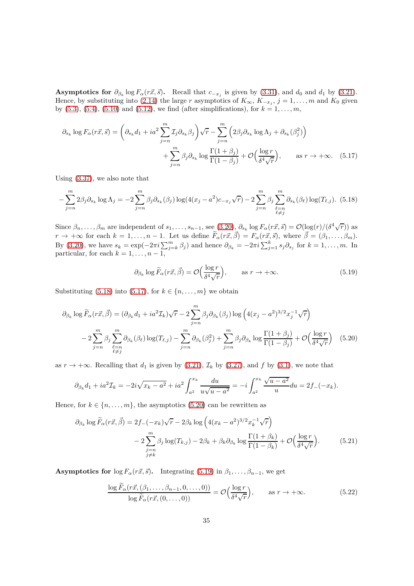**Asymptotics for**  $\partial_{\beta_k} \log F_{\alpha}(r\vec{x}, \vec{s})$ . Recall that  $c_{-x_j}$  is given by [\(3.31\)](#page-20-1), and  $d_0$  and  $d_1$  by [\(3.21\)](#page-19-7). Hence, by substituting into [\(2.14\)](#page-14-2) the large *r* asymptotics of  $K_{\infty}$ ,  $K_{-x_j}$ ,  $j = 1, \ldots, m$  and  $K_0$  given by  $(5.3)$ ,  $(5.4)$ ,  $(5.10)$  and  $(5.12)$ , we find (after simplifications), for  $k = 1, ..., m$ ,

$$
\partial_{s_k} \log F_{\alpha}(r\vec{x}, \vec{s}) = \left(\partial_{s_k} d_1 + ia^2 \sum_{j=n}^m \mathcal{I}_j \partial_{s_k} \beta_j\right) \sqrt{r} - \sum_{j=n}^m \left(2\beta_j \partial_{s_k} \log \Lambda_j + \partial_{s_k}(\beta_j^2)\right) + \sum_{j=n}^m \beta_j \partial_{s_k} \log \frac{\Gamma(1+\beta_j)}{\Gamma(1-\beta_j)} + \mathcal{O}\Big(\frac{\log r}{\delta^4 \sqrt{r}}\Big), \qquad \text{as } r \to +\infty. \tag{5.17}
$$

Using [\(3.37\)](#page-21-1), we also note that

$$
-\sum_{j=n}^{m} 2\beta_j \partial_{s_k} \log \Lambda_j = -2\sum_{j=n}^{m} \beta_j \partial_{s_k}(\beta_j) \log(4(x_j - a^2)c_{-x_j}\sqrt{r}) - 2\sum_{j=n}^{m} \beta_j \sum_{\substack{\ell=n\\ \ell \neq j}}^{m} \partial_{s_k}(\beta_\ell) \log(T_{\ell,j}).
$$
 (5.18)

Since  $\beta_n, \ldots, \beta_m$  are independent of  $s_1, \ldots, s_{n-1}$ , see  $(3.20), \beta_{s_k} \log F_\alpha(r\vec{x}, \vec{s}) = \mathcal{O}(\log(r)/(\delta^4 \sqrt{r}))$  as  $r \to +\infty$  for each  $k = 1, \ldots, n-1$ . Let us define  $\widetilde{F}_{\alpha}(r\vec{x}, \vec{\beta}) = F_{\alpha}(r\vec{x}, \vec{s})$ , where  $\vec{\beta} = (\beta_1, \ldots, \beta_m)$ . By [\(3.20\)](#page-19-4), we have  $s_k = \exp(-2\pi i \sum_{j=k}^m \beta_j)$  and hence  $\partial_{\beta_k} = -2\pi i \sum_{j=1}^k s_j \partial_{s_j}$  for  $k = 1, ..., m$ . In particular, for each  $k = 1, \ldots, n - 1$ ,

<span id="page-34-3"></span><span id="page-34-2"></span><span id="page-34-1"></span><span id="page-34-0"></span>
$$
\partial_{\beta_k} \log \widetilde{F}_{\alpha}(r\vec{x}, \vec{\beta}) = \mathcal{O}\left(\frac{\log r}{\delta^4 \sqrt{r}}\right), \qquad \text{as } r \to +\infty. \tag{5.19}
$$

Substituting [\(5.18\)](#page-34-0) into [\(5.17\)](#page-34-1), for  $k \in \{n, \ldots, m\}$  we obtain

$$
\partial_{\beta_k} \log \widetilde{F}_{\alpha}(r\vec{x}, \vec{\beta}) = (\partial_{\beta_k} d_1 + i a^2 \mathcal{I}_k) \sqrt{r} - 2 \sum_{j=n}^m \beta_j \partial_{\beta_k}(\beta_j) \log \left( 4(x_j - a^2)^{3/2} x_j^{-1} \sqrt{r} \right)
$$

$$
- 2 \sum_{j=n}^m \beta_j \sum_{\substack{\ell=n \\ \ell \neq j}}^m \partial_{\beta_k}(\beta_\ell) \log(T_{\ell,j}) - \sum_{j=n}^m \partial_{\beta_k}(\beta_j^2) + \sum_{j=n}^m \beta_j \partial_{\beta_k} \log \frac{\Gamma(1+\beta_j)}{\Gamma(1-\beta_j)} + \mathcal{O}\left(\frac{\log r}{\delta^4 \sqrt{r}}\right) \tag{5.20}
$$

as  $r \to +\infty$ . Recalling that  $d_1$  is given by [\(3.21\)](#page-19-7),  $\mathcal{I}_k$  by [\(3.27\)](#page-19-8), and f by [\(3.1\)](#page-26-1), we note that

$$
\partial_{\beta_k} d_1 + i a^2 \mathcal{I}_k = -2i \sqrt{x_k - a^2} + i a^2 \int_{a^2}^{x_k} \frac{du}{u \sqrt{u - a^2}} = -i \int_{a^2}^{x_k} \frac{\sqrt{u - a^2}}{u} du = 2f_-(-x_k).
$$

Hence, for  $k \in \{n, \ldots, m\}$ , the asymptotics [\(5.20\)](#page-34-2) can be rewritten as

$$
\partial_{\beta_k} \log \widetilde{F}_{\alpha}(r\vec{x}, \vec{\beta}) = 2f_{-}(-x_k)\sqrt{r} - 2\beta_k \log \left(4(x_k - a^2)^{3/2} x_k^{-1} \sqrt{r}\right) \n- 2\sum_{\substack{j=n \ j\neq k}}^m \beta_j \log(T_{k,j}) - 2\beta_k + \beta_k \partial_{\beta_k} \log \frac{\Gamma(1+\beta_k)}{\Gamma(1-\beta_k)} + \mathcal{O}\left(\frac{\log r}{\delta^4 \sqrt{r}}\right).
$$
\n(5.21)

**Asymptotics for**  $\log F_\alpha(r\vec{x}, \vec{s})$ . Integrating [\(5.19\)](#page-34-3) in  $\beta_1, \ldots, \beta_{n-1}$ , we get

<span id="page-34-5"></span><span id="page-34-4"></span>
$$
\frac{\log \widetilde{F}_{\alpha}(r\vec{x},(\beta_1,\ldots,\beta_{n-1},0,\ldots,0))}{\log \widetilde{F}_{\alpha}(r\vec{x},(0,\ldots,0))} = \mathcal{O}\left(\frac{\log r}{\delta^4 \sqrt{r}}\right), \qquad \text{as } r \to +\infty.
$$
 (5.22)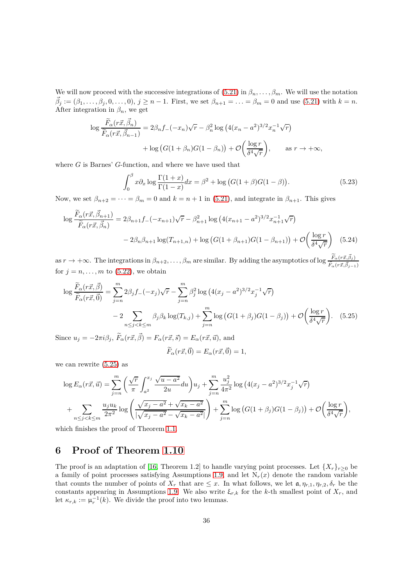We will now proceed with the successive integrations of  $(5.21)$  in  $\beta_n, \ldots, \beta_m$ . We will use the notation  $\vec{\beta}_j := (\beta_1, \ldots, \beta_j, 0, \ldots, 0), j \geq n-1$ . First, we set  $\beta_{n+1} = \ldots = \beta_m = 0$  and use [\(5.21\)](#page-34-4) with  $k = n$ . After integration in  $\beta_n$ , we get

$$
\log \frac{\widetilde{F}_{\alpha}(r\vec{x}, \vec{\beta}_n)}{\widetilde{F}_{\alpha}(r\vec{x}, \vec{\beta}_{n-1})} = 2\beta_n f_-(-x_n)\sqrt{r} - \beta_n^2 \log \left(4(x_n - a^2)^{3/2} x_n^{-1} \sqrt{r}\right) + \log \left(G(1 + \beta_n)G(1 - \beta_n)\right) + \mathcal{O}\left(\frac{\log r}{\delta^4 \sqrt{r}}\right), \qquad \text{as } r \to +\infty,
$$

where *G* is Barnes' *G*-function, and where we have used that

$$
\int_0^\beta x \partial_x \log \frac{\Gamma(1+x)}{\Gamma(1-x)} dx = \beta^2 + \log \big( G(1+\beta)G(1-\beta) \big). \tag{5.23}
$$

Now, we set  $\beta_{n+2} = \cdots = \beta_m = 0$  and  $k = n + 1$  in [\(5.21\)](#page-34-4), and integrate in  $\beta_{n+1}$ . This gives

$$
\log \frac{\widetilde{F}_{\alpha}(r\vec{x}, \vec{\beta}_{n+1})}{\widetilde{F}_{\alpha}(r\vec{x}, \vec{\beta}_{n})} = 2\beta_{n+1}f_{-}(-x_{n+1})\sqrt{r} - \beta_{n+1}^{2}\log\left(4(x_{n+1} - a^{2})^{3/2}x_{n+1}^{-1}\sqrt{r}\right) - 2\beta_{n}\beta_{n+1}\log(T_{n+1,n}) + \log\left(G(1+\beta_{n+1})G(1-\beta_{n+1})\right) + \mathcal{O}\left(\frac{\log r}{\delta^{4}\sqrt{r}}\right)
$$
(5.24)

 $\lim_{n \to \infty} \frac{1}{n} \sum_{i=1}^{n} f(x_i \neq \hat{i})$  are similar. By adding the asymptotics of log  $\frac{\tilde{F}_{\alpha}(r\vec{x}, \vec{\beta}_j)}{\tilde{F}_{\alpha}(r\vec{x}, \vec{\beta}_{j-1})}$ for  $j = n, \ldots, m$  to [\(5.22\)](#page-34-5), we obtain

$$
\log \frac{\widetilde{F}_{\alpha}(r\vec{x}, \vec{\beta})}{\widetilde{F}_{\alpha}(r\vec{x}, \vec{0})} = \sum_{j=n}^{m} 2\beta_j f_{-}(-x_j)\sqrt{r} - \sum_{j=n}^{m} \beta_j^2 \log \left(4(x_j - a^2)^{3/2} x_j^{-1} \sqrt{r}\right)
$$

$$
-2 \sum_{n \le j < k \le m} \beta_j \beta_k \log(T_{k,j}) + \sum_{j=n}^{m} \log \left( G(1 + \beta_j)G(1 - \beta_j) \right) + \mathcal{O}\left(\frac{\log r}{\delta^4 \sqrt{r}}\right). \tag{5.25}
$$

Since  $u_j = -2\pi i \beta_j$ ,  $\overline{F}_\alpha(r\vec{x}, \vec{\beta}) = F_\alpha(r\vec{x}, \vec{s}) = E_\alpha(r\vec{x}, \vec{u})$ , and

<span id="page-35-1"></span>
$$
\widetilde{F}_{\alpha}(r\vec{x},\vec{0}) = E_{\alpha}(r\vec{x},\vec{0}) = 1,
$$

we can rewrite [\(5.25\)](#page-35-1) as

$$
\log E_{\alpha}(r\vec{x},\vec{u}) = \sum_{j=n}^{m} \left( \frac{\sqrt{r}}{\pi} \int_{a^2}^{x_j} \frac{\sqrt{u-a^2}}{2u} du \right) u_j + \sum_{j=n}^{m} \frac{u_j^2}{4\pi^2} \log \left( 4(x_j - a^2)^{3/2} x_j^{-1} \sqrt{r} \right) + \sum_{n \le j < k \le m} \frac{u_j u_k}{2\pi^2} \log \left( \frac{\sqrt{x_j - a^2} + \sqrt{x_k - a^2}}{|\sqrt{x_j - a^2} - \sqrt{x_k - a^2}|} \right) + \sum_{j=n}^{m} \log \left( G(1 + \beta_j) G(1 - \beta_j) \right) + \mathcal{O}\left( \frac{\log r}{\delta^4 \sqrt{r}} \right),
$$

which finishes the proof of Theorem [1.1.](#page-2-0)

# <span id="page-35-0"></span>**6 Proof of Theorem [1.10](#page-9-0)**

The proof is an adaptation of [\[16,](#page-44-14) Theorem 1.2] to handle varying point processes. Let  $\{X_r\}_{r\geq 0}$  be a family of point processes satisfying Assumptions [1.9,](#page-9-1) and let  $N_r(x)$  denote the random variable that counts the number of points of  $X_r$  that are  $\leq x$ . In what follows, we let  $a, \eta_{r,1}, \eta_{r,2}, \delta_r$  be the constants appearing in Assumptions [1.9.](#page-9-1) We also write  $\xi_{r,k}$  for the *k*-th smallest point of  $X_r$ , and let  $\kappa_{r,k} := \mu_r^{-1}(k)$ . We divide the proof into two lemmas.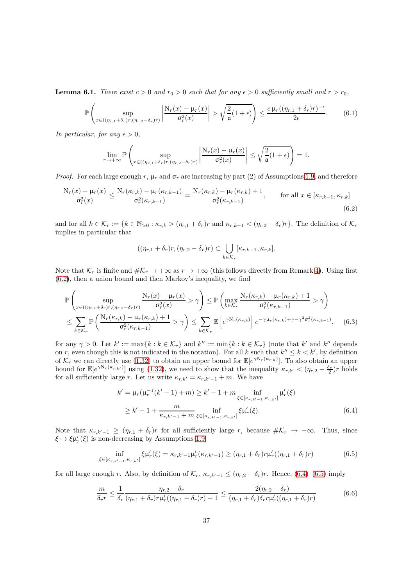<span id="page-36-4"></span>**Lemma 6.1.** *There exist*  $c > 0$  *and*  $r_0 > 0$  *such that for any*  $\epsilon > 0$  *sufficiently small and*  $r > r_0$ *,* 

$$
\mathbb{P}\left(\sup_{x\in((\eta_{r,1}+\delta_r)r,(\eta_{r,2}-\delta_r)r)}\left|\frac{N_r(x)-\mu_r(x)}{\sigma_r^2(x)}\right|>\sqrt{\frac{2}{\mathfrak{a}}(1+\epsilon)}\right)\leq \frac{c\,\mu_r((\eta_{r,1}+\delta_r)r)^{-\epsilon}}{2\epsilon}.\tag{6.1}
$$

*In particular, for any*  $\epsilon > 0$ *,* 

$$
\lim_{r \to +\infty} \mathbb{P}\left(\sup_{x \in ((\eta_{r,1} + \delta_r)r, (\eta_{r,2} - \delta_r)r)} \left|\frac{N_r(x) - \mu_r(x)}{\sigma_r^2(x)}\right| \le \sqrt{\frac{2}{\mathfrak{a}}(1+\epsilon)}\right) = 1.
$$

*Proof.* For each large enough  $r$ ,  $\mu_r$  and  $\sigma_r$  are increasing by part (2) of Assumptions [1.9,](#page-9-1) and therefore

$$
\frac{N_r(x) - \mu_r(x)}{\sigma_r^2(x)} \le \frac{N_r(\kappa_{r,k}) - \mu_r(\kappa_{r,k-1})}{\sigma_r^2(\kappa_{r,k-1})} = \frac{N_r(\kappa_{r,k}) - \mu_r(\kappa_{r,k}) + 1}{\sigma_r^2(\kappa_{r,k-1})}, \quad \text{for all } x \in [\kappa_{r,k-1}, \kappa_{r,k}]
$$
\n(6.2)

and for all  $k \in \mathcal{K}_r := \{k \in \mathbb{N}_{>0} : \kappa_{r,k} > (\eta_{r,1} + \delta_r)r \text{ and } \kappa_{r,k-1} < (\eta_{r,2} - \delta_r)r\}.$  The definition of  $\mathcal{K}_r$ implies in particular that

<span id="page-36-3"></span><span id="page-36-0"></span>
$$
((\eta_{r,1}+\delta_r)r,(\eta_{r,2}-\delta_r)r) \subset \bigcup_{k \in \mathcal{K}_r} [\kappa_{r,k-1},\kappa_{r,k}].
$$

Note that  $\mathcal{K}_r$  is finite and  $\#\mathcal{K}_r \to +\infty$  as  $r \to +\infty$  (this follows directly from Remark [4\)](#page-10-2). Using first [\(6.2\)](#page-36-0), then a union bound and then Markov's inequality, we find

$$
\mathbb{P}\left(\sup_{x\in((\eta_{r,1}+\delta_r)r,(\eta_{r,2}-\delta_r)r)}\frac{N_r(x)-\mu_r(x)}{\sigma_r^2(x)}>\gamma\right) \leq \mathbb{P}\left(\max_{k\in\mathcal{K}_r}\frac{N_r(\kappa_{r,k})-\mu_r(\kappa_{r,k})+1}{\sigma_r^2(\kappa_{r,k-1})}>\gamma\right)
$$
\n
$$
\leq \sum_{k\in\mathcal{K}_r}\mathbb{P}\left(\frac{N_r(\kappa_{r,k})-\mu_r(\kappa_{r,k})+1}{\sigma_r^2(\kappa_{r,k-1})}>\gamma\right) \leq \sum_{k\in\mathcal{K}_r}\mathbb{E}\left[e^{\gamma N_r(\kappa_{r,k})}\right]e^{-\gamma\mu_r(\kappa_{r,k})+\gamma-\gamma^2\sigma_r^2(\kappa_{r,k-1})},\quad(6.3)
$$

for any  $\gamma > 0$ . Let  $k' := \max\{k : k \in \mathcal{K}_r\}$  and  $k'' := \min\{k : k \in \mathcal{K}_r\}$  (note that  $k'$  and  $k''$  depends on *r*, even though this is not indicated in the notation). For all *k* such that  $k'' \leq k \leq k'$ , by definition of  $\mathcal{K}_r$  we can directly use [\(1.32\)](#page-9-4) to obtain an upper bound for  $\mathbb{E}[e^{\gamma \mathbf{N}_r(\kappa_{r,k})}]$ . To also obtain an upper bound for  $\mathbb{E}[e^{\gamma \mathcal{N}_r(\kappa_{r,k'})}]$  using [\(1.32\)](#page-9-4), we need to show that the inequality  $\kappa_{r,k'} < (\eta_{r,2} - \frac{\delta_r}{2})r$  holds for all sufficiently large *r*. Let us write  $\kappa_{r,k'} = \kappa_{r,k'-1} + m$ . We have

<span id="page-36-2"></span><span id="page-36-1"></span>
$$
k' = \mu_r(\mu_r^{-1}(k'-1) + m) \ge k' - 1 + m \inf_{\xi \in [\kappa_{r,k'-1}, \kappa_{r,k'}]} \mu'_r(\xi)
$$
  
 
$$
\ge k' - 1 + \frac{m}{\kappa_{r,k'-1} + m} \inf_{\xi \in [\kappa_{r,k'-1}, \kappa_{r,k'}]} \xi \mu'_r(\xi).
$$
 (6.4)

Note that  $\kappa_{r,k'-1} \geq (\eta_{r,1} + \delta_r)r$  for all sufficiently large *r*, because  $\#\mathcal{K}_r \to +\infty$ . Thus, since  $\xi \mapsto \xi \mu'_r(\xi)$  is non-decreasing by Assumptions [1.9,](#page-9-1)

$$
\inf_{\xi \in [\kappa_{r,k'-1}, \kappa_{r,k'}]} \xi \mu'_r(\xi) = \kappa_{r,k'-1} \mu'_r(\kappa_{r,k'-1}) \ge (\eta_{r,1} + \delta_r) r \mu'_r((\eta_{r,1} + \delta_r) r)
$$
(6.5)

for all large enough *r*. Also, by definition of  $\mathcal{K}_r$ ,  $\kappa_{r,k'-1} \leq (\eta_{r,2} - \delta_r)r$ . Hence, [\(6.4\)](#page-36-1)–[\(6.5\)](#page-36-2) imply

$$
\frac{m}{\delta_r r} \le \frac{1}{\delta_r} \frac{\eta_{r,2} - \delta_r}{(\eta_{r,1} + \delta_r)r\mu'_r((\eta_{r,1} + \delta_r)r) - 1} \le \frac{2(\eta_{r,2} - \delta_r)}{(\eta_{r,1} + \delta_r)\delta_r r\mu'_r((\eta_{r,1} + \delta_r)r)}
$$
(6.6)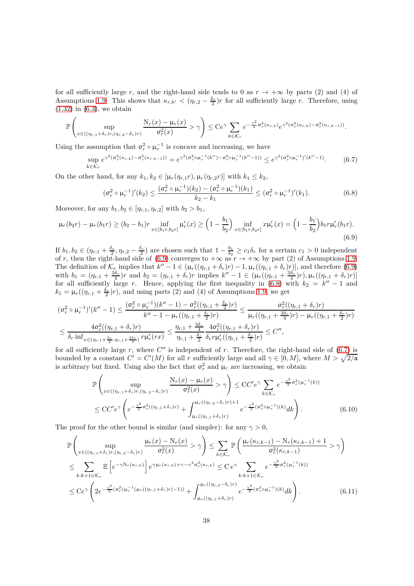for all sufficiently large *r*, and the right-hand side tends to 0 as  $r \to +\infty$  by parts (2) and (4) of Assumptions [1.9.](#page-9-1) This shows that  $\kappa_{r,k'} < (\eta_{r,2} - \frac{\delta_r}{2})r$  for all sufficiently large *r*. Therefore, using  $(1.32)$  in  $(6.3)$ , we obtain

$$
\mathbb{P}\left(\sup_{x\in((\eta_{r,1}+\delta_r)r,(\eta_{r,2}-\delta_r)r)}\frac{\mathrm{N}_r(x)-\mu_r(x)}{\sigma_r^2(x)}>\gamma\right)\leq \mathrm{C} e^{\gamma}\sum_{k\in\mathcal{K}_r}e^{-\frac{\gamma^2}{2}\sigma_r^2(\kappa_{r,k})}e^{\gamma^2(\sigma_r^2(\kappa_{r,k})-\sigma_r^2(\kappa_{r,k-1}))}.
$$

Using the assumption that  $\sigma_r^2 \circ \mu_r^{-1}$  is concave and increasing, we have

$$
\sup_{k \in \mathcal{K}_r} e^{\gamma^2 (\sigma_r^2 (\kappa_{r,k}) - \sigma_r^2 (\kappa_{r,k-1}))} = e^{\gamma^2 (\sigma_r^2 \circ \mu_r^{-1}(k'') - \sigma_r^2 \circ \mu_r^{-1}(k''-1))} \le e^{\gamma^2 (\sigma_r^2 \circ \mu_r^{-1})'(k''-1)}.
$$
 (6.7)

On the other hand, for any  $k_1, k_2 \in [\mu_r(\eta_{r,1}r), \mu_r(\eta_{r,2}r)]$  with  $k_1 \leq k_2$ ,

<span id="page-37-2"></span><span id="page-37-1"></span><span id="page-37-0"></span>
$$
(\sigma_r^2 \circ \mu_r^{-1})'(k_2) \le \frac{(\sigma_r^2 \circ \mu_r^{-1})(k_2) - (\sigma_r^2 \circ \mu_r^{-1})(k_1)}{k_2 - k_1} \le (\sigma_r^2 \circ \mu_r^{-1})'(k_1).
$$
 (6.8)

Moreover, for any  $b_1, b_2 \in [\eta_{r,1}, \eta_{r,2}]$  with  $b_2 > b_1$ ,

$$
\mu_r(b_2r) - \mu_r(b_1r) \ge (b_2 - b_1)r \inf_{x \in [b_1r, b_2r]} \mu'_r(x) \ge \left(1 - \frac{b_1}{b_2}\right) \inf_{x \in [b_1r, b_2r]} x \mu'_r(x) = \left(1 - \frac{b_1}{b_2}\right) b_1 r \mu'_r(b_1r).
$$
\n(6.9)

If  $b_1, b_2 \in (\eta_{r,1} + \frac{\delta_r}{2}, \eta_{r,2} - \frac{\delta_r}{2})$  are chosen such that  $1 - \frac{b_1}{b_2} \ge c_1 \delta_r$  for a certain  $c_1 > 0$  independent of *r*, then the right-hand side of [\(6.9\)](#page-37-0) converges to  $+\infty$  as  $r \to +\infty$  by part (2) of Assumptions [1.9.](#page-9-1) The definition of  $\mathcal{K}_r$  implies that  $k'' - 1 \in (\mu_r((\eta_{r,1} + \delta_r)r) - 1, \mu_r((\eta_{r,1} + \delta_r)r)]$ , and therefore [\(6.9\)](#page-37-0) with  $b_1 = (\eta_{r,1} + \frac{3\delta_r}{4})r$  and  $b_2 = (\eta_{r,1} + \delta_r)r$  implies  $k'' - 1 \in (\mu_r((\eta_{r,1} + \frac{3\delta_r}{4})r), \mu_r((\eta_{r,1} + \delta_r)r)]$ for all sufficiently large *r*. Hence, applying the first inequality in [\(6.8\)](#page-37-1) with  $k_2 = k'' - 1$  and  $k_1 = \mu_r((\eta_{r,1} + \frac{\delta_r}{2})r)$ , and using parts (2) and (4) of Assumptions [1.9,](#page-9-1) we get

$$
(\sigma_r^2 \circ \mu_r^{-1})'(k'' - 1) \le \frac{(\sigma_r^2 \circ \mu_r^{-1})(k'' - 1) - \sigma_r^2((\eta_{r,1} + \frac{\delta_r}{2})r)}{k'' - 1 - \mu_r((\eta_{r,1} + \frac{\delta_r}{2})r)} \le \frac{\sigma_r^2((\eta_{r,1} + \delta_r)r)}{\mu_r((\eta_{r,1} + \frac{3\delta_r}{4})r) - \mu_r((\eta_{r,1} + \frac{\delta_r}{2})r)}
$$
  

$$
\le \frac{4\sigma_r^2((\eta_{r,1} + \delta_r)r)}{\delta_r \inf_{x \in (\eta_{r,1} + \frac{\delta_r}{2}, \eta_{r,1} + \frac{3\delta_r}{4})} r\mu_r'(rx)} \le \frac{\eta_{r,1} + \frac{3\delta_r}{4}}{\eta_{r,1} + \frac{\delta_r}{2}} \frac{4\sigma_r^2((\eta_{r,1} + \delta_r)r)}{\delta_r r\mu_r'((\eta_{r,1} + \frac{\delta_r}{2})r)} \le C'',
$$

for all sufficiently large *r*, where *C* ′′ is independent of *r*. Therefore, the right-hand side of [\(6.7\)](#page-37-2) is bounded by a constant  $C' = C'(M)$  for all *r* sufficiently large and all  $\gamma \in [0, M]$ , where  $M > \sqrt{2/\mathfrak{a}}$ is arbitrary but fixed. Using also the fact that  $\sigma_r^2$  and  $\mu_r$  are increasing, we obtain

<span id="page-37-4"></span><span id="page-37-3"></span>
$$
\mathbb{P}\left(\sup_{x\in((\eta_{r,1}+\delta_r)r,(\eta_{r,2}-\delta_r)r)}\frac{N_r(x)-\mu_r(x)}{\sigma_r^2(x)}>\gamma\right) \le CC'e^{\gamma}\sum_{k\in\mathcal{K}_r}e^{-\frac{\gamma^2}{2}\sigma_r^2(\mu_r^{-1}(k))}
$$
\n
$$
\le CC'e^{\gamma}\left(e^{-\frac{\gamma^2}{2}\sigma_r^2((\eta_{r,1}+\delta_r)r)}+\int_{\mu_r((\eta_{r,1}+\delta_r)r)}^{\mu_r((\eta_{r,2}-\delta_r)r)+1}e^{-\frac{\gamma^2}{2}(\sigma_r^2\circ\mu_r^{-1})(k)}dk\right).
$$
\n(6.10)

The proof for the other bound is similar (and simpler): for any  $\gamma > 0$ ,

$$
\mathbb{P}\left(\sup_{x\in((\eta_{r,1}+\delta_r)r,(\eta_{r,2}-\delta_r)r)}\frac{\mu_r(x)-N_r(x)}{\sigma_r^2(x)}>\gamma\right)\leq \sum_{k\in\mathcal{K}_r}\mathbb{P}\left(\frac{\mu_r(\kappa_{r,k-1})-N_r(\kappa_{r,k-1})+1}{\sigma_r^2(\kappa_{r,k-1})}> \gamma\right)
$$
\n
$$
\leq \sum_{k:k+1\in\mathcal{K}_r}\mathbb{E}\left[e^{-\gamma N_r(\kappa_{r,k})}\right]e^{\gamma\mu_r(\kappa_{r,k})+\gamma-\gamma^2\sigma_r^2(\kappa_{r,k})}\leq C e^{\gamma}\sum_{k:k+1\in\mathcal{K}_r}e^{-\frac{\gamma^2}{2}\sigma_r^2(\mu_r^{-1}(k))}
$$
\n
$$
\leq C e^{\gamma}\left(2e^{-\frac{\gamma^2}{2}(\sigma_r^2(\mu_r^{-1}(\mu_r((\eta_{r,1}+\delta_r)r)-1))}+\int_{\mu_r((\eta_{r,1}+\delta_r)r)}^{\mu_r((\eta_{r,2}-\delta_r)r)}e^{-\frac{\gamma^2}{2}(\sigma_r^2\circ\mu_r^{-1})(k)}dk\right).
$$
\n(6.11)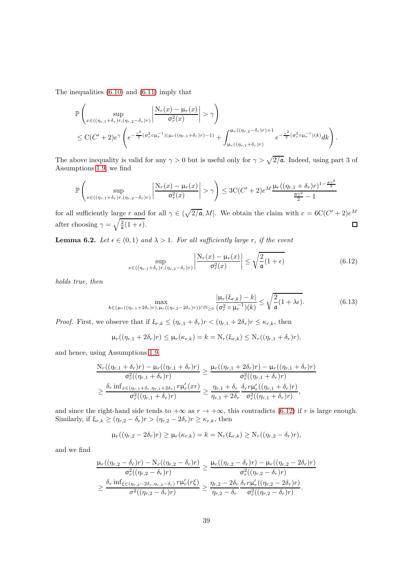The inequalities [\(6.10\)](#page-37-3) and [\(6.11\)](#page-37-4) imply that

$$
\mathbb{P}\left(\sup_{x\in((\eta_{r,1}+\delta_r)r,(\eta_{r,2}-\delta_r)r)}\left|\frac{N_r(x)-\mu_r(x)}{\sigma_r^2(x)}\right|>\gamma\right) \n\leq C(C'+2)e^{\gamma}\left(e^{-\frac{\gamma^2}{2}(\sigma_r^2\circ\mu_r^{-1})(\mu_r((\eta_{r,1}+\delta_r)r)-1)}+\int_{\mu_r((\eta_{r,1}+\delta_r)r)}^{\mu_r((\eta_{r,2}-\delta_r)r)+1}e^{-\frac{\gamma^2}{2}(\sigma_r^2\circ\mu_r^{-1})(k)}dk\right).
$$

The above inequality is valid for any  $\gamma > 0$  but is useful only for  $\gamma > \sqrt{2/\mathfrak{a}}$ . Indeed, using part 3 of Assumptions [1.9,](#page-9-1) we find

$$
\mathbb{P}\left(\sup_{x\in((\eta_{r,1}+\delta_r)r,(\eta_{r,2}-\delta_r)r)}\left|\frac{\mathrm{N}_r(x)-\mu_r(x)}{\sigma_r^2(x)}\right|>\gamma\right)\leq 3\mathrm{C}(C'+2)e^{M}\frac{\mu_r((\eta_{r,1}+\delta_r)r)^{1-\frac{\sigma_2^2}{2}}}{\frac{\sigma_2^2}{2}-1}
$$

for all sufficiently large *r* and for all  $\gamma \in (\sqrt{2}/\mathfrak{a}, M]$ . We obtain the claim with  $c = 6C(C' + 2)e^{M}$ after choosing  $\gamma = \sqrt{\frac{2}{a}(1 + \epsilon)}$ .  $\Box$ 

<span id="page-38-1"></span>**Lemma 6.2.** *Let*  $\epsilon \in (0,1)$  *and*  $\lambda > 1$ *. For all sufficiently large r, if the event* 

<span id="page-38-0"></span>
$$
\sup_{x \in ((\eta_{r,1} + \delta_r)r, (\eta_{r,2} - \delta_r)r)} \left| \frac{\mathrm{N}_r(x) - \mu_r(x)}{\sigma_r^2(x)} \right| \le \sqrt{\frac{2}{\mathfrak{a}}(1+\epsilon)} \tag{6.12}
$$

*holds true, then*

$$
\max_{k \in (\mu_r((\eta_{r,1}+2\delta_r)r), \mu_r((\eta_{r,2}-2\delta_r)r)) \cap \mathbb{N}_{\geq 0}} \frac{|\mu_r(\xi_{r,k}) - k|}{(\sigma_r^2 \circ \mu_r^{-1})(k)} \leq \sqrt{\frac{2}{\mathfrak{a}}(1 + \lambda\epsilon)}.
$$
(6.13)

*Proof.* First, we observe that if  $\xi_{r,k} \leq (\eta_{r,1} + \delta_r)r < (\eta_{r,1} + 2\delta_r)r \leq \kappa_{r,k}$ , then

$$
\mu_r((\eta_{r,1}+2\delta_r)r)\leq \mu_r(\kappa_{r,k})=k=\mathrm{N}_r(\xi_{r,k})\leq \mathrm{N}_r((\eta_{r,1}+\delta_r)r),
$$

and hence, using Assumptions [1.9,](#page-9-1)

$$
\frac{N_r((\eta_{r,1} + \delta_r)r) - \mu_r((\eta_{r,1} + \delta_r)r)}{\sigma_r^2((\eta_{r,1} + \delta_r)r)} \ge \frac{\mu_r((\eta_{r,1} + 2\delta_r)r) - \mu_r((\eta_{r,1} + \delta_r)r)}{\sigma_r^2((\eta_{r,1} + \delta_r)r)}
$$
\n
$$
\ge \frac{\delta_r \inf_{x \in (\eta_{r,1} + \delta_r, \eta_{r,1} + 2\delta_r)} r \mu'_r(xr)}{\sigma_r^2((\eta_{r,1} + \delta_r)r)} \ge \frac{\eta_{r,1} + \delta_r}{\eta_{r,1} + 2\delta_r} \frac{\delta_r r \mu'_r((\eta_{r,1} + \delta_r)r)}{\sigma_r^2((\eta_{r,1} + \delta_r)r)},
$$

and since the right-hand side tends to  $+\infty$  as  $r \to +\infty$ , this contradicts [\(6.12\)](#page-38-0) if *r* is large enough. Similarly, if  $\xi_{r,k} \ge (\eta_{r,2} - \delta_r)r > (\eta_{r,2} - 2\delta_r)r \ge \kappa_{r,k}$ , then

$$
\mu_r((\eta_{r,2}-2\delta_r)r)\geq \mu_r(\kappa_{r,k})=k=\mathrm{N}_r(\xi_{r,k})\geq \mathrm{N}_r((\eta_{r,2}-\delta_r)r),
$$

and we find

$$
\frac{\mu_r((\eta_{r,2}-\delta_r)r)-N_r((\eta_{r,2}-\delta_r)r)}{\sigma_r^2((\eta_{r,2}-\delta_r)r)} \geq \frac{\mu_r((\eta_{r,2}-\delta_r)r)-\mu_r((\eta_{r,2}-2\delta_r)r)}{\sigma_r^2((\eta_{r,2}-\delta_r)r)}
$$

$$
\geq \frac{\delta_r \inf_{\xi \in (\eta_{r,2}-2\delta_r, \eta_{r,2}-\delta_r)} r \mu'_r(r\xi)}{\sigma^2((\eta_{r,2}-\delta_r)r)} \geq \frac{\eta_{r,2}-2\delta_r}{\eta_{r,2}-\delta_r} \frac{\delta_r r \mu'_r((\eta_{r,2}-2\delta_r)r)}{\sigma_r^2((\eta_{r,2}-\delta_r)r)}.
$$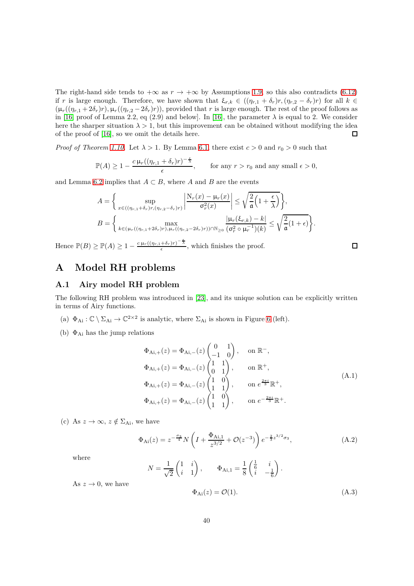The right-hand side tends to  $+\infty$  as  $r \to +\infty$  by Assumptions [1.9,](#page-9-1) so this also contradicts [\(6.12\)](#page-38-0) if *r* is large enough. Therefore, we have shown that  $\xi_{r,k} \in ((\eta_{r,1} + \delta_r)r, (\eta_{r,2} - \delta_r)r)$  for all  $k \in$  $(\mu_r((\eta_{r,1} + 2\delta_r)r), \mu_r((\eta_{r,2} - 2\delta_r)r))$ , provided that *r* is large enough. The rest of the proof follows as in [\[16,](#page-44-14) proof of Lemma 2.2, eq (2.9) and below]. In [\[16\]](#page-44-14), the parameter  $\lambda$  is equal to 2. We consider here the sharper situation  $\lambda > 1$ , but this improvement can be obtained without modifying the idea of the proof of [\[16\]](#page-44-14), so we omit the details here. 口

*Proof of Theorem [1.10.](#page-9-0)* Let  $\lambda > 1$ . By Lemma [6.1,](#page-36-4) there exist  $c > 0$  and  $r_0 > 0$  such that

$$
\mathbb{P}(A) \ge 1 - \frac{c \,\mu_r((\eta_{r,1} + \delta_r)r)^{-\frac{\epsilon}{\lambda}}}{\epsilon}, \qquad \text{for any } r > r_0 \text{ and any small } \epsilon > 0,
$$

and Lemma [6.2](#page-38-1) implies that  $A \subset B$ , where *A* and *B* are the events

$$
A = \left\{ \sup_{x \in ((\eta_{r,1} + \delta_r)r, (\eta_{r,2} - \delta_r)r)} \left| \frac{N_r(x) - \mu_r(x)}{\sigma_r^2(x)} \right| \le \sqrt{\frac{2}{\mathfrak{a}} \left( 1 + \frac{\epsilon}{\lambda} \right)} \right\},
$$
  

$$
B = \left\{ \max_{k \in (\mu_r((\eta_{r,1} + 2\delta_r)r), \mu_r((\eta_{r,2} - 2\delta_r)r)) \cap \mathbb{N}_{\ge 0}} \frac{|\mu_r(\xi_{r,k}) - k|}{(\sigma_r^2 \circ \mu_r^{-1})(k)} \le \sqrt{\frac{2}{\mathfrak{a}} (1 + \epsilon)} \right\}.
$$

Hence  $\mathbb{P}(B) \geq \mathbb{P}(A) \geq 1 - \frac{c \mu_r((\eta_{r,1} + \delta_r)r)^{-\frac{e}{\lambda}}}{\epsilon}$ , which finishes the proof.

# <span id="page-39-0"></span>**A Model RH problems**

## <span id="page-39-1"></span>**A.1 Airy model RH problem**

The following RH problem was introduced in [\[23\]](#page-44-23), and its unique solution can be explicitly written in terms of Airy functions.

- (a)  $\Phi_{Ai}: \mathbb{C} \setminus \Sigma_{Ai} \to \mathbb{C}^{2 \times 2}$  is analytic, where  $\Sigma_{Ai}$  is shown in Figure [6](#page-40-0) (left).
- (b)  $\Phi_{\text{Ai}}$  has the jump relations

$$
\Phi_{Ai,+}(z) = \Phi_{Ai,-}(z) \begin{pmatrix} 0 & 1 \\ -1 & 0 \end{pmatrix}, \text{ on } \mathbb{R}^{-},
$$
  
\n
$$
\Phi_{Ai,+}(z) = \Phi_{Ai,-}(z) \begin{pmatrix} 1 & 1 \\ 0 & 1 \end{pmatrix}, \text{ on } \mathbb{R}^{+},
$$
  
\n
$$
\Phi_{Ai,+}(z) = \Phi_{Ai,-}(z) \begin{pmatrix} 1 & 0 \\ 1 & 1 \end{pmatrix}, \text{ on } e^{\frac{2\pi i}{3}} \mathbb{R}^{+},
$$
  
\n
$$
\Phi_{Ai,+}(z) = \Phi_{Ai,-}(z) \begin{pmatrix} 1 & 0 \\ 1 & 1 \end{pmatrix}, \text{ on } e^{-\frac{2\pi i}{3}} \mathbb{R}^{+}.
$$
  
\n(A.1)

(c) As  $z \to \infty$ ,  $z \notin \Sigma_{\text{Ai}}$ , we have

<span id="page-39-2"></span>
$$
\Phi_{\text{Ai}}(z) = z^{-\frac{\sigma_3}{4}} N \left( I + \frac{\Phi_{\text{Ai},1}}{z^{3/2}} + \mathcal{O}(z^{-3}) \right) e^{-\frac{2}{3}z^{3/2}\sigma_3},\tag{A.2}
$$

where

$$
N = \frac{1}{\sqrt{2}} \begin{pmatrix} 1 & i \\ i & 1 \end{pmatrix}, \qquad \Phi_{\text{Ai},1} = \frac{1}{8} \begin{pmatrix} \frac{1}{6} & i \\ i & -\frac{1}{6} \end{pmatrix}.
$$

As  $z \to 0$ , we have

$$
\Phi_{\text{Ai}}(z) = \mathcal{O}(1). \tag{A.3}
$$

□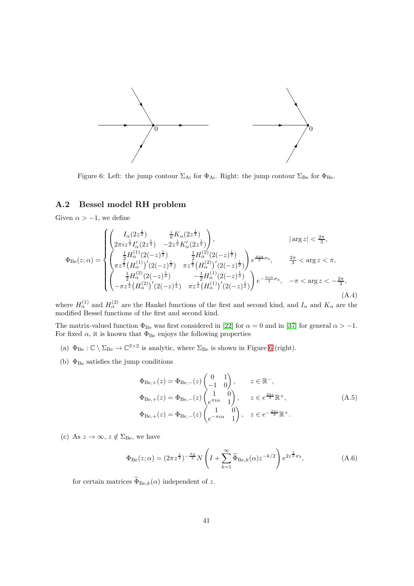

<span id="page-40-0"></span>Figure 6: Left: the jump contour  $\Sigma_{\rm Ai}$  for  $\Phi_{\rm Ai}$ . Right: the jump contour  $\Sigma_{\rm Be}$  for  $\Phi_{\rm Be}$ .

## **A.2 Bessel model RH problem**

Given  $\alpha > -1$ , we define

<span id="page-40-1"></span>
$$
\Phi_{\text{Be}}(z;\alpha) = \begin{cases}\n\left(\begin{matrix}\nI_{\alpha}(2z^{\frac{1}{2}}) & \frac{i}{\pi}K_{\alpha}(2z^{\frac{1}{2}}) \\
2\pi iz^{\frac{1}{2}}I_{\alpha}'(2z^{\frac{1}{2}}) & -2z^{\frac{1}{2}}K_{\alpha}'(2z^{\frac{1}{2}})\n\end{matrix}\right), & \text{arg } z| < \frac{2\pi}{3}, \\
\left(\begin{matrix}\n\frac{1}{2}H_{\alpha}^{(1)}(2(-z)^{\frac{1}{2}}) & \frac{1}{2}H_{\alpha}^{(2)}(2(-z)^{\frac{1}{2}}) \\
\pi z^{\frac{1}{2}}(H_{\alpha}^{(1)})'(2(-z)^{\frac{1}{2}}) & \pi z^{\frac{1}{2}}(H_{\alpha}^{(2)})'(2(-z)^{\frac{1}{2}})\n\end{matrix}\right)e^{\frac{\pi i \alpha}{2}\sigma_{3}}, & \frac{2\pi}{3} < \arg z < \pi, \\
\left(\begin{matrix}\n\frac{1}{2}H_{\alpha}^{(2)}(2(-z)^{\frac{1}{2}}) & -\frac{1}{2}H_{\alpha}^{(1)}(2(-z)^{\frac{1}{2}}) \\
-\pi z^{\frac{1}{2}}(H_{\alpha}^{(2)})'(2(-z)^{\frac{1}{2}}) & \pi z^{\frac{1}{2}}(H_{\alpha}^{(1)})'(2(-z)^{\frac{1}{2}})\n\end{matrix}\right)e^{-\frac{\pi i \alpha}{2}\sigma_{3}}, & -\pi < \arg z < -\frac{2\pi}{3}, \\
(A.4)\n\end{cases}
$$

where  $H_{\alpha}^{(1)}$  and  $H_{\alpha}^{(2)}$  are the Hankel functions of the first and second kind, and  $I_{\alpha}$  and  $K_{\alpha}$  are the modified Bessel functions of the first and second kind.

The matrix-valued function  $\Phi_{\text{Be}}$  was first considered in [\[22\]](#page-44-24) for  $\alpha = 0$  and in [\[37\]](#page-45-24) for general  $\alpha > -1$ . For fixed  $\alpha$ , it is known that  $\Phi_{\text{Be}}$  enjoys the following properties

- (a)  $\Phi_{\text{Be}} : \mathbb{C} \setminus \Sigma_{\text{Be}} \to \mathbb{C}^{2 \times 2}$  is analytic, where  $\Sigma_{\text{Be}}$  is shown in Figure [6](#page-40-0) (right).
- (b)  $\Phi_{\mbox{\footnotesize{Be}}}$  satisfies the jump conditions

<span id="page-40-2"></span>
$$
\Phi_{\text{Be},+}(z) = \Phi_{\text{Be},-}(z) \begin{pmatrix} 0 & 1 \\ -1 & 0 \end{pmatrix}, \qquad z \in \mathbb{R}^-,
$$
  
\n
$$
\Phi_{\text{Be},+}(z) = \Phi_{\text{Be},-}(z) \begin{pmatrix} 1 & 0 \\ e^{\pi i \alpha} & 1 \end{pmatrix}, \qquad z \in e^{\frac{2\pi i}{3}} \mathbb{R}^+,
$$
  
\n
$$
\Phi_{\text{Be},+}(z) = \Phi_{\text{Be},-}(z) \begin{pmatrix} 1 & 0 \\ e^{-\pi i \alpha} & 1 \end{pmatrix}, \quad z \in e^{-\frac{2\pi i}{3}} \mathbb{R}^+.
$$
\n(A.5)

(c) As  $z \to \infty$ ,  $z \notin \Sigma_{\text{Be}}$ , we have

<span id="page-40-3"></span>
$$
\Phi_{\text{Be}}(z;\alpha) = (2\pi z^{\frac{1}{2}})^{-\frac{\sigma_3}{2}} N \left( I + \sum_{k=1}^{\infty} \widetilde{\Phi}_{\text{Be},k}(\alpha) z^{-k/2} \right) e^{2z^{\frac{1}{2}} \sigma_3},\tag{A.6}
$$

for certain matrices  $\widetilde{\Phi}_{\text{Be},k}(\alpha)$  independent of z.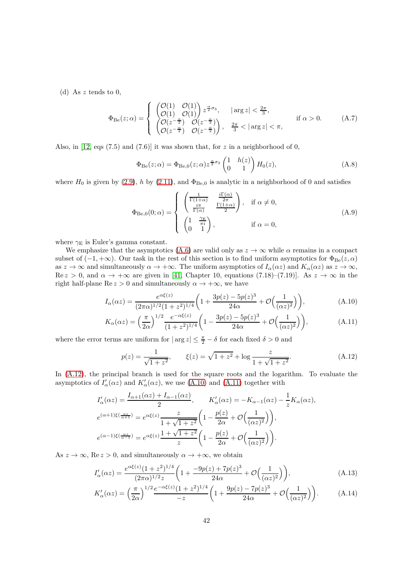(d) As *z* tends to 0,

$$
\Phi_{\text{Be}}(z;\alpha) = \begin{cases}\n\begin{pmatrix}\n\mathcal{O}(1) & \mathcal{O}(1) \\
\mathcal{O}(1) & \mathcal{O}(1)\n\end{pmatrix} z^{\frac{\alpha}{2}\sigma_3}, & |\arg z| < \frac{2\pi}{3}, \\
\begin{pmatrix}\n\mathcal{O}(z^{-\frac{\alpha}{2}}) & \mathcal{O}(z^{-\frac{\alpha}{2}}) \\
\mathcal{O}(z^{-\frac{\alpha}{2}}) & \mathcal{O}(z^{-\frac{\alpha}{2}})\n\end{pmatrix}, & \frac{2\pi}{3} < |\arg z| < \pi, \\
\text{if } \alpha > 0.\n\end{cases} (A.7)
$$

Also, in [\[12,](#page-44-11) eqs (7.5) and (7.6)] it was shown that, for *z* in a neighborhood of 0,

<span id="page-41-1"></span>
$$
\Phi_{\text{Be}}(z;\alpha) = \Phi_{\text{Be},0}(z;\alpha) z^{\frac{\alpha}{2}\sigma_3} \begin{pmatrix} 1 & h(z) \\ 0 & 1 \end{pmatrix} H_0(z), \tag{A.8}
$$

where  $H_0$  is given by [\(2.9\)](#page-14-7), *h* by [\(2.11\)](#page-14-8), and  $\Phi_{\text{Be},0}$  is analytic in a neighborhood of 0 and satisfies

$$
\Phi_{\text{Be},0}(0;\alpha) = \begin{cases}\n\begin{pmatrix}\n\frac{1}{\Gamma(1+\alpha)} & \frac{i\Gamma(\alpha)}{2\pi} \\
\frac{i\pi}{\Gamma(\alpha)} & \frac{\Gamma(1+\alpha)}{2}\n\end{pmatrix}, & \text{if } \alpha \neq 0, \\
\begin{pmatrix}\n1 & \frac{\gamma_{\text{E}}}{\pi i} \\
0 & 1\n\end{pmatrix}, & \text{if } \alpha = 0,\n\end{cases}
$$
\n(A.9)

where  $\gamma_E$  is Euler's gamma constant.

We emphasize that the asymptotics [\(A.6\)](#page-40-3) are valid only as  $z \to \infty$  while  $\alpha$  remains in a compact subset of  $(-1, +\infty)$ . Our task in the rest of this section is to find uniform asymptotics for  $\Phi_{\text{Be}}(z, \alpha)$ as  $z \to \infty$  and simultaneously  $\alpha \to +\infty$ . The uniform asymptotics of  $I_\alpha(\alpha z)$  and  $K_\alpha(\alpha z)$  as  $z \to \infty$ ,  $\text{Re } z > 0$ , and  $\alpha \to +\infty$  are given in [\[41,](#page-45-25) Chapter 10, equations (7.18)–(7.19)]. As  $z \to \infty$  in the right half-plane  $\text{Re } z > 0$  and simultaneously  $\alpha \to +\infty$ , we have

$$
I_{\alpha}(\alpha z) = \frac{e^{\alpha \xi(z)}}{(2\pi \alpha)^{1/2}(1+z^2)^{1/4}} \left(1 + \frac{3p(z) - 5p(z)^3}{24\alpha} + \mathcal{O}\left(\frac{1}{(\alpha z)^2}\right)\right),\tag{A.10}
$$

$$
K_{\alpha}(\alpha z) = \left(\frac{\pi}{2\alpha}\right)^{1/2} \frac{e^{-\alpha\xi(z)}}{(1+z^2)^{1/4}} \left(1 - \frac{3p(z) - 5p(z)^3}{24\alpha} + \mathcal{O}\left(\frac{1}{(\alpha z)^2}\right)\right),\tag{A.11}
$$

where the error terms are uniform for  $|\arg z| \leq \frac{\pi}{2} - \delta$  for each fixed  $\delta > 0$  and

<span id="page-41-3"></span><span id="page-41-2"></span><span id="page-41-0"></span>
$$
p(z) = \frac{1}{\sqrt{1+z^2}}, \qquad \xi(z) = \sqrt{1+z^2} + \log \frac{z}{1+\sqrt{1+z^2}}.
$$
 (A.12)

In  $(A.12)$ , the principal branch is used for the square roots and the logarithm. To evaluate the asymptotics of  $I'_{\alpha}(\alpha z)$  and  $K'_{\alpha}(\alpha z)$ , we use [\(A.10\)](#page-41-2) and [\(A.11\)](#page-41-3) together with

$$
I'_{\alpha}(\alpha z) = \frac{I_{\alpha+1}(\alpha z) + I_{\alpha-1}(\alpha z)}{2}, \qquad K'_{\alpha}(\alpha z) = -K_{\alpha-1}(\alpha z) - \frac{1}{z}K_{\alpha}(\alpha z),
$$
  

$$
e^{(\alpha+1)\xi(\frac{\alpha z}{\alpha+1})} = e^{\alpha\xi(z)} \frac{z}{1+\sqrt{1+z^2}} \left(1 - \frac{p(z)}{2\alpha} + \mathcal{O}\left(\frac{1}{(\alpha z)^2}\right)\right),
$$
  

$$
e^{(\alpha-1)\xi(\frac{\alpha z}{\alpha-1})} = e^{\alpha\xi(z)} \frac{1+\sqrt{1+z^2}}{z} \left(1 - \frac{p(z)}{2\alpha} + \mathcal{O}\left(\frac{1}{(\alpha z)^2}\right)\right).
$$

As  $z \to \infty$ , Re  $z > 0$ , and simultaneously  $\alpha \to +\infty$ , we obtain

<span id="page-41-5"></span>
$$
I'_{\alpha}(\alpha z) = \frac{e^{\alpha \xi(z)} (1+z^2)^{1/4}}{(2\pi \alpha)^{1/2} z} \left(1 + \frac{-9p(z) + 7p(z)^3}{24\alpha} + \mathcal{O}\left(\frac{1}{(\alpha z)^2}\right)\right),\tag{A.13}
$$

<span id="page-41-4"></span>
$$
K'_{\alpha}(\alpha z) = \left(\frac{\pi}{2\alpha}\right)^{1/2} \frac{e^{-\alpha\xi(z)}(1+z^2)^{1/4}}{-z} \left(1 + \frac{9p(z) - 7p(z)^3}{24\alpha} + \mathcal{O}\left(\frac{1}{(\alpha z)^2}\right)\right). \tag{A.14}
$$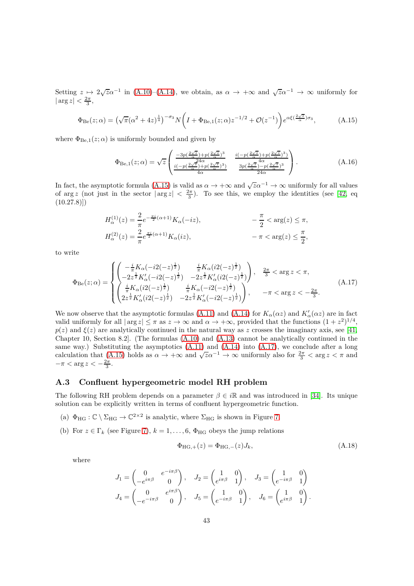Setting  $z \mapsto 2\sqrt{z\alpha^{-1}}$  in [\(A.10\)](#page-41-2)–[\(A.14\)](#page-41-4), we obtain, as  $\alpha \to +\infty$  and  $\sqrt{z\alpha^{-1}} \to \infty$  uniformly for  $|\arg z| < \frac{2\pi}{3},$ 

$$
\Phi_{\text{Be}}(z;\alpha) = \left(\sqrt{\pi}(\alpha^2 + 4z)^{\frac{1}{4}}\right)^{-\sigma_3} N\left(I + \Phi_{\text{Be},1}(z;\alpha)z^{-1/2} + \mathcal{O}(z^{-1})\right) e^{\alpha\xi\left(\frac{2\sqrt{z}}{\alpha}\right)\sigma_3},\tag{A.15}
$$

where  $\Phi_{\text{Be},1}(z;\alpha)$  is uniformly bounded and given by

<span id="page-42-2"></span><span id="page-42-1"></span>
$$
\Phi_{\text{Be},1}(z;\alpha) = \sqrt{z} \begin{pmatrix} \frac{-3p(\frac{2\sqrt{z}}{\alpha}) + p(\frac{2\sqrt{z}}{\alpha})^3}{\alpha} & \frac{i(-p(\frac{2\sqrt{z}}{\alpha}) + p(\frac{2\sqrt{z}}{\alpha})^3)}{\alpha} \\ \frac{i(-p(\frac{2\sqrt{z}}{\alpha}) + p(\frac{2\sqrt{z}}{\alpha})^3)}{4\alpha} & \frac{3p(\frac{2\sqrt{z}}{\alpha}) - p(\frac{2\sqrt{z}}{\alpha})^3}{24\alpha} \end{pmatrix} .
$$
\n(A.16)

In fact, the asymptotic formula [\(A.15\)](#page-42-1) is valid as  $\alpha \to +\infty$  and  $\sqrt{z\alpha^{-1}} \to \infty$  uniformly for all values of  $\arg z$  (not just in the sector  $|\arg z| < \frac{2\pi}{3}$ ). To see this, we employ the identities (see [\[42,](#page-45-26) eq  $(10.27.8)]$ 

$$
H_{\alpha}^{(1)}(z) = \frac{2}{\pi} e^{-\frac{\pi i}{2}(\alpha+1)} K_{\alpha}(-iz),
$$
  
\n
$$
H_{\alpha}^{(2)}(z) = \frac{2}{\pi} e^{\frac{\pi i}{2}(\alpha+1)} K_{\alpha}(iz),
$$
  
\n
$$
-\pi < \arg(z) \le \frac{\pi}{2},
$$

to write

<span id="page-42-3"></span>
$$
\Phi_{\text{Be}}(z;\alpha) = \begin{cases}\n\begin{pmatrix}\n-\frac{i}{\pi}K_{\alpha}(-i2(-z)^{\frac{1}{2}}) & \frac{i}{\pi}K_{\alpha}(i2(-z)^{\frac{1}{2}}) \\
-2z^{\frac{1}{2}}K'_{\alpha}(-i2(-z)^{\frac{1}{2}}) & -2z^{\frac{1}{2}}K'_{\alpha}(i2(-z)^{\frac{1}{2}})\n\end{pmatrix}, & \frac{2\pi}{3} < \arg z < \pi, \\
\begin{pmatrix}\n\frac{i}{\pi}K_{\alpha}(i2(-z)^{\frac{1}{2}}) & \frac{i}{\pi}K_{\alpha}(-i2(-z)^{\frac{1}{2}}) \\
2z^{\frac{1}{2}}K'_{\alpha}(i2(-z)^{\frac{1}{2}}) & -2z^{\frac{1}{2}}K'_{\alpha}(-i2(-z)^{\frac{1}{2}})\n\end{pmatrix}, & -\pi < \arg z < -\frac{2\pi}{3}.\n\end{cases} (A.17)
$$

We now observe that the asymptotic formulas [\(A.11\)](#page-41-3) and [\(A.14\)](#page-41-4) for  $K_{\alpha}(\alpha z)$  and  $K'_{\alpha}(\alpha z)$  are in fact valid uniformly for all  $|\arg z| \leq \pi$  as  $z \to \infty$  and  $\alpha \to +\infty$ , provided that the functions  $(1 + z^2)^{1/4}$ ,  $p(z)$  and  $\xi(z)$  are analytically continued in the natural way as *z* crosses the imaginary axis, see [\[41,](#page-45-25) Chapter 10, Section 8.2]. (The formulas [\(A.10\)](#page-41-2) and [\(A.13\)](#page-41-5) cannot be analytically continued in the same way.) Substituting the asymptotics [\(A.11\)](#page-41-3) and [\(A.14\)](#page-41-4) into [\(A.17\)](#page-42-3), we conclude after a long calculation that [\(A.15\)](#page-42-1) holds as  $\alpha \to +\infty$  and  $\sqrt{z\alpha^{-1}} \to \infty$  uniformly also for  $\frac{2\pi}{3} < \arg z < \pi$  and  $-\pi < \arg z < -\frac{2\pi}{3}.$ 

#### <span id="page-42-0"></span>**A.3 Confluent hypergeometric model RH problem**

The following RH problem depends on a parameter  $\beta \in i\mathbb{R}$  and was introduced in [\[34\]](#page-45-22). Its unique solution can be explicitly written in terms of confluent hypergeometric function.

- (a)  $\Phi_{HG}: \mathbb{C} \setminus \Sigma_{HG} \to \mathbb{C}^{2 \times 2}$  is analytic, where  $\Sigma_{HG}$  is shown in Figure [7.](#page-43-0)
- (b) For  $z \in \Gamma_k$  (see Figure [7\)](#page-43-0),  $k = 1, \ldots, 6$ ,  $\Phi_{HG}$  obeys the jump relations

$$
\Phi_{\text{HG},+}(z) = \Phi_{\text{HG},-}(z) J_k,\tag{A.18}
$$

where

$$
J_1 = \begin{pmatrix} 0 & e^{-i\pi\beta} \\ -e^{i\pi\beta} & 0 \end{pmatrix}, \quad J_2 = \begin{pmatrix} 1 & 0 \\ e^{i\pi\beta} & 1 \end{pmatrix}, \quad J_3 = \begin{pmatrix} 1 & 0 \\ e^{-i\pi\beta} & 1 \end{pmatrix}
$$

$$
J_4 = \begin{pmatrix} 0 & e^{i\pi\beta} \\ -e^{-i\pi\beta} & 0 \end{pmatrix}, \quad J_5 = \begin{pmatrix} 1 & 0 \\ e^{-i\pi\beta} & 1 \end{pmatrix}, \quad J_6 = \begin{pmatrix} 1 & 0 \\ e^{i\pi\beta} & 1 \end{pmatrix}.
$$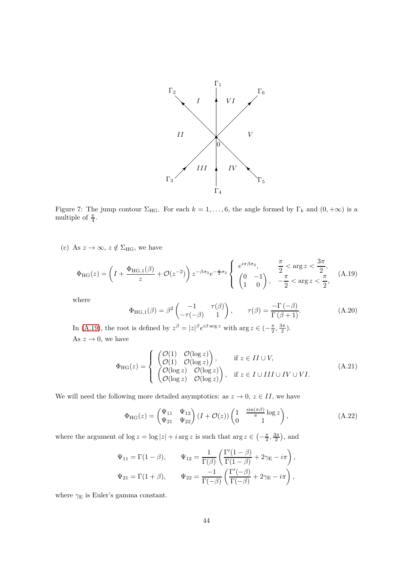

<span id="page-43-0"></span>Figure 7: The jump contour  $\Sigma_{HG}$ . For each  $k = 1, \ldots, 6$ , the angle formed by  $\Gamma_k$  and  $(0, +\infty)$  is a multiple of  $\frac{\pi}{4}$ .

(c) As  $z \to \infty$ ,  $z \notin \Sigma_{HG}$ , we have

$$
\Phi_{\rm HG}(z) = \left( I + \frac{\Phi_{\rm HG,1}(\beta)}{z} + \mathcal{O}(z^{-2}) \right) z^{-\beta \sigma_3} e^{-\frac{z}{2}\sigma_3} \begin{cases} e^{i\pi \beta \sigma_3}, & \frac{\pi}{2} < \arg z < \frac{3\pi}{2}, \\ \left( 0 & -1 \\ 1 & 0 \end{cases} , \quad \frac{\pi}{2} < \arg z < \frac{\pi}{2}, \end{cases} \tag{A.19}
$$

where

<span id="page-43-1"></span>
$$
\Phi_{\text{HG},1}(\beta) = \beta^2 \begin{pmatrix} -1 & \tau(\beta) \\ -\tau(-\beta) & 1 \end{pmatrix}, \qquad \tau(\beta) = \frac{-\Gamma(-\beta)}{\Gamma(\beta+1)}.
$$
 (A.20)

In [\(A.19\)](#page-43-1), the root is defined by  $z^{\beta} = |z|^{\beta} e^{i\beta \arg z}$  with  $\arg z \in \left(-\frac{\pi}{2}, \frac{3\pi}{2}\right)$ . As  $z \to 0$ , we have

$$
\Phi_{HG}(z) = \begin{cases}\n\begin{pmatrix}\n\mathcal{O}(1) & \mathcal{O}(\log z) \\
\mathcal{O}(1) & \mathcal{O}(\log z)\n\end{pmatrix}, & \text{if } z \in II \cup V, \\
\begin{pmatrix}\n\mathcal{O}(\log z) & \mathcal{O}(\log z) \\
\mathcal{O}(\log z) & \mathcal{O}(\log z)\n\end{pmatrix}, & \text{if } z \in I \cup III \cup IV \cup VI.\n\end{cases} (A.21)
$$

We will need the following more detailed asymptotics: as  $z \to 0$ ,  $z \in II$ , we have

<span id="page-43-2"></span>
$$
\Phi_{HG}(z) = \begin{pmatrix} \Psi_{11} & \Psi_{12} \\ \Psi_{21} & \Psi_{22} \end{pmatrix} (I + \mathcal{O}(z)) \begin{pmatrix} 1 & \frac{\sin(\pi \beta)}{\pi} \log z \\ 0 & 1 \end{pmatrix}, \tag{A.22}
$$

where the argument of  $\log z = \log |z| + i \arg z$  is such that  $\arg z \in \left(-\frac{\pi}{2}, \frac{3\pi}{2}\right)$ , and

$$
\Psi_{11} = \Gamma(1 - \beta), \qquad \Psi_{12} = \frac{1}{\Gamma(\beta)} \left( \frac{\Gamma'(1 - \beta)}{\Gamma(1 - \beta)} + 2\gamma_{\mathcal{E}} - i\pi \right),
$$
  

$$
\Psi_{21} = \Gamma(1 + \beta), \qquad \Psi_{22} = \frac{-1}{\Gamma(-\beta)} \left( \frac{\Gamma'(-\beta)}{\Gamma(-\beta)} + 2\gamma_{\mathcal{E}} - i\pi \right),
$$

where  $\gamma_{\rm E}$  is Euler's gamma constant.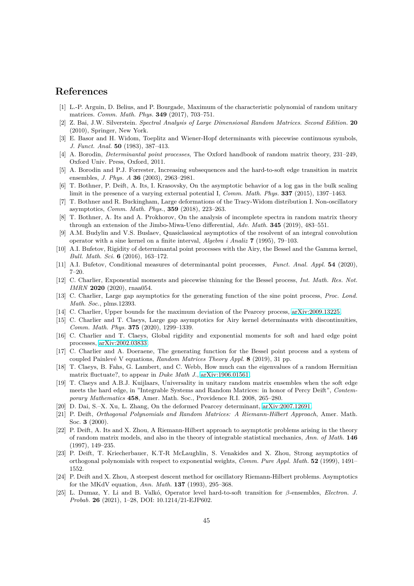# <span id="page-44-18"></span>**References**

- <span id="page-44-1"></span>[1] L.-P. Arguin, D. Belius, and P. Bourgade, Maximum of the characteristic polynomial of random unitary matrices. *Comm. Math. Phys.* **349** (2017), 703–751.
- <span id="page-44-6"></span>[2] Z. Bai, J.W. Silverstein. *Spectral Analysis of Large Dimensional Random Matrices. Second Edition.* **20** (2010), Springer, New York.
- <span id="page-44-2"></span>[3] E. Basor and H. Widom, Toeplitz and Wiener-Hopf determinants with piecewise continuous symbols, *J. Funct. Anal.* **50** (1983), 387–413.
- <span id="page-44-0"></span>[4] A. Borodin, *Determinantal point processes*, The Oxford handbook of random matrix theory, 231–249, Oxford Univ. Press, Oxford, 2011.
- <span id="page-44-8"></span>[5] A. Borodin and P.J. Forrester, Increasing subsequences and the hard-to-soft edge transition in matrix ensembles, *J. Phys. A* **36** (2003), 2963–2981.
- <span id="page-44-12"></span>[6] T. Bothner, P. Deift, A. Its, I. Krasovsky, On the asymptotic behavior of a log gas in the bulk scaling limit in the presence of a varying external potential I, *Comm. Math. Phys.* **337** (2015), 1397–1463.
- <span id="page-44-10"></span>[7] T. Bothner and R. Buckingham, Large deformations of the Tracy-Widom distribution I. Non-oscillatory asymptotics, *Comm. Math. Phys.*, **359** (2018), 223–263.
- <span id="page-44-7"></span>[8] T. Bothner, A. Its and A. Prokhorov, On the analysis of incomplete spectra in random matrix theory through an extension of the Jimbo-Miwa-Ueno differential, *Adv. Math.* **345** (2019), 483–551.
- <span id="page-44-16"></span>[9] A.M. Budylin and V.S. Buslaev, Quasiclassical asymptotics of the resolvent of an integral convolution operator with a sine kernel on a finite interval, *Algebra i Analiz* **7** (1995), 79–103.
- <span id="page-44-17"></span>[10] A.I. Bufetov, Rigidity of determinantal point processes with the Airy, the Bessel and the Gamma kernel, *Bull. Math. Sci.* **6** (2016), 163–172.
- <span id="page-44-11"></span>[11] A.I. Bufetov, Conditional measures of determinantal point processes, *Funct. Anal. Appl.* **54** (2020), 7–20.
- <span id="page-44-9"></span>[12] C. Charlier, Exponential moments and piecewise thinning for the Bessel process, *Int. Math. Res. Not. IMRN* **2020** (2020), rnaa054.
- <span id="page-44-19"></span>[13] C. Charlier, Large gap asymptotics for the generating function of the sine point process, *Proc. Lond. Math. Soc.*, plms.12393.
- <span id="page-44-13"></span>[14] C. Charlier, Upper bounds for the maximum deviation of the Pearcey process, [arXiv:2009.13225.](http://arxiv.org/abs/2009.13225)
- <span id="page-44-14"></span>[15] C. Charlier and T. Claeys, Large gap asymptotics for Airy kernel determinants with discontinuities, *Comm. Math. Phys.* **375** (2020), 1299–1339.
- <span id="page-44-5"></span>[16] C. Charlier and T. Claeys, Global rigidity and exponential moments for soft and hard edge point processes, [arXiv:2002.03833.](http://arxiv.org/abs/2002.03833)
- <span id="page-44-20"></span>[17] C. Charlier and A. Doeraene, The generating function for the Bessel point process and a system of coupled Painlev´e V equations, *Random Matrices Theory Appl.* **8** (2019), 31 pp.
- <span id="page-44-4"></span>[18] T. Claeys, B. Fahs, G. Lambert, and C. Webb, How much can the eigenvalues of a random Hermitian matrix fluctuate?, to appear in *Duke Math J.*, [arXiv:1906.01561.](http://arxiv.org/abs/1906.01561)
- [19] T. Claeys and A.B.J. Kuijlaars, Universality in unitary random matrix ensembles when the soft edge meets the hard edge, in "Integrable Systems and Random Matrices: in honor of Percy Deift", *Contemporary Mathematics* **458**, Amer. Math. Soc., Providence R.I. 2008, 265–280.
- <span id="page-44-22"></span><span id="page-44-15"></span>[20] D. Dai, S.–X. Xu, L. Zhang, On the deformed Pearcey determinant, [arXiv:2007.12691.](http://arxiv.org/abs/2007.12691)
- <span id="page-44-24"></span>[21] P. Deift, *Orthogonal Polynomials and Random Matrices: A Riemann-Hilbert Approach*, Amer. Math. Soc. **3** (2000).
- [22] P. Deift, A. Its and X. Zhou, A Riemann-Hilbert approach to asymptotic problems arising in the theory of random matrix models, and also in the theory of integrable statistical mechanics, *Ann. of Math.* **146** (1997), 149–235.
- <span id="page-44-23"></span>[23] P. Deift, T. Kriecherbauer, K.T-R McLaughlin, S. Venakides and X. Zhou, Strong asymptotics of orthogonal polynomials with respect to exponential weights, *Comm. Pure Appl. Math.* **52** (1999), 1491– 1552.
- <span id="page-44-21"></span>[24] P. Deift and X. Zhou, A steepest descent method for oscillatory Riemann-Hilbert problems. Asymptotics for the MKdV equation, *Ann. Math.* **137** (1993), 295–368.
- <span id="page-44-3"></span>[25] L. Dumaz, Y. Li and B. Valk´o, Operator level hard-to-soft transition for *β*-ensembles, *Electron. J. Probab.* **26** (2021), 1–28, DOI: 10.1214/21-EJP602.